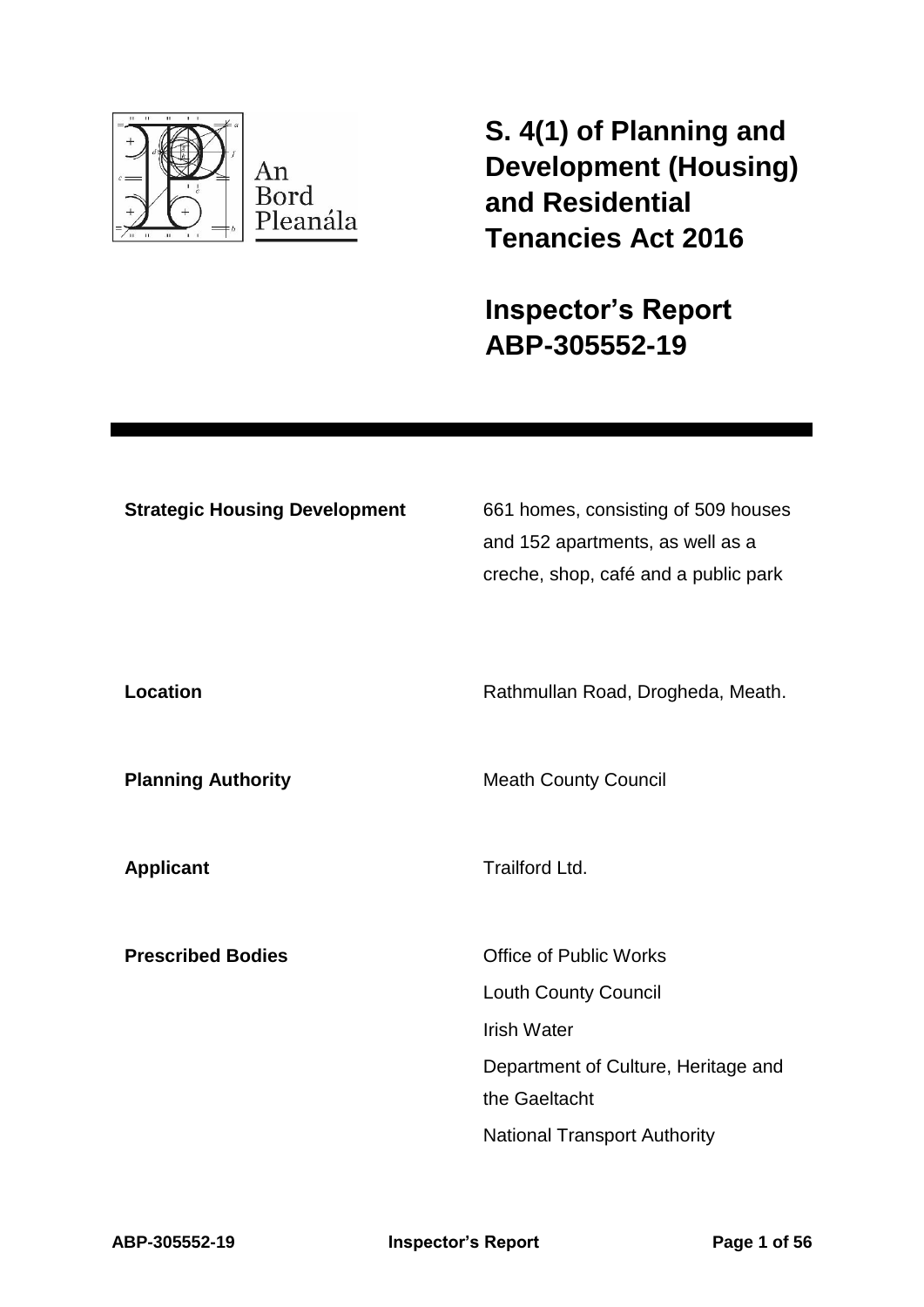

**S. 4(1) of Planning and Development (Housing) and Residential Tenancies Act 2016** 

**Inspector's Report ABP-305552-19**

| <b>Strategic Housing Development</b> | 661 homes, consisting of 509 houses<br>and 152 apartments, as well as a<br>creche, shop, café and a public park |
|--------------------------------------|-----------------------------------------------------------------------------------------------------------------|
| <b>Location</b>                      | Rathmullan Road, Drogheda, Meath.                                                                               |
| <b>Planning Authority</b>            | <b>Meath County Council</b>                                                                                     |
| <b>Applicant</b>                     | <b>Trailford Ltd.</b>                                                                                           |
| <b>Prescribed Bodies</b>             | <b>Office of Public Works</b><br><b>Louth County Council</b><br><b>Irish Water</b>                              |
|                                      | Department of Culture, Heritage and<br>the Gaeltacht                                                            |

National Transport Authority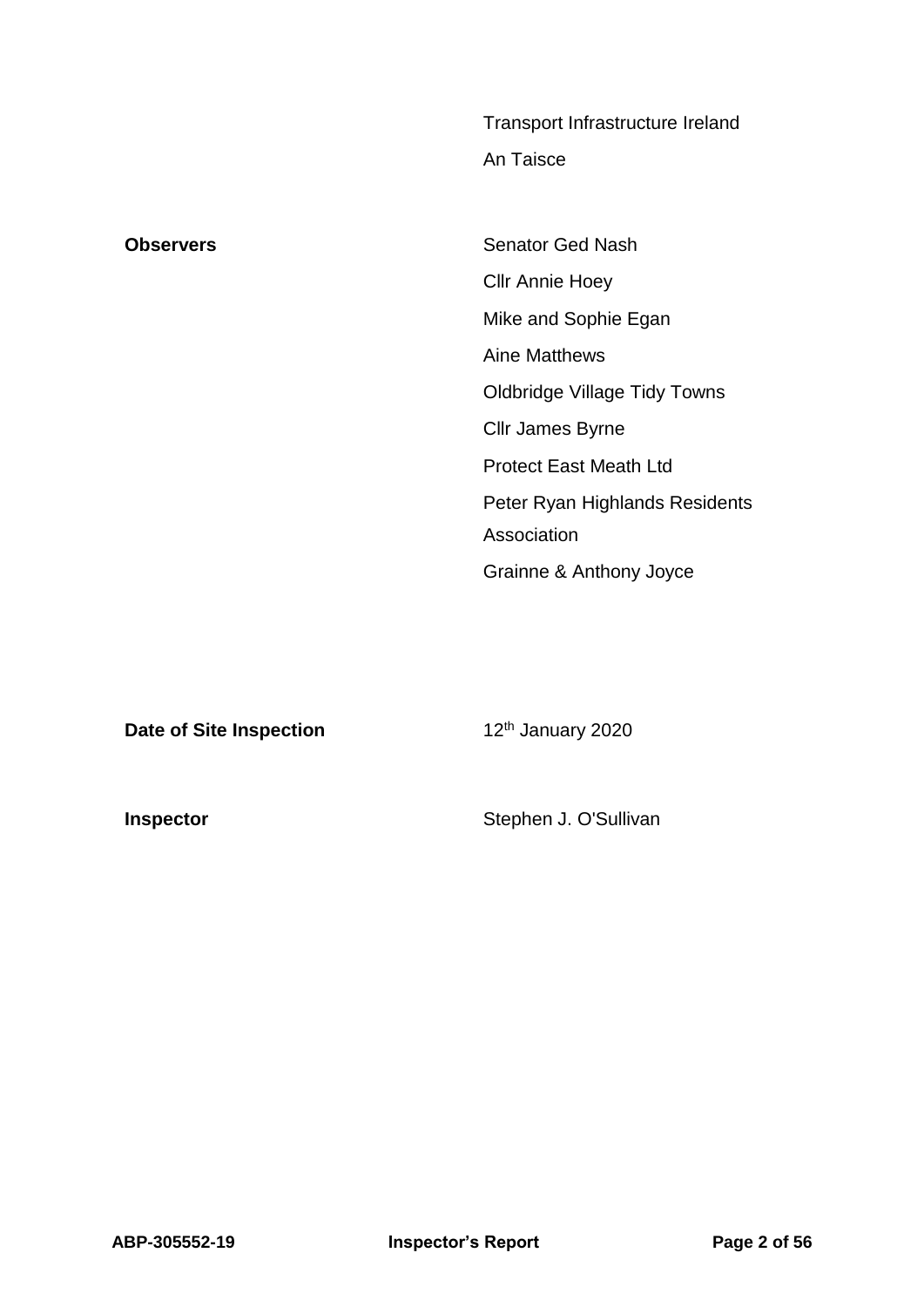|                  | Transport Infrastructure Ireland    |
|------------------|-------------------------------------|
|                  | An Taisce                           |
|                  |                                     |
| <b>Observers</b> | <b>Senator Ged Nash</b>             |
|                  | <b>CIIr Annie Hoey</b>              |
|                  | Mike and Sophie Egan                |
|                  | <b>Aine Matthews</b>                |
|                  | <b>Oldbridge Village Tidy Towns</b> |
|                  | Cllr James Byrne                    |
|                  | <b>Protect East Meath Ltd</b>       |
|                  | Peter Ryan Highlands Residents      |
|                  | Association                         |
|                  | Grainne & Anthony Joyce             |

**Date of Site Inspection** 12<sup>th</sup> January 2020

**Inspector Inspector Inspector Stephen J. O'Sullivan**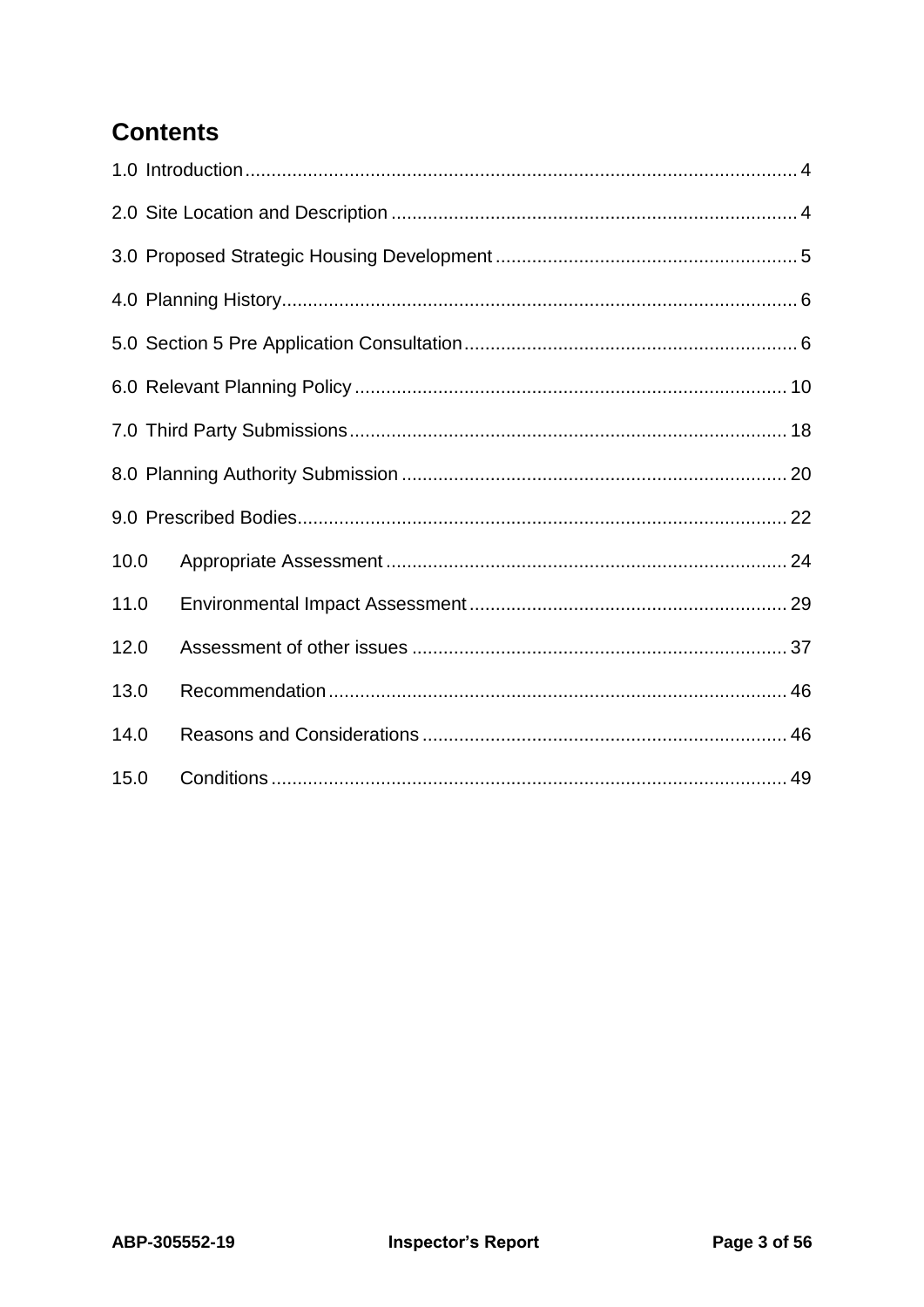# **Contents**

| 10.0 |  |
|------|--|
| 11.0 |  |
| 12.0 |  |
| 13.0 |  |
| 14.0 |  |
| 15.0 |  |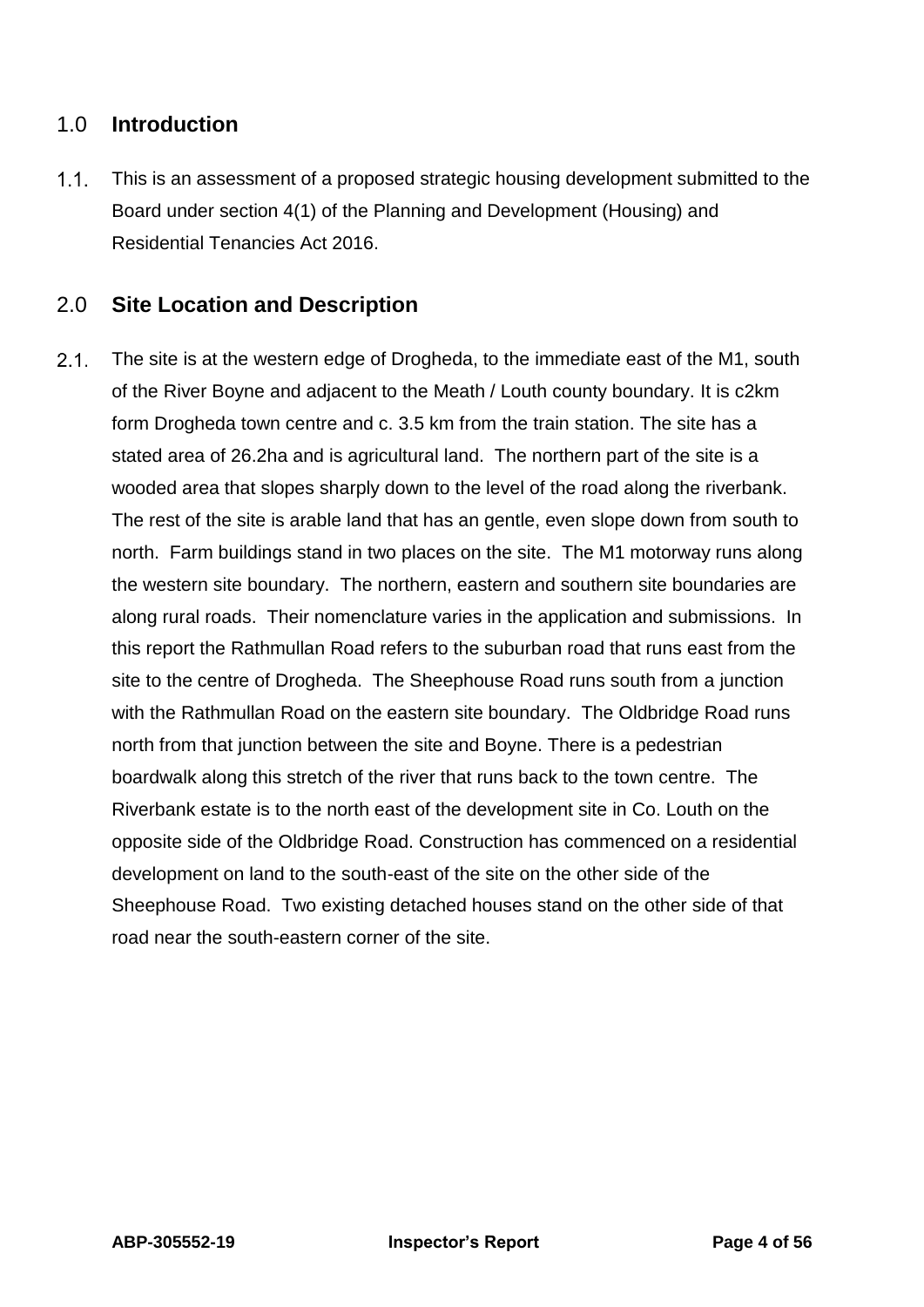## <span id="page-3-0"></span>1.0 **Introduction**

 $1.1.$ This is an assessment of a proposed strategic housing development submitted to the Board under section 4(1) of the Planning and Development (Housing) and Residential Tenancies Act 2016.

## <span id="page-3-1"></span>2.0 **Site Location and Description**

 $2.1.$ The site is at the western edge of Drogheda, to the immediate east of the M1, south of the River Boyne and adjacent to the Meath / Louth county boundary. It is c2km form Drogheda town centre and c. 3.5 km from the train station. The site has a stated area of 26.2ha and is agricultural land. The northern part of the site is a wooded area that slopes sharply down to the level of the road along the riverbank. The rest of the site is arable land that has an gentle, even slope down from south to north. Farm buildings stand in two places on the site. The M1 motorway runs along the western site boundary. The northern, eastern and southern site boundaries are along rural roads. Their nomenclature varies in the application and submissions. In this report the Rathmullan Road refers to the suburban road that runs east from the site to the centre of Drogheda. The Sheephouse Road runs south from a junction with the Rathmullan Road on the eastern site boundary. The Oldbridge Road runs north from that junction between the site and Boyne. There is a pedestrian boardwalk along this stretch of the river that runs back to the town centre. The Riverbank estate is to the north east of the development site in Co. Louth on the opposite side of the Oldbridge Road. Construction has commenced on a residential development on land to the south-east of the site on the other side of the Sheephouse Road. Two existing detached houses stand on the other side of that road near the south-eastern corner of the site.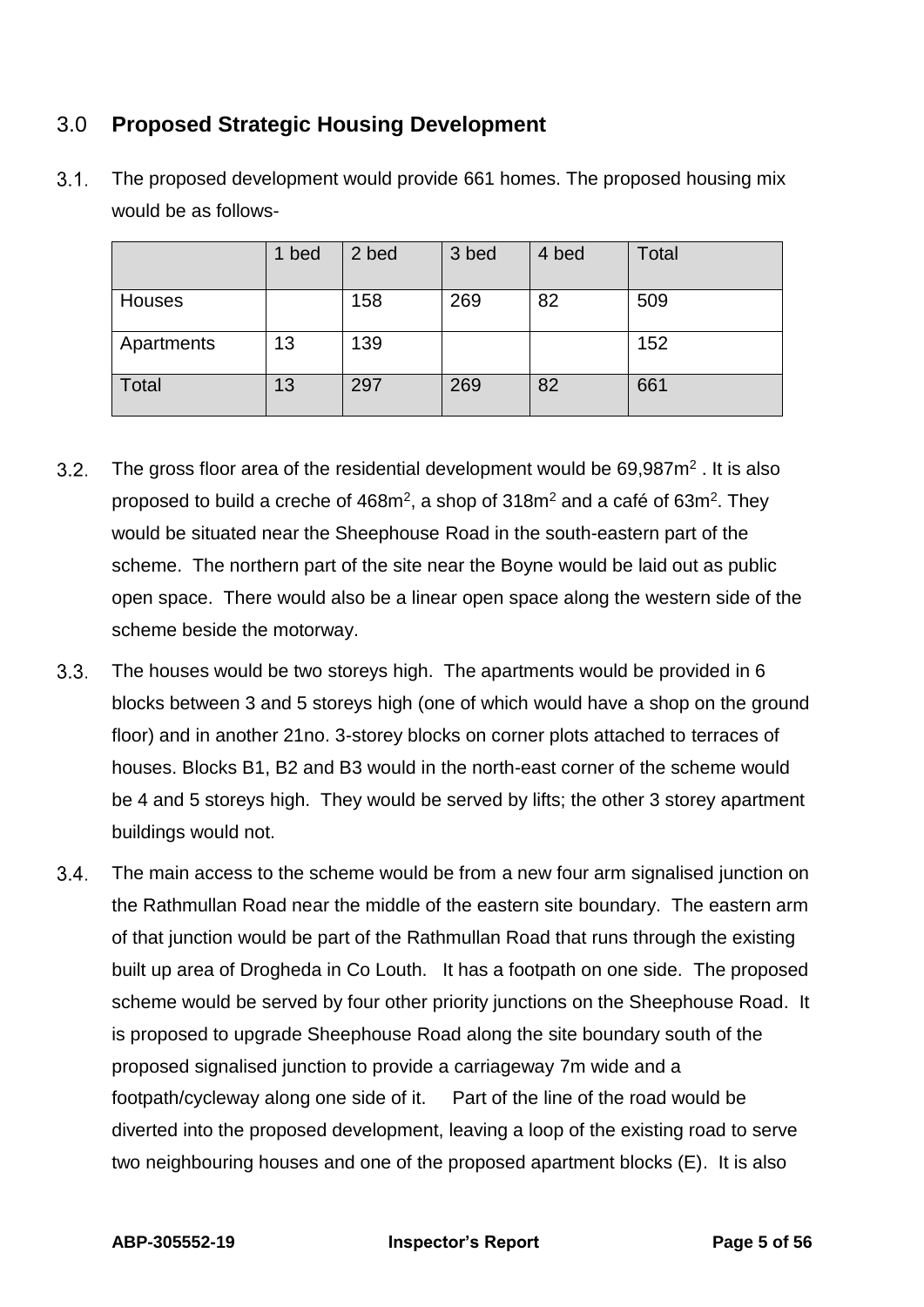## <span id="page-4-0"></span>3.0 **Proposed Strategic Housing Development**

|              | 1 bed | 2 bed | 3 bed | 4 bed | <b>Total</b> |
|--------------|-------|-------|-------|-------|--------------|
| Houses       |       | 158   | 269   | 82    | 509          |
| Apartments   | 13    | 139   |       |       | 152          |
| <b>Total</b> | 13    | 297   | 269   | 82    | 661          |

 $3.1$ The proposed development would provide 661 homes. The proposed housing mix would be as follows-

- $3.2.$ The gross floor area of the residential development would be  $69,987m^2$ . It is also proposed to build a creche of  $468m^2$ , a shop of  $318m^2$  and a café of  $63m^2$ . They would be situated near the Sheephouse Road in the south-eastern part of the scheme. The northern part of the site near the Boyne would be laid out as public open space. There would also be a linear open space along the western side of the scheme beside the motorway.
- $3.3.$ The houses would be two storeys high. The apartments would be provided in 6 blocks between 3 and 5 storeys high (one of which would have a shop on the ground floor) and in another 21no. 3-storey blocks on corner plots attached to terraces of houses. Blocks B1, B2 and B3 would in the north-east corner of the scheme would be 4 and 5 storeys high. They would be served by lifts; the other 3 storey apartment buildings would not.
- $3.4.$ The main access to the scheme would be from a new four arm signalised junction on the Rathmullan Road near the middle of the eastern site boundary. The eastern arm of that junction would be part of the Rathmullan Road that runs through the existing built up area of Drogheda in Co Louth. It has a footpath on one side. The proposed scheme would be served by four other priority junctions on the Sheephouse Road. It is proposed to upgrade Sheephouse Road along the site boundary south of the proposed signalised junction to provide a carriageway 7m wide and a footpath/cycleway along one side of it. Part of the line of the road would be diverted into the proposed development, leaving a loop of the existing road to serve two neighbouring houses and one of the proposed apartment blocks (E). It is also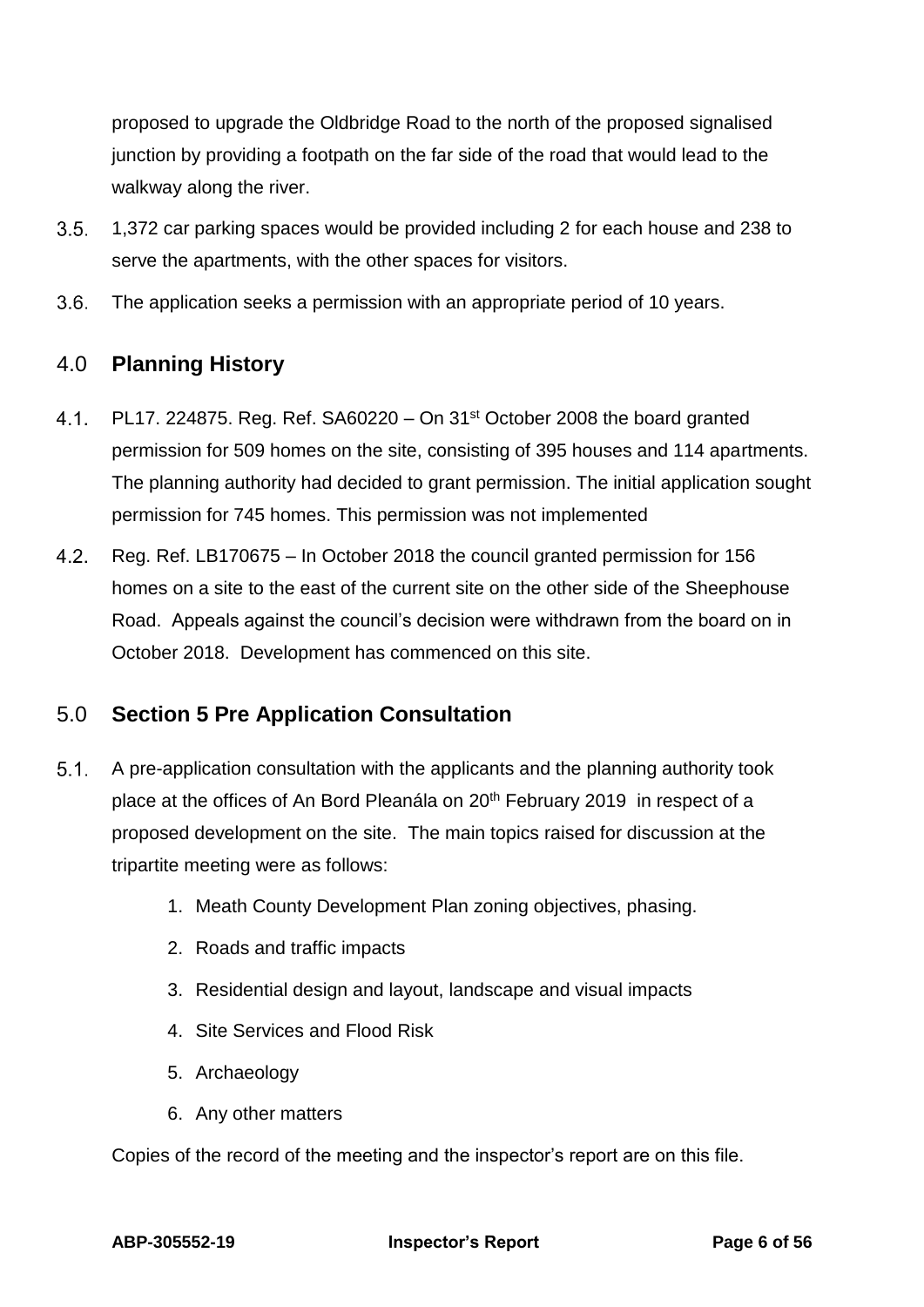proposed to upgrade the Oldbridge Road to the north of the proposed signalised junction by providing a footpath on the far side of the road that would lead to the walkway along the river.

- $3.5.$ 1,372 car parking spaces would be provided including 2 for each house and 238 to serve the apartments, with the other spaces for visitors.
- $3.6.$ The application seeks a permission with an appropriate period of 10 years.

## <span id="page-5-0"></span>4.0 **Planning History**

- $4.1.$ PL17. 224875. Reg. Ref. SA60220 – On 31<sup>st</sup> October 2008 the board granted permission for 509 homes on the site, consisting of 395 houses and 114 apartments. The planning authority had decided to grant permission. The initial application sought permission for 745 homes. This permission was not implemented
- $4.2<sub>1</sub>$ Reg. Ref. LB170675 – In October 2018 the council granted permission for 156 homes on a site to the east of the current site on the other side of the Sheephouse Road. Appeals against the council's decision were withdrawn from the board on in October 2018. Development has commenced on this site.

## <span id="page-5-1"></span>5.0 **Section 5 Pre Application Consultation**

- $5.1.$ A pre-application consultation with the applicants and the planning authority took place at the offices of An Bord Pleanála on 20th February 2019 in respect of a proposed development on the site. The main topics raised for discussion at the tripartite meeting were as follows:
	- 1. Meath County Development Plan zoning objectives, phasing.
	- 2. Roads and traffic impacts
	- 3. Residential design and layout, landscape and visual impacts
	- 4. Site Services and Flood Risk
	- 5. Archaeology
	- 6. Any other matters

Copies of the record of the meeting and the inspector's report are on this file.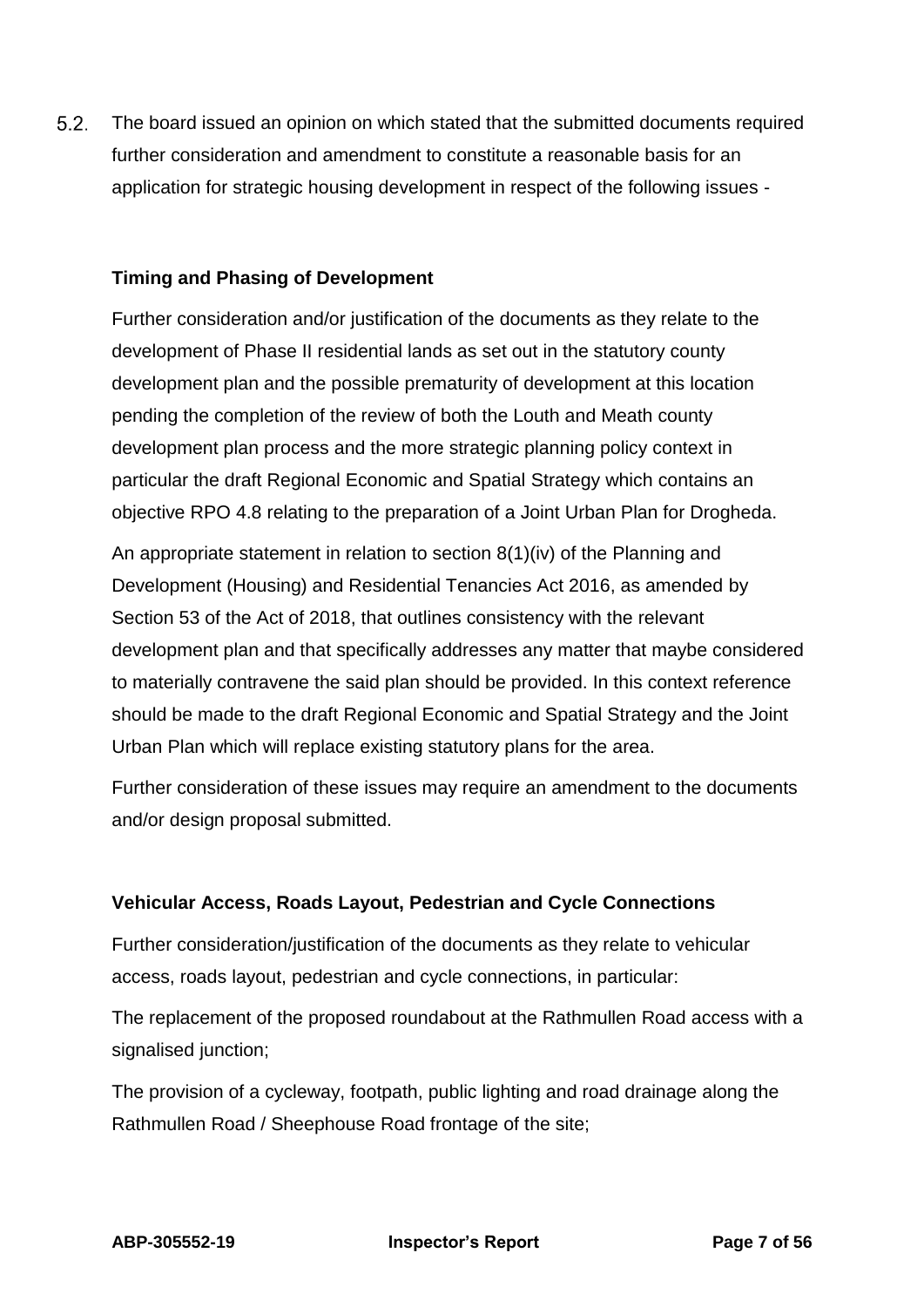$5.2.$ The board issued an opinion on which stated that the submitted documents required further consideration and amendment to constitute a reasonable basis for an application for strategic housing development in respect of the following issues -

### **Timing and Phasing of Development**

Further consideration and/or justification of the documents as they relate to the development of Phase II residential lands as set out in the statutory county development plan and the possible prematurity of development at this location pending the completion of the review of both the Louth and Meath county development plan process and the more strategic planning policy context in particular the draft Regional Economic and Spatial Strategy which contains an objective RPO 4.8 relating to the preparation of a Joint Urban Plan for Drogheda.

An appropriate statement in relation to section 8(1)(iv) of the Planning and Development (Housing) and Residential Tenancies Act 2016, as amended by Section 53 of the Act of 2018, that outlines consistency with the relevant development plan and that specifically addresses any matter that maybe considered to materially contravene the said plan should be provided. In this context reference should be made to the draft Regional Economic and Spatial Strategy and the Joint Urban Plan which will replace existing statutory plans for the area.

Further consideration of these issues may require an amendment to the documents and/or design proposal submitted.

#### **Vehicular Access, Roads Layout, Pedestrian and Cycle Connections**

Further consideration/justification of the documents as they relate to vehicular access, roads layout, pedestrian and cycle connections, in particular:

The replacement of the proposed roundabout at the Rathmullen Road access with a signalised junction;

The provision of a cycleway, footpath, public lighting and road drainage along the Rathmullen Road / Sheephouse Road frontage of the site;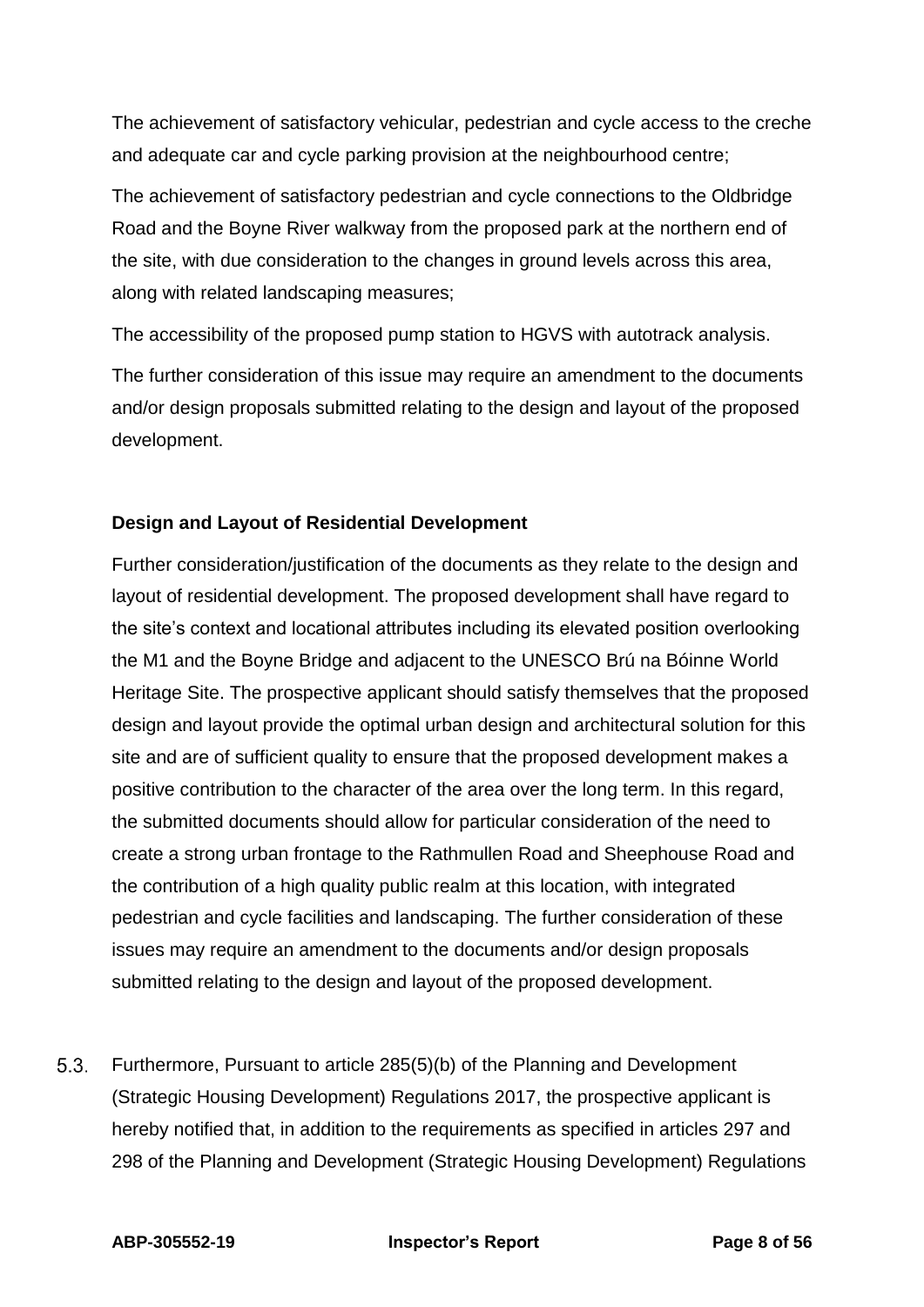The achievement of satisfactory vehicular, pedestrian and cycle access to the creche and adequate car and cycle parking provision at the neighbourhood centre;

The achievement of satisfactory pedestrian and cycle connections to the Oldbridge Road and the Boyne River walkway from the proposed park at the northern end of the site, with due consideration to the changes in ground levels across this area, along with related landscaping measures;

The accessibility of the proposed pump station to HGVS with autotrack analysis.

The further consideration of this issue may require an amendment to the documents and/or design proposals submitted relating to the design and layout of the proposed development.

### **Design and Layout of Residential Development**

Further consideration/justification of the documents as they relate to the design and layout of residential development. The proposed development shall have regard to the site's context and locational attributes including its elevated position overlooking the M1 and the Boyne Bridge and adjacent to the UNESCO Brú na Bóinne World Heritage Site. The prospective applicant should satisfy themselves that the proposed design and layout provide the optimal urban design and architectural solution for this site and are of sufficient quality to ensure that the proposed development makes a positive contribution to the character of the area over the long term. In this regard, the submitted documents should allow for particular consideration of the need to create a strong urban frontage to the Rathmullen Road and Sheephouse Road and the contribution of a high quality public realm at this location, with integrated pedestrian and cycle facilities and landscaping. The further consideration of these issues may require an amendment to the documents and/or design proposals submitted relating to the design and layout of the proposed development.

 $5.3.$ Furthermore, Pursuant to article 285(5)(b) of the Planning and Development (Strategic Housing Development) Regulations 2017, the prospective applicant is hereby notified that, in addition to the requirements as specified in articles 297 and 298 of the Planning and Development (Strategic Housing Development) Regulations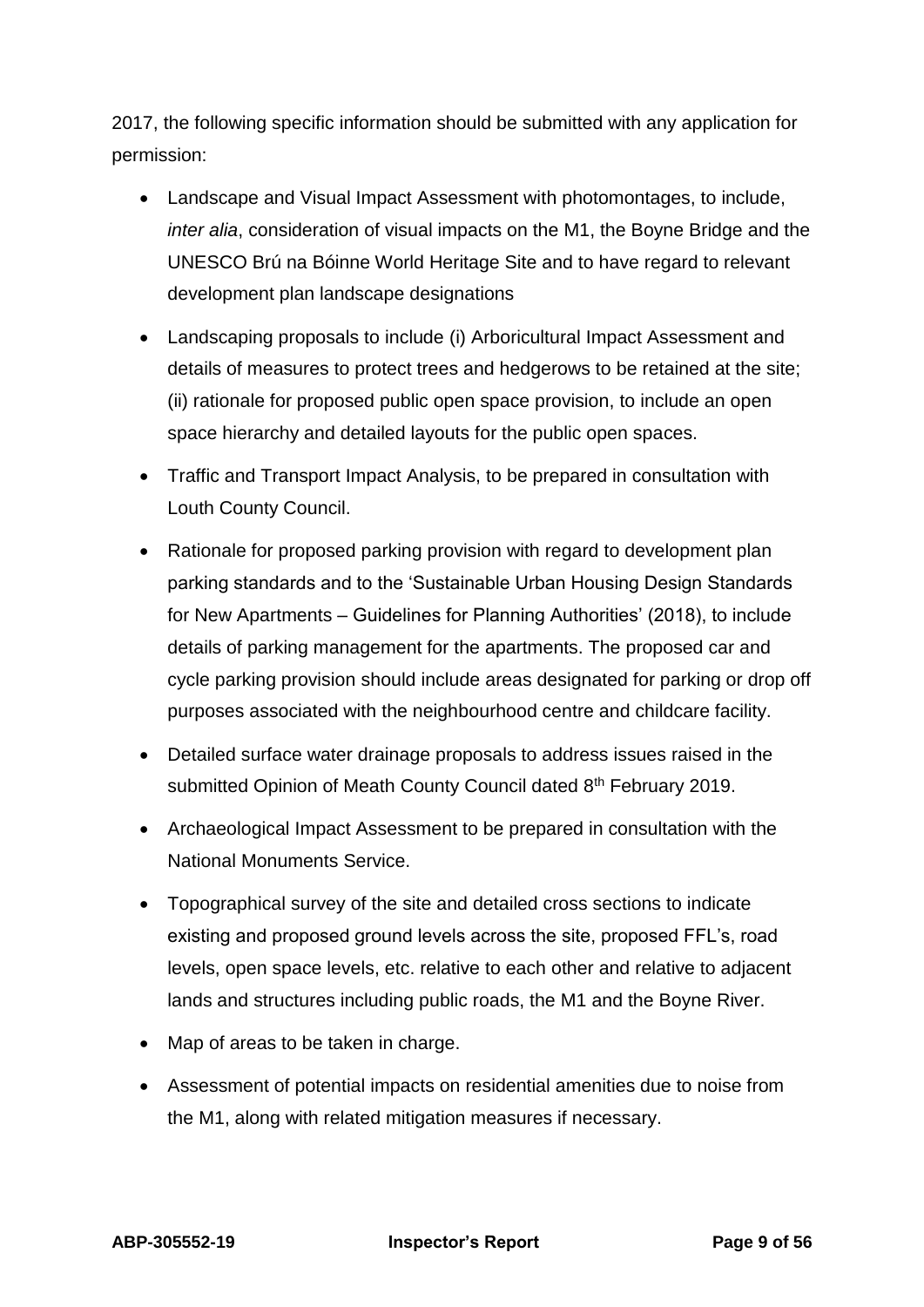2017, the following specific information should be submitted with any application for permission:

- Landscape and Visual Impact Assessment with photomontages, to include, *inter alia*, consideration of visual impacts on the M1, the Boyne Bridge and the UNESCO Brú na Bóinne World Heritage Site and to have regard to relevant development plan landscape designations
- Landscaping proposals to include (i) Arboricultural Impact Assessment and details of measures to protect trees and hedgerows to be retained at the site; (ii) rationale for proposed public open space provision, to include an open space hierarchy and detailed layouts for the public open spaces.
- Traffic and Transport Impact Analysis, to be prepared in consultation with Louth County Council.
- Rationale for proposed parking provision with regard to development plan parking standards and to the 'Sustainable Urban Housing Design Standards for New Apartments – Guidelines for Planning Authorities' (2018), to include details of parking management for the apartments. The proposed car and cycle parking provision should include areas designated for parking or drop off purposes associated with the neighbourhood centre and childcare facility.
- Detailed surface water drainage proposals to address issues raised in the submitted Opinion of Meath County Council dated 8<sup>th</sup> February 2019.
- Archaeological Impact Assessment to be prepared in consultation with the National Monuments Service.
- Topographical survey of the site and detailed cross sections to indicate existing and proposed ground levels across the site, proposed FFL's, road levels, open space levels, etc. relative to each other and relative to adjacent lands and structures including public roads, the M1 and the Boyne River.
- Map of areas to be taken in charge.
- Assessment of potential impacts on residential amenities due to noise from the M1, along with related mitigation measures if necessary.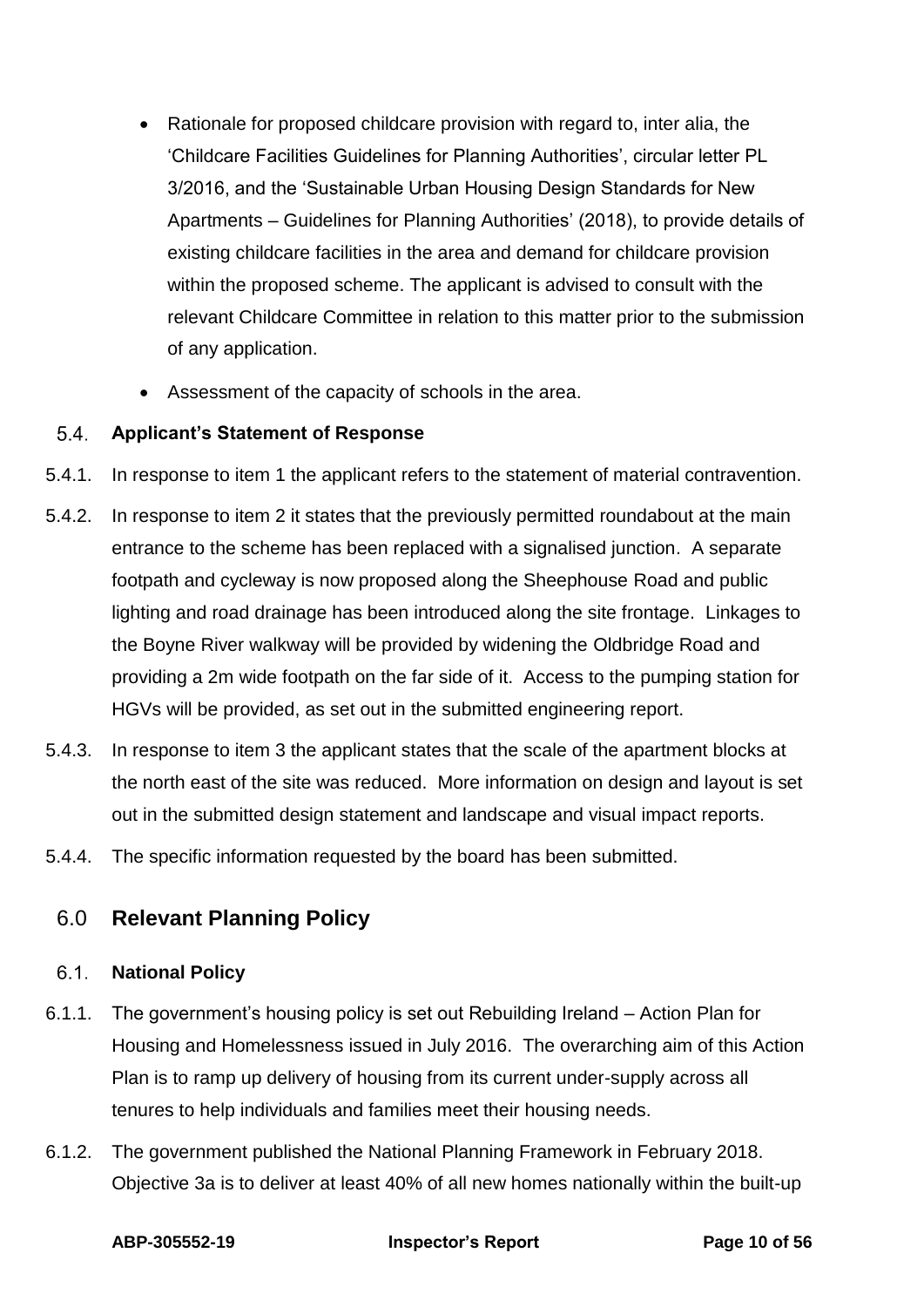- Rationale for proposed childcare provision with regard to, inter alia, the 'Childcare Facilities Guidelines for Planning Authorities', circular letter PL 3/2016, and the 'Sustainable Urban Housing Design Standards for New Apartments – Guidelines for Planning Authorities' (2018), to provide details of existing childcare facilities in the area and demand for childcare provision within the proposed scheme. The applicant is advised to consult with the relevant Childcare Committee in relation to this matter prior to the submission of any application.
- Assessment of the capacity of schools in the area.

#### $5.4.$ **Applicant's Statement of Response**

- 5.4.1. In response to item 1 the applicant refers to the statement of material contravention.
- 5.4.2. In response to item 2 it states that the previously permitted roundabout at the main entrance to the scheme has been replaced with a signalised junction. A separate footpath and cycleway is now proposed along the Sheephouse Road and public lighting and road drainage has been introduced along the site frontage. Linkages to the Boyne River walkway will be provided by widening the Oldbridge Road and providing a 2m wide footpath on the far side of it. Access to the pumping station for HGVs will be provided, as set out in the submitted engineering report.
- 5.4.3. In response to item 3 the applicant states that the scale of the apartment blocks at the north east of the site was reduced. More information on design and layout is set out in the submitted design statement and landscape and visual impact reports.
- 5.4.4. The specific information requested by the board has been submitted.

## <span id="page-9-0"></span>6.0 **Relevant Planning Policy**

#### $6.1.$ **National Policy**

- 6.1.1. The government's housing policy is set out Rebuilding Ireland Action Plan for Housing and Homelessness issued in July 2016. The overarching aim of this Action Plan is to ramp up delivery of housing from its current under-supply across all tenures to help individuals and families meet their housing needs.
- 6.1.2. The government published the National Planning Framework in February 2018. Objective 3a is to deliver at least 40% of all new homes nationally within the built-up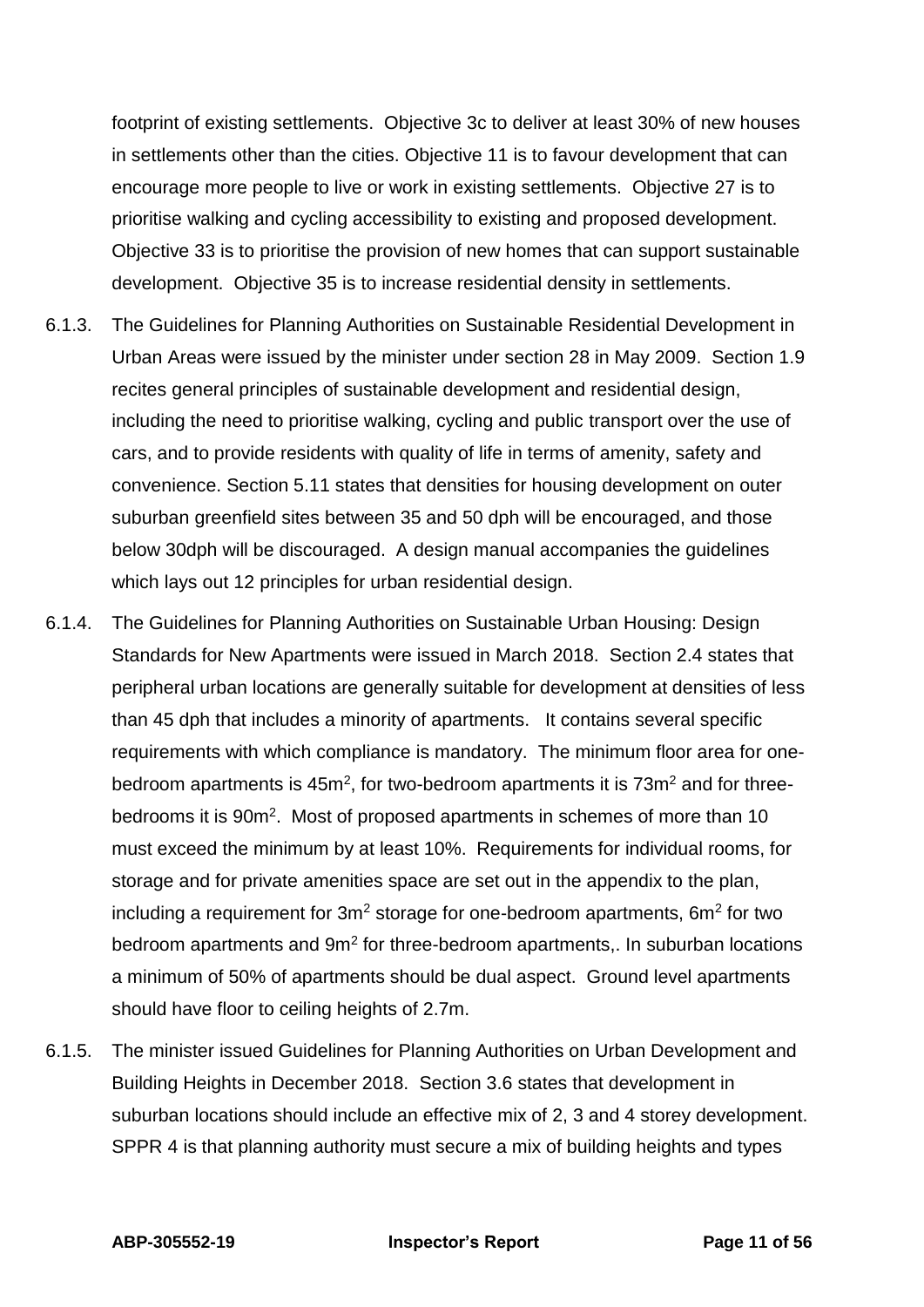footprint of existing settlements. Objective 3c to deliver at least 30% of new houses in settlements other than the cities. Objective 11 is to favour development that can encourage more people to live or work in existing settlements. Objective 27 is to prioritise walking and cycling accessibility to existing and proposed development. Objective 33 is to prioritise the provision of new homes that can support sustainable development. Objective 35 is to increase residential density in settlements.

- 6.1.3. The Guidelines for Planning Authorities on Sustainable Residential Development in Urban Areas were issued by the minister under section 28 in May 2009. Section 1.9 recites general principles of sustainable development and residential design, including the need to prioritise walking, cycling and public transport over the use of cars, and to provide residents with quality of life in terms of amenity, safety and convenience. Section 5.11 states that densities for housing development on outer suburban greenfield sites between 35 and 50 dph will be encouraged, and those below 30dph will be discouraged. A design manual accompanies the guidelines which lays out 12 principles for urban residential design.
- 6.1.4. The Guidelines for Planning Authorities on Sustainable Urban Housing: Design Standards for New Apartments were issued in March 2018. Section 2.4 states that peripheral urban locations are generally suitable for development at densities of less than 45 dph that includes a minority of apartments. It contains several specific requirements with which compliance is mandatory. The minimum floor area for onebedroom apartments is  $45m^2$ , for two-bedroom apartments it is  $73m^2$  and for threebedrooms it is 90m<sup>2</sup>. Most of proposed apartments in schemes of more than 10 must exceed the minimum by at least 10%. Requirements for individual rooms, for storage and for private amenities space are set out in the appendix to the plan, including a requirement for  $3m^2$  storage for one-bedroom apartments, 6m<sup>2</sup> for two bedroom apartments and  $9m<sup>2</sup>$  for three-bedroom apartments,. In suburban locations a minimum of 50% of apartments should be dual aspect. Ground level apartments should have floor to ceiling heights of 2.7m.
- 6.1.5. The minister issued Guidelines for Planning Authorities on Urban Development and Building Heights in December 2018. Section 3.6 states that development in suburban locations should include an effective mix of 2, 3 and 4 storey development. SPPR 4 is that planning authority must secure a mix of building heights and types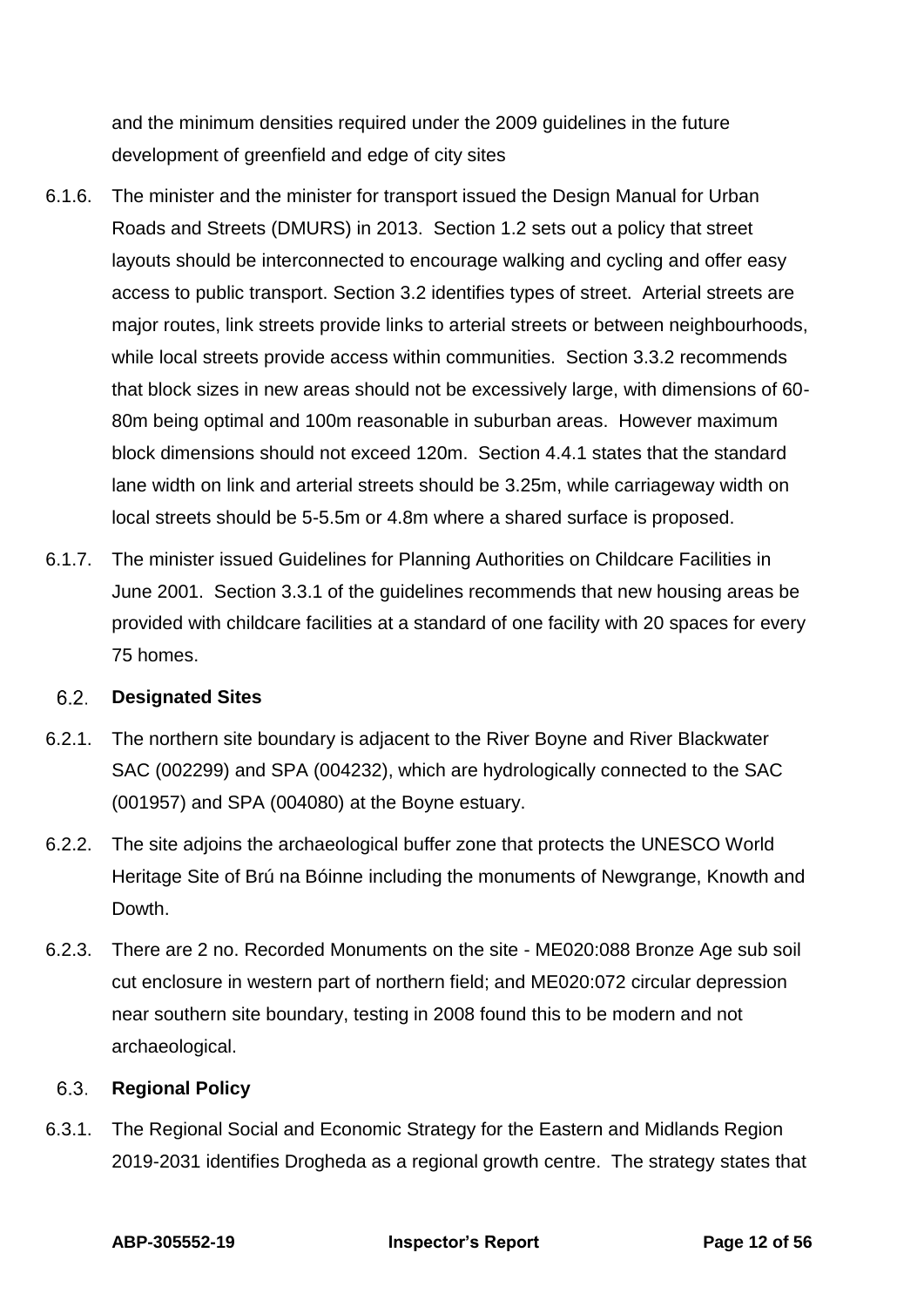and the minimum densities required under the 2009 guidelines in the future development of greenfield and edge of city sites

- 6.1.6. The minister and the minister for transport issued the Design Manual for Urban Roads and Streets (DMURS) in 2013. Section 1.2 sets out a policy that street layouts should be interconnected to encourage walking and cycling and offer easy access to public transport. Section 3.2 identifies types of street. Arterial streets are major routes, link streets provide links to arterial streets or between neighbourhoods, while local streets provide access within communities. Section 3.3.2 recommends that block sizes in new areas should not be excessively large, with dimensions of 60- 80m being optimal and 100m reasonable in suburban areas. However maximum block dimensions should not exceed 120m. Section 4.4.1 states that the standard lane width on link and arterial streets should be 3.25m, while carriageway width on local streets should be 5-5.5m or 4.8m where a shared surface is proposed.
- 6.1.7. The minister issued Guidelines for Planning Authorities on Childcare Facilities in June 2001. Section 3.3.1 of the guidelines recommends that new housing areas be provided with childcare facilities at a standard of one facility with 20 spaces for every 75 homes.

#### $6.2$ **Designated Sites**

- 6.2.1. The northern site boundary is adjacent to the River Boyne and River Blackwater SAC (002299) and SPA (004232), which are hydrologically connected to the SAC (001957) and SPA (004080) at the Boyne estuary.
- 6.2.2. The site adjoins the archaeological buffer zone that protects the UNESCO World Heritage Site of Brú na Bóinne including the monuments of Newgrange, Knowth and Dowth.
- 6.2.3. There are 2 no. Recorded Monuments on the site ME020:088 Bronze Age sub soil cut enclosure in western part of northern field; and ME020:072 circular depression near southern site boundary, testing in 2008 found this to be modern and not archaeological.

#### 6.3. **Regional Policy**

6.3.1. The Regional Social and Economic Strategy for the Eastern and Midlands Region 2019-2031 identifies Drogheda as a regional growth centre. The strategy states that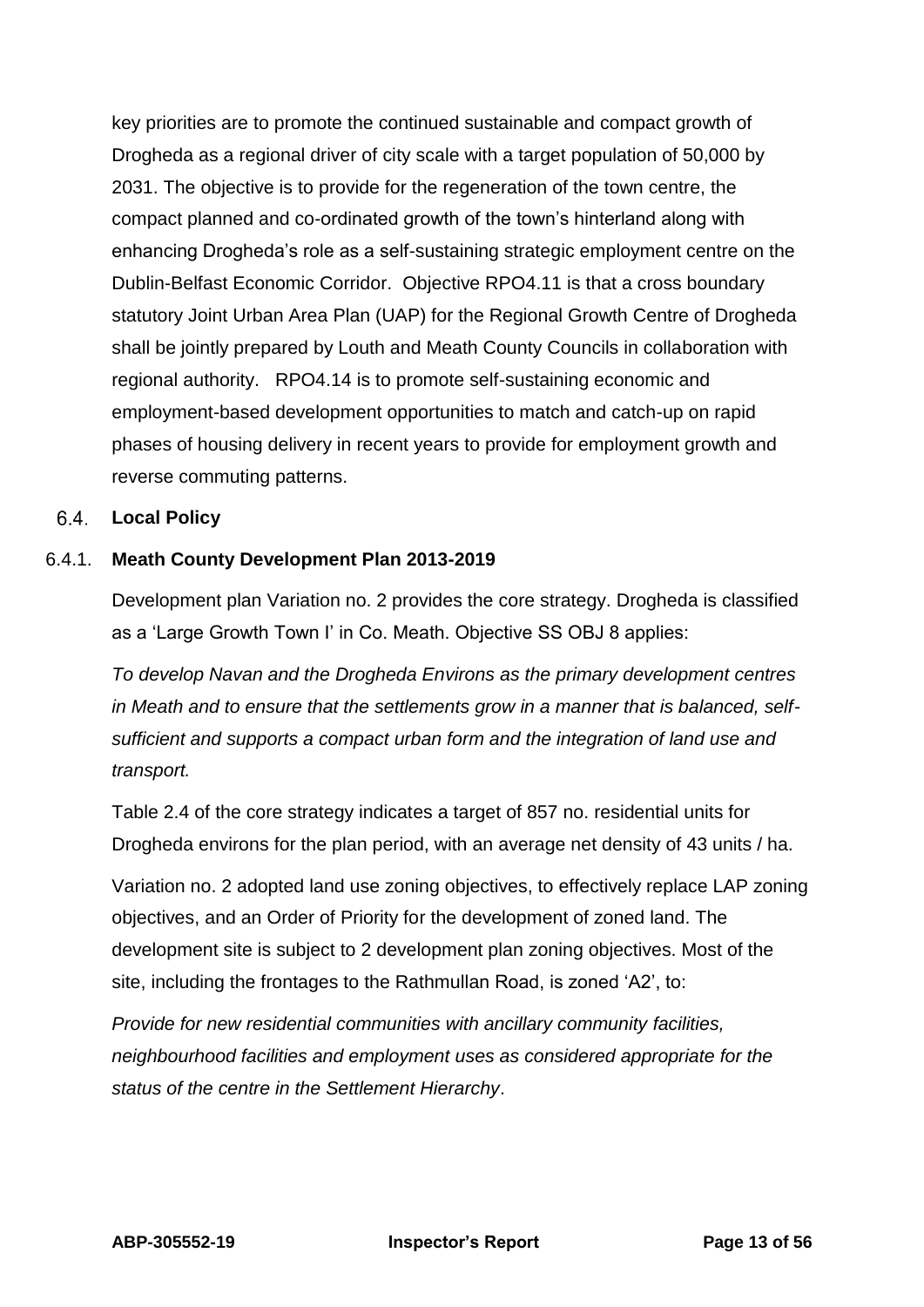key priorities are to promote the continued sustainable and compact growth of Drogheda as a regional driver of city scale with a target population of 50,000 by 2031. The objective is to provide for the regeneration of the town centre, the compact planned and co-ordinated growth of the town's hinterland along with enhancing Drogheda's role as a self-sustaining strategic employment centre on the Dublin-Belfast Economic Corridor. Objective RPO4.11 is that a cross boundary statutory Joint Urban Area Plan (UAP) for the Regional Growth Centre of Drogheda shall be jointly prepared by Louth and Meath County Councils in collaboration with regional authority. RPO4.14 is to promote self-sustaining economic and employment-based development opportunities to match and catch-up on rapid phases of housing delivery in recent years to provide for employment growth and reverse commuting patterns.

### **Local Policy**

### 6.4.1. **Meath County Development Plan 2013-2019**

Development plan Variation no. 2 provides the core strategy. Drogheda is classified as a 'Large Growth Town I' in Co. Meath. Objective SS OBJ 8 applies:

*To develop Navan and the Drogheda Environs as the primary development centres in Meath and to ensure that the settlements grow in a manner that is balanced, selfsufficient and supports a compact urban form and the integration of land use and transport.*

Table 2.4 of the core strategy indicates a target of 857 no. residential units for Drogheda environs for the plan period, with an average net density of 43 units / ha.

Variation no. 2 adopted land use zoning objectives, to effectively replace LAP zoning objectives, and an Order of Priority for the development of zoned land. The development site is subject to 2 development plan zoning objectives. Most of the site, including the frontages to the Rathmullan Road, is zoned 'A2', to:

*Provide for new residential communities with ancillary community facilities, neighbourhood facilities and employment uses as considered appropriate for the status of the centre in the Settlement Hierarchy*.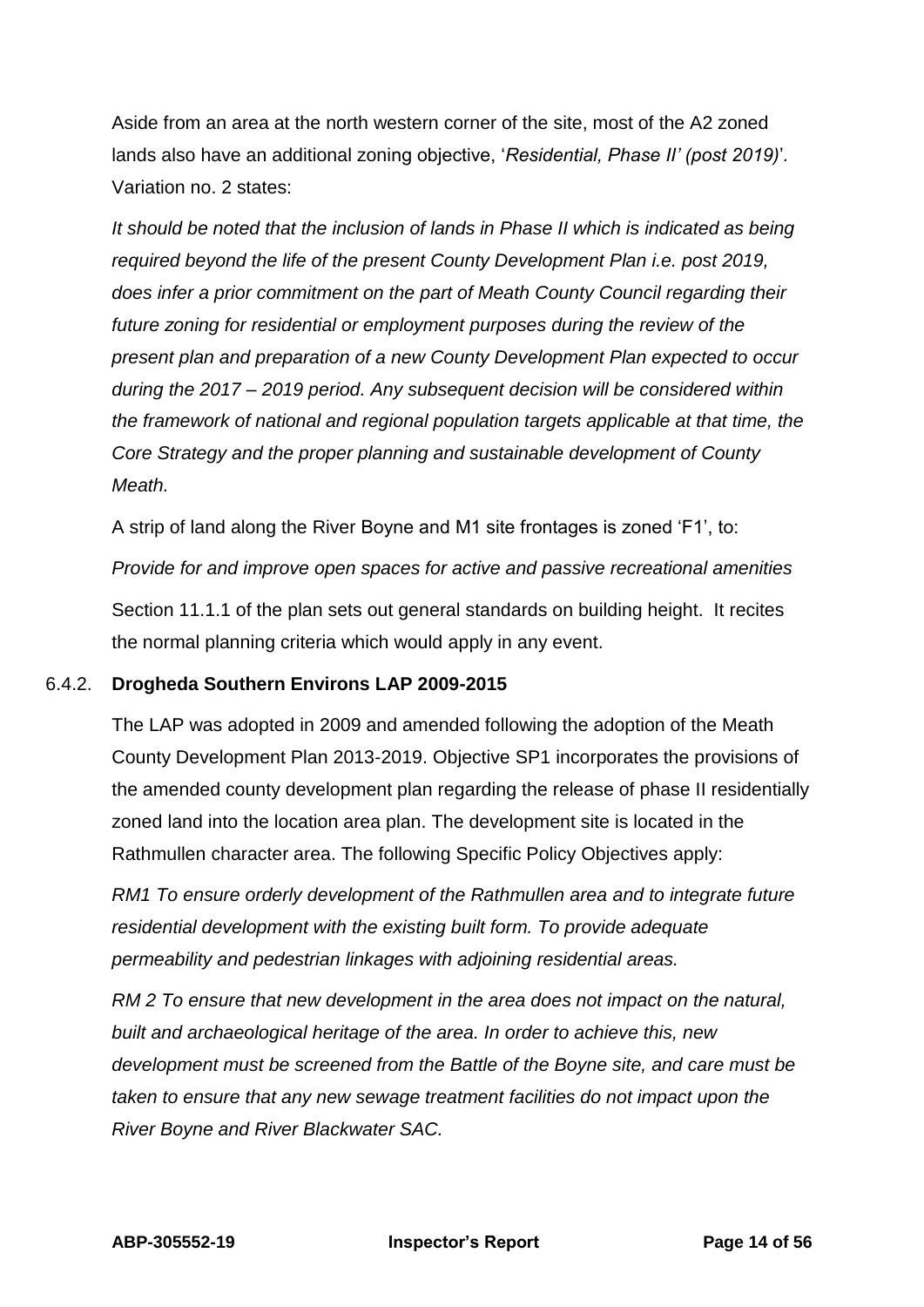Aside from an area at the north western corner of the site, most of the A2 zoned lands also have an additional zoning objective, '*Residential, Phase II' (post 2019)*'*.* Variation no. 2 states:

*It should be noted that the inclusion of lands in Phase II which is indicated as being required beyond the life of the present County Development Plan i.e. post 2019, does infer a prior commitment on the part of Meath County Council regarding their future zoning for residential or employment purposes during the review of the present plan and preparation of a new County Development Plan expected to occur during the 2017 – 2019 period. Any subsequent decision will be considered within the framework of national and regional population targets applicable at that time, the Core Strategy and the proper planning and sustainable development of County Meath.*

A strip of land along the River Boyne and M1 site frontages is zoned 'F1', to:

*Provide for and improve open spaces for active and passive recreational amenities* Section 11.1.1 of the plan sets out general standards on building height. It recites the normal planning criteria which would apply in any event.

#### 6.4.2. **Drogheda Southern Environs LAP 2009-2015**

The LAP was adopted in 2009 and amended following the adoption of the Meath County Development Plan 2013-2019. Objective SP1 incorporates the provisions of the amended county development plan regarding the release of phase II residentially zoned land into the location area plan. The development site is located in the Rathmullen character area. The following Specific Policy Objectives apply:

*RM1 To ensure orderly development of the Rathmullen area and to integrate future residential development with the existing built form. To provide adequate permeability and pedestrian linkages with adjoining residential areas.*

*RM 2 To ensure that new development in the area does not impact on the natural, built and archaeological heritage of the area. In order to achieve this, new development must be screened from the Battle of the Boyne site, and care must be taken to ensure that any new sewage treatment facilities do not impact upon the River Boyne and River Blackwater SAC.*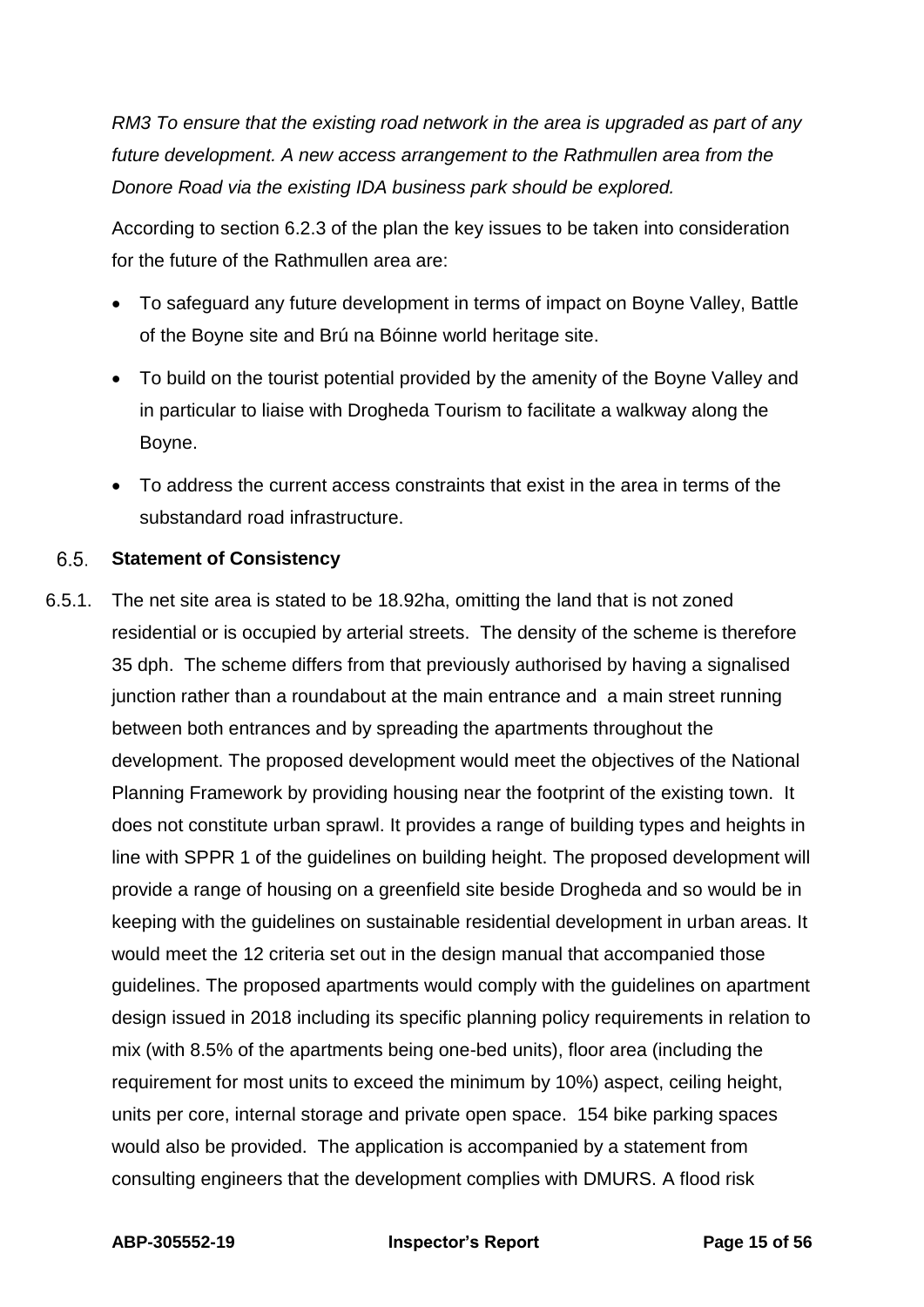*RM3 To ensure that the existing road network in the area is upgraded as part of any future development. A new access arrangement to the Rathmullen area from the Donore Road via the existing IDA business park should be explored.*

According to section 6.2.3 of the plan the key issues to be taken into consideration for the future of the Rathmullen area are:

- To safeguard any future development in terms of impact on Boyne Valley, Battle of the Boyne site and Brú na Bóinne world heritage site.
- To build on the tourist potential provided by the amenity of the Boyne Valley and in particular to liaise with Drogheda Tourism to facilitate a walkway along the Boyne.
- To address the current access constraints that exist in the area in terms of the substandard road infrastructure.

#### $6.5.$ **Statement of Consistency**

6.5.1. The net site area is stated to be 18.92ha, omitting the land that is not zoned residential or is occupied by arterial streets. The density of the scheme is therefore 35 dph. The scheme differs from that previously authorised by having a signalised junction rather than a roundabout at the main entrance and a main street running between both entrances and by spreading the apartments throughout the development. The proposed development would meet the objectives of the National Planning Framework by providing housing near the footprint of the existing town. It does not constitute urban sprawl. It provides a range of building types and heights in line with SPPR 1 of the guidelines on building height. The proposed development will provide a range of housing on a greenfield site beside Drogheda and so would be in keeping with the guidelines on sustainable residential development in urban areas. It would meet the 12 criteria set out in the design manual that accompanied those guidelines. The proposed apartments would comply with the guidelines on apartment design issued in 2018 including its specific planning policy requirements in relation to mix (with 8.5% of the apartments being one-bed units), floor area (including the requirement for most units to exceed the minimum by 10%) aspect, ceiling height, units per core, internal storage and private open space. 154 bike parking spaces would also be provided. The application is accompanied by a statement from consulting engineers that the development complies with DMURS. A flood risk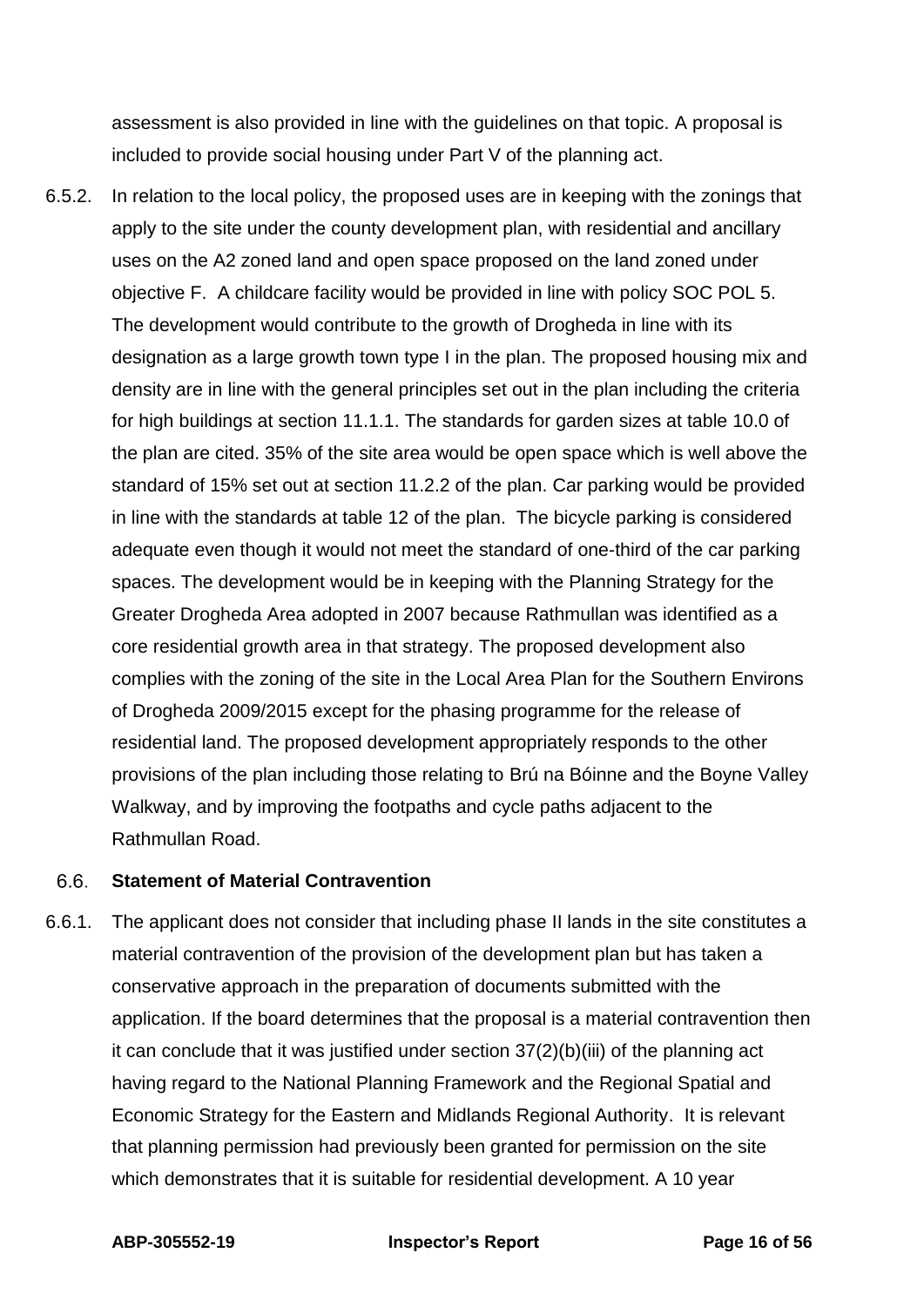assessment is also provided in line with the guidelines on that topic. A proposal is included to provide social housing under Part V of the planning act.

6.5.2. In relation to the local policy, the proposed uses are in keeping with the zonings that apply to the site under the county development plan, with residential and ancillary uses on the A2 zoned land and open space proposed on the land zoned under objective F. A childcare facility would be provided in line with policy SOC POL 5. The development would contribute to the growth of Drogheda in line with its designation as a large growth town type I in the plan. The proposed housing mix and density are in line with the general principles set out in the plan including the criteria for high buildings at section 11.1.1. The standards for garden sizes at table 10.0 of the plan are cited. 35% of the site area would be open space which is well above the standard of 15% set out at section 11.2.2 of the plan. Car parking would be provided in line with the standards at table 12 of the plan. The bicycle parking is considered adequate even though it would not meet the standard of one-third of the car parking spaces. The development would be in keeping with the Planning Strategy for the Greater Drogheda Area adopted in 2007 because Rathmullan was identified as a core residential growth area in that strategy. The proposed development also complies with the zoning of the site in the Local Area Plan for the Southern Environs of Drogheda 2009/2015 except for the phasing programme for the release of residential land. The proposed development appropriately responds to the other provisions of the plan including those relating to Brú na Bóinne and the Boyne Valley Walkway, and by improving the footpaths and cycle paths adjacent to the Rathmullan Road.

#### 6.6. **Statement of Material Contravention**

6.6.1. The applicant does not consider that including phase II lands in the site constitutes a material contravention of the provision of the development plan but has taken a conservative approach in the preparation of documents submitted with the application. If the board determines that the proposal is a material contravention then it can conclude that it was justified under section 37(2)(b)(iii) of the planning act having regard to the National Planning Framework and the Regional Spatial and Economic Strategy for the Eastern and Midlands Regional Authority. It is relevant that planning permission had previously been granted for permission on the site which demonstrates that it is suitable for residential development. A 10 year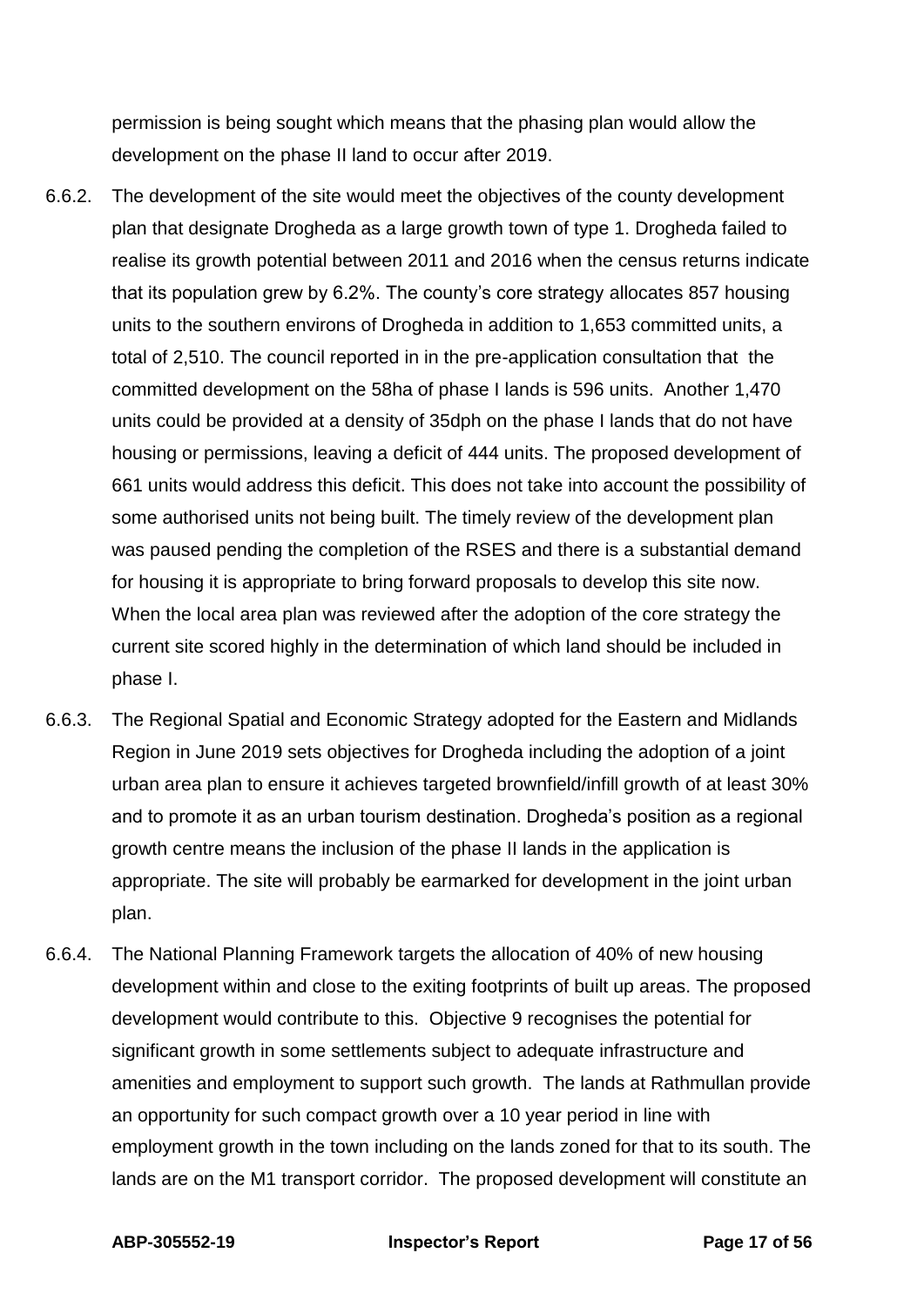permission is being sought which means that the phasing plan would allow the development on the phase II land to occur after 2019.

- 6.6.2. The development of the site would meet the objectives of the county development plan that designate Drogheda as a large growth town of type 1. Drogheda failed to realise its growth potential between 2011 and 2016 when the census returns indicate that its population grew by 6.2%. The county's core strategy allocates 857 housing units to the southern environs of Drogheda in addition to 1,653 committed units, a total of 2,510. The council reported in in the pre-application consultation that the committed development on the 58ha of phase I lands is 596 units. Another 1,470 units could be provided at a density of 35dph on the phase I lands that do not have housing or permissions, leaving a deficit of 444 units. The proposed development of 661 units would address this deficit. This does not take into account the possibility of some authorised units not being built. The timely review of the development plan was paused pending the completion of the RSES and there is a substantial demand for housing it is appropriate to bring forward proposals to develop this site now. When the local area plan was reviewed after the adoption of the core strategy the current site scored highly in the determination of which land should be included in phase I.
- 6.6.3. The Regional Spatial and Economic Strategy adopted for the Eastern and Midlands Region in June 2019 sets objectives for Drogheda including the adoption of a joint urban area plan to ensure it achieves targeted brownfield/infill growth of at least 30% and to promote it as an urban tourism destination. Drogheda's position as a regional growth centre means the inclusion of the phase II lands in the application is appropriate. The site will probably be earmarked for development in the joint urban plan.
- 6.6.4. The National Planning Framework targets the allocation of 40% of new housing development within and close to the exiting footprints of built up areas. The proposed development would contribute to this. Objective 9 recognises the potential for significant growth in some settlements subject to adequate infrastructure and amenities and employment to support such growth. The lands at Rathmullan provide an opportunity for such compact growth over a 10 year period in line with employment growth in the town including on the lands zoned for that to its south. The lands are on the M1 transport corridor. The proposed development will constitute an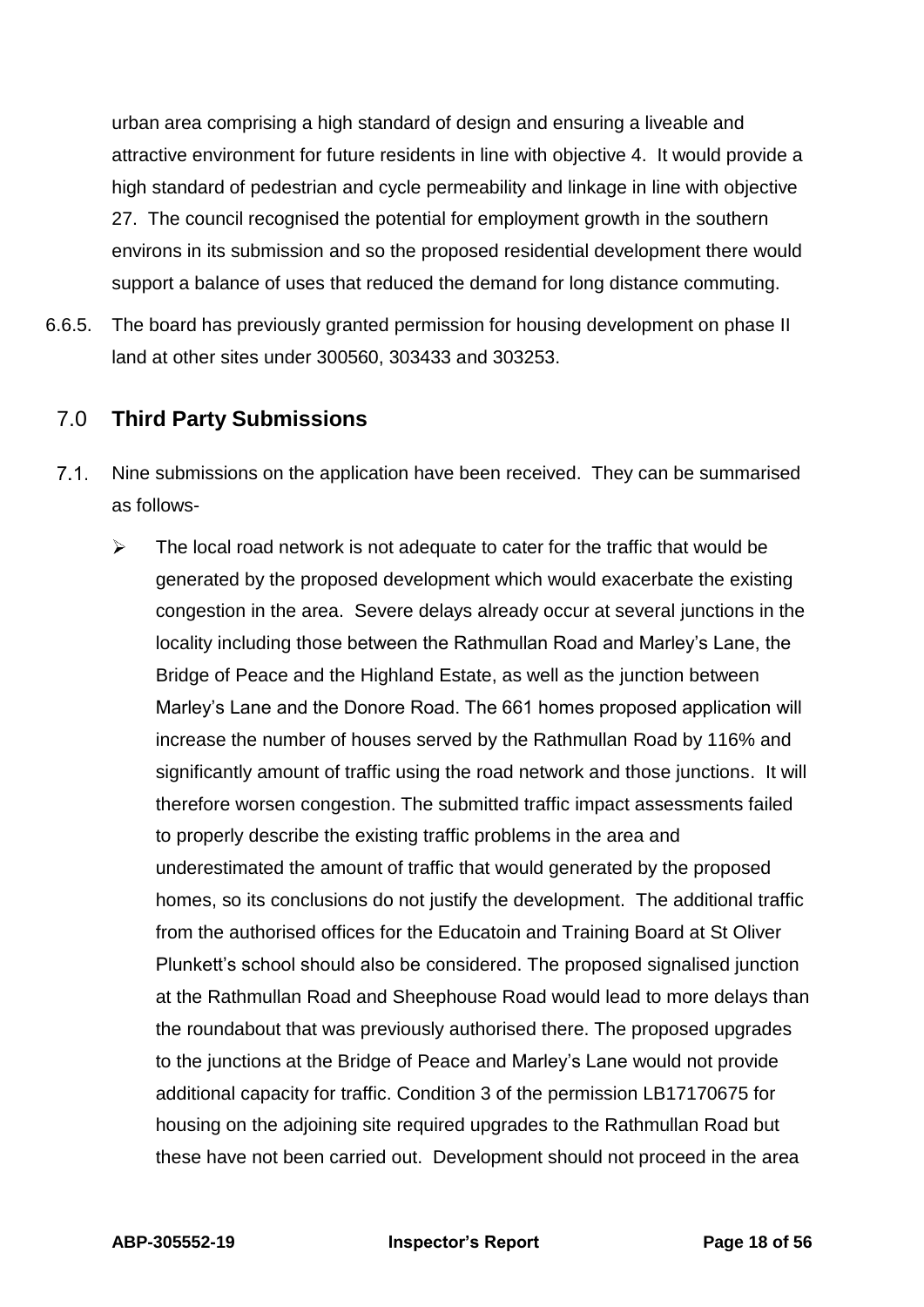urban area comprising a high standard of design and ensuring a liveable and attractive environment for future residents in line with objective 4. It would provide a high standard of pedestrian and cycle permeability and linkage in line with objective 27. The council recognised the potential for employment growth in the southern environs in its submission and so the proposed residential development there would support a balance of uses that reduced the demand for long distance commuting.

6.6.5. The board has previously granted permission for housing development on phase II land at other sites under 300560, 303433 and 303253.

## <span id="page-17-0"></span>7.0 **Third Party Submissions**

- $7.1.$ Nine submissions on the application have been received. They can be summarised as follows-
	- $\blacktriangleright$ The local road network is not adequate to cater for the traffic that would be generated by the proposed development which would exacerbate the existing congestion in the area. Severe delays already occur at several junctions in the locality including those between the Rathmullan Road and Marley's Lane, the Bridge of Peace and the Highland Estate, as well as the junction between Marley's Lane and the Donore Road. The 661 homes proposed application will increase the number of houses served by the Rathmullan Road by 116% and significantly amount of traffic using the road network and those junctions. It will therefore worsen congestion. The submitted traffic impact assessments failed to properly describe the existing traffic problems in the area and underestimated the amount of traffic that would generated by the proposed homes, so its conclusions do not justify the development. The additional traffic from the authorised offices for the Educatoin and Training Board at St Oliver Plunkett's school should also be considered. The proposed signalised junction at the Rathmullan Road and Sheephouse Road would lead to more delays than the roundabout that was previously authorised there. The proposed upgrades to the junctions at the Bridge of Peace and Marley's Lane would not provide additional capacity for traffic. Condition 3 of the permission LB17170675 for housing on the adjoining site required upgrades to the Rathmullan Road but these have not been carried out. Development should not proceed in the area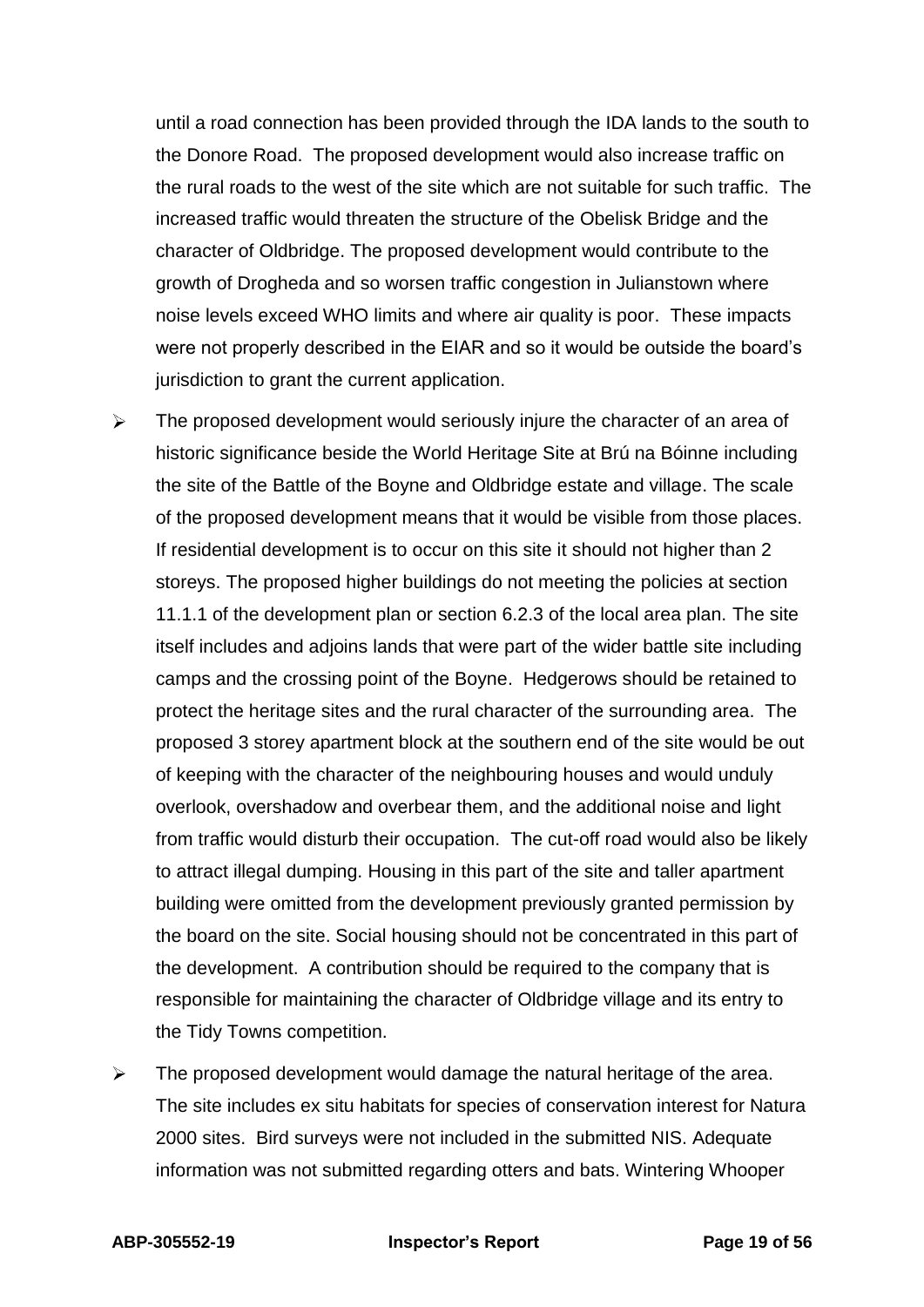until a road connection has been provided through the IDA lands to the south to the Donore Road. The proposed development would also increase traffic on the rural roads to the west of the site which are not suitable for such traffic. The increased traffic would threaten the structure of the Obelisk Bridge and the character of Oldbridge. The proposed development would contribute to the growth of Drogheda and so worsen traffic congestion in Julianstown where noise levels exceed WHO limits and where air quality is poor. These impacts were not properly described in the EIAR and so it would be outside the board's jurisdiction to grant the current application.

- $\triangleright$ The proposed development would seriously injure the character of an area of historic significance beside the World Heritage Site at Brú na Bóinne including the site of the Battle of the Boyne and Oldbridge estate and village. The scale of the proposed development means that it would be visible from those places. If residential development is to occur on this site it should not higher than 2 storeys. The proposed higher buildings do not meeting the policies at section 11.1.1 of the development plan or section 6.2.3 of the local area plan. The site itself includes and adjoins lands that were part of the wider battle site including camps and the crossing point of the Boyne. Hedgerows should be retained to protect the heritage sites and the rural character of the surrounding area. The proposed 3 storey apartment block at the southern end of the site would be out of keeping with the character of the neighbouring houses and would unduly overlook, overshadow and overbear them, and the additional noise and light from traffic would disturb their occupation. The cut-off road would also be likely to attract illegal dumping. Housing in this part of the site and taller apartment building were omitted from the development previously granted permission by the board on the site. Social housing should not be concentrated in this part of the development. A contribution should be required to the company that is responsible for maintaining the character of Oldbridge village and its entry to the Tidy Towns competition.
- $\blacktriangleright$ The proposed development would damage the natural heritage of the area. The site includes ex situ habitats for species of conservation interest for Natura 2000 sites. Bird surveys were not included in the submitted NIS. Adequate information was not submitted regarding otters and bats. Wintering Whooper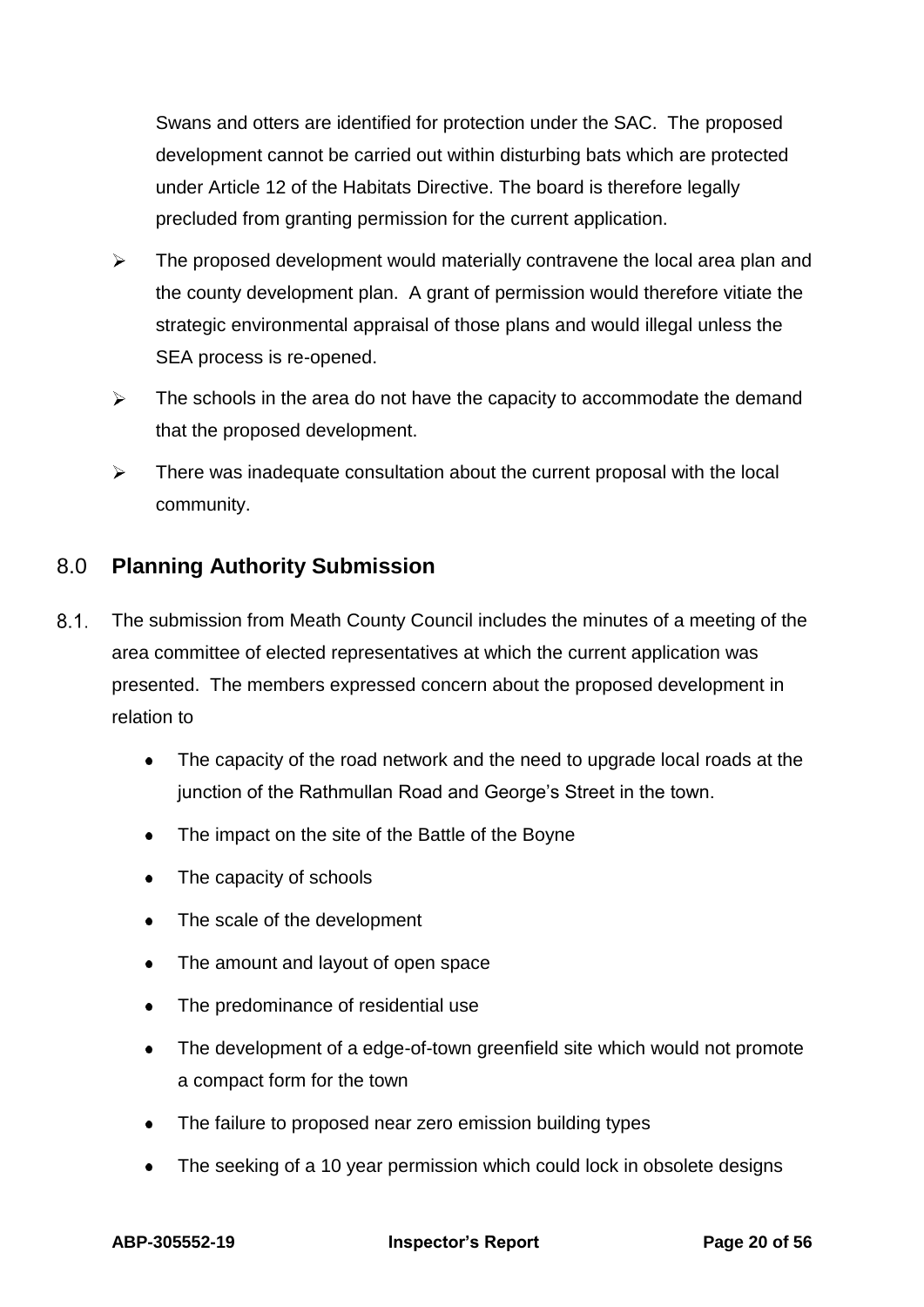Swans and otters are identified for protection under the SAC. The proposed development cannot be carried out within disturbing bats which are protected under Article 12 of the Habitats Directive. The board is therefore legally precluded from granting permission for the current application.

- $\blacktriangleright$ The proposed development would materially contravene the local area plan and the county development plan. A grant of permission would therefore vitiate the strategic environmental appraisal of those plans and would illegal unless the SEA process is re-opened.
- $\blacktriangleright$ The schools in the area do not have the capacity to accommodate the demand that the proposed development.
- $\blacktriangleright$ There was inadequate consultation about the current proposal with the local community.

## <span id="page-19-0"></span>8.0 **Planning Authority Submission**

- $8.1.$ The submission from Meath County Council includes the minutes of a meeting of the area committee of elected representatives at which the current application was presented. The members expressed concern about the proposed development in relation to
	- The capacity of the road network and the need to upgrade local roads at the junction of the Rathmullan Road and George's Street in the town.
	- $\bullet$ The impact on the site of the Battle of the Boyne
	- The capacity of schools
	- The scale of the development  $\bullet$
	- The amount and layout of open space
	- The predominance of residential use  $\bullet$
	- The development of a edge-of-town greenfield site which would not promote a compact form for the town
	- The failure to proposed near zero emission building types  $\bullet$
	- The seeking of a 10 year permission which could lock in obsolete designs $\bullet$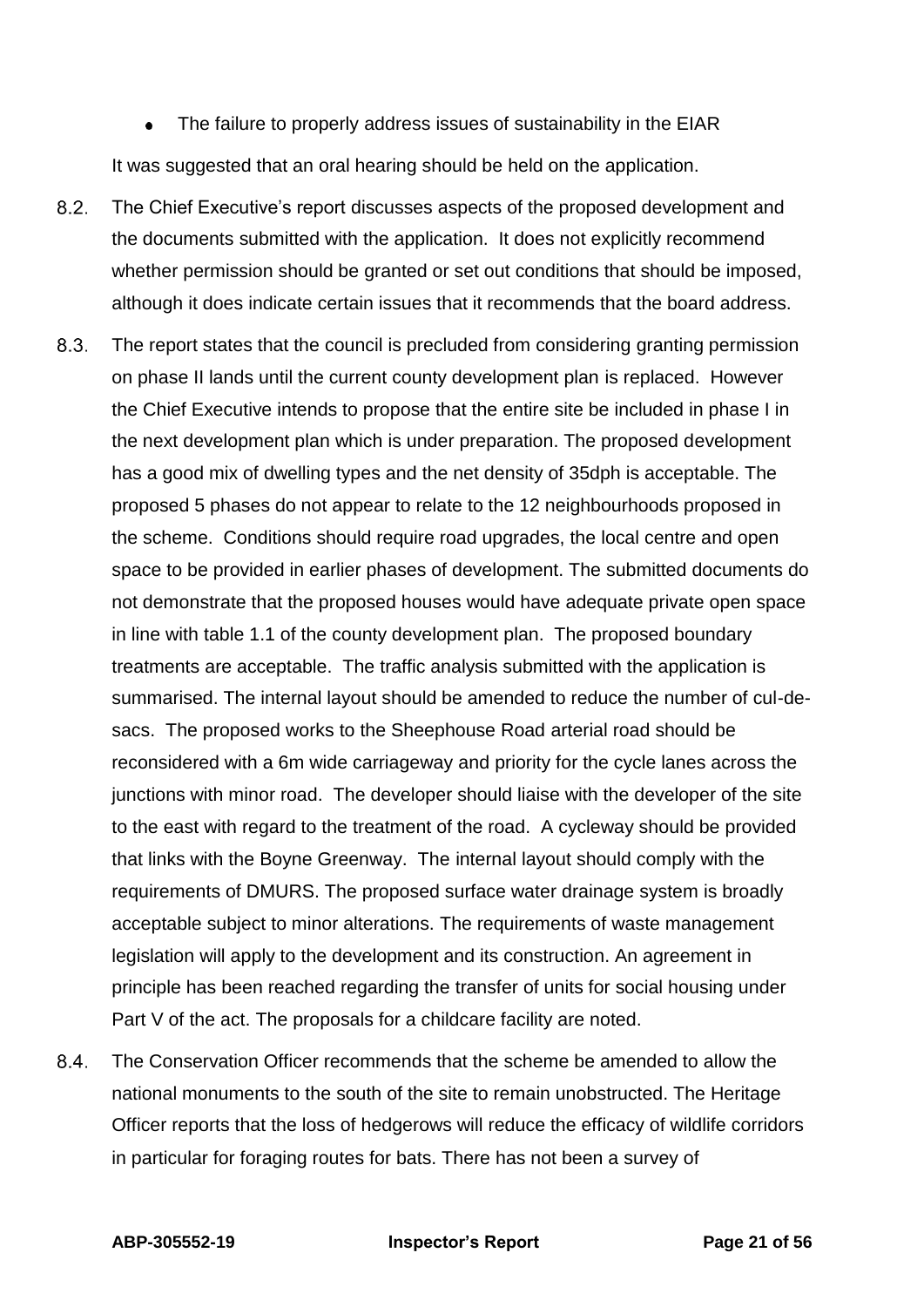$\bullet$ The failure to properly address issues of sustainability in the EIAR It was suggested that an oral hearing should be held on the application.

- $8.2.$ The Chief Executive's report discusses aspects of the proposed development and the documents submitted with the application. It does not explicitly recommend whether permission should be granted or set out conditions that should be imposed, although it does indicate certain issues that it recommends that the board address.
- $8.3.$ The report states that the council is precluded from considering granting permission on phase II lands until the current county development plan is replaced. However the Chief Executive intends to propose that the entire site be included in phase I in the next development plan which is under preparation. The proposed development has a good mix of dwelling types and the net density of 35dph is acceptable. The proposed 5 phases do not appear to relate to the 12 neighbourhoods proposed in the scheme. Conditions should require road upgrades, the local centre and open space to be provided in earlier phases of development. The submitted documents do not demonstrate that the proposed houses would have adequate private open space in line with table 1.1 of the county development plan. The proposed boundary treatments are acceptable. The traffic analysis submitted with the application is summarised. The internal layout should be amended to reduce the number of cul-desacs. The proposed works to the Sheephouse Road arterial road should be reconsidered with a 6m wide carriageway and priority for the cycle lanes across the junctions with minor road. The developer should liaise with the developer of the site to the east with regard to the treatment of the road. A cycleway should be provided that links with the Boyne Greenway. The internal layout should comply with the requirements of DMURS. The proposed surface water drainage system is broadly acceptable subject to minor alterations. The requirements of waste management legislation will apply to the development and its construction. An agreement in principle has been reached regarding the transfer of units for social housing under Part V of the act. The proposals for a childcare facility are noted.
- $8.4.$ The Conservation Officer recommends that the scheme be amended to allow the national monuments to the south of the site to remain unobstructed. The Heritage Officer reports that the loss of hedgerows will reduce the efficacy of wildlife corridors in particular for foraging routes for bats. There has not been a survey of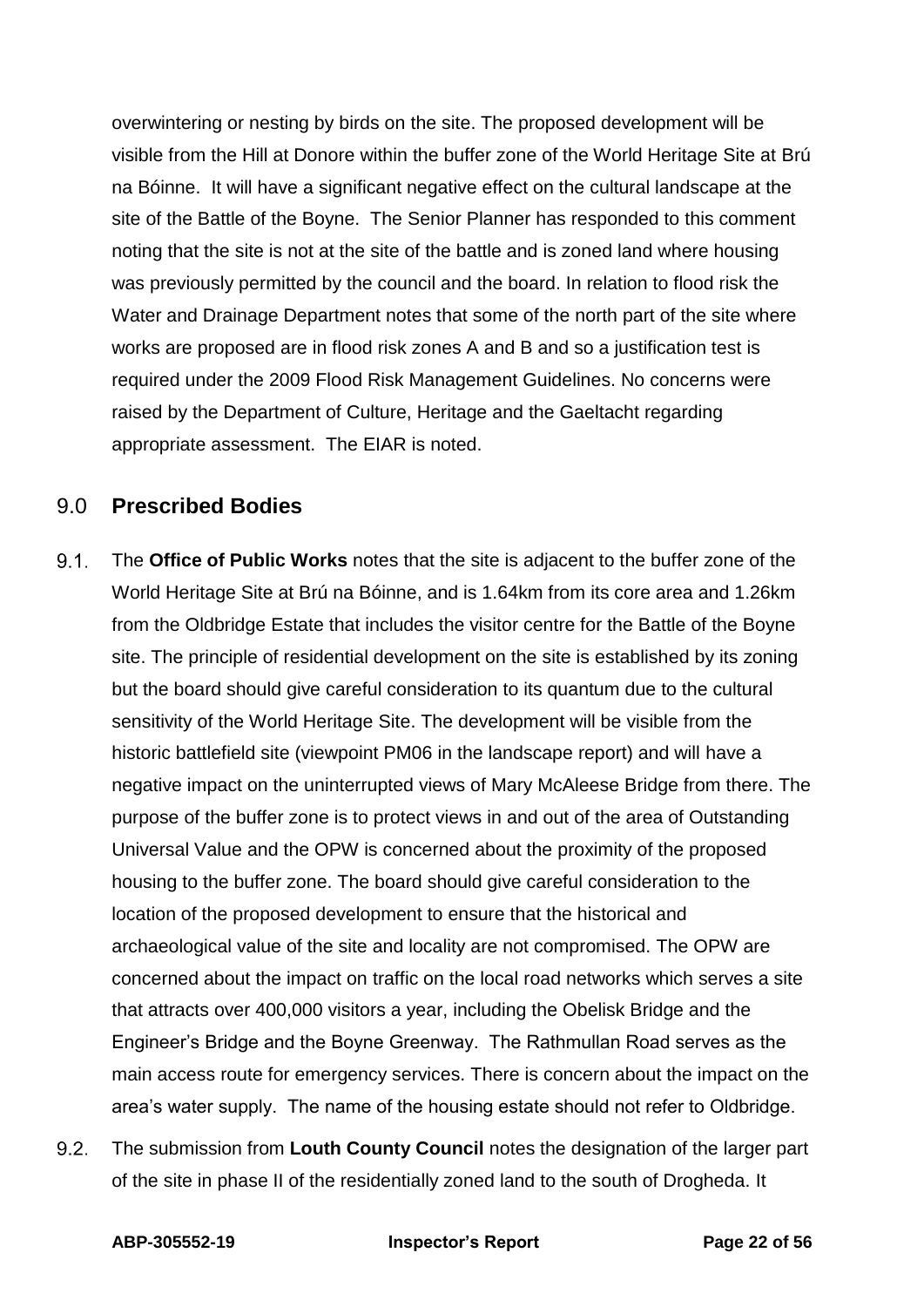overwintering or nesting by birds on the site. The proposed development will be visible from the Hill at Donore within the buffer zone of the World Heritage Site at Brú na Bóinne. It will have a significant negative effect on the cultural landscape at the site of the Battle of the Boyne. The Senior Planner has responded to this comment noting that the site is not at the site of the battle and is zoned land where housing was previously permitted by the council and the board. In relation to flood risk the Water and Drainage Department notes that some of the north part of the site where works are proposed are in flood risk zones A and B and so a justification test is required under the 2009 Flood Risk Management Guidelines. No concerns were raised by the Department of Culture, Heritage and the Gaeltacht regarding appropriate assessment. The EIAR is noted.

## <span id="page-21-0"></span>9.0 **Prescribed Bodies**

- $9.1$ The **Office of Public Works** notes that the site is adjacent to the buffer zone of the World Heritage Site at Brú na Bóinne, and is 1.64km from its core area and 1.26km from the Oldbridge Estate that includes the visitor centre for the Battle of the Boyne site. The principle of residential development on the site is established by its zoning but the board should give careful consideration to its quantum due to the cultural sensitivity of the World Heritage Site. The development will be visible from the historic battlefield site (viewpoint PM06 in the landscape report) and will have a negative impact on the uninterrupted views of Mary McAleese Bridge from there. The purpose of the buffer zone is to protect views in and out of the area of Outstanding Universal Value and the OPW is concerned about the proximity of the proposed housing to the buffer zone. The board should give careful consideration to the location of the proposed development to ensure that the historical and archaeological value of the site and locality are not compromised. The OPW are concerned about the impact on traffic on the local road networks which serves a site that attracts over 400,000 visitors a year, including the Obelisk Bridge and the Engineer's Bridge and the Boyne Greenway. The Rathmullan Road serves as the main access route for emergency services. There is concern about the impact on the area's water supply. The name of the housing estate should not refer to Oldbridge.
- $92$ The submission from **Louth County Council** notes the designation of the larger part of the site in phase II of the residentially zoned land to the south of Drogheda. It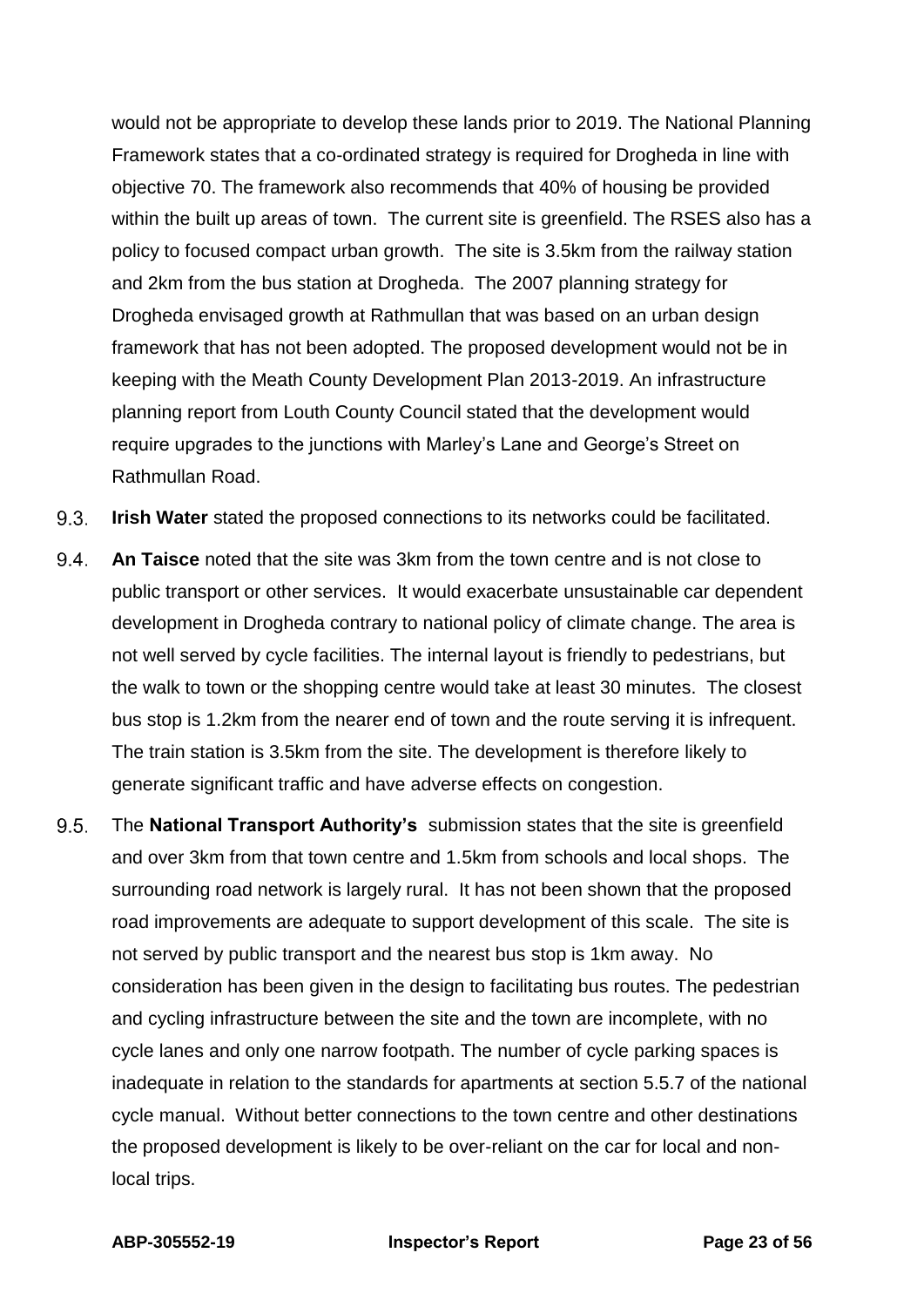would not be appropriate to develop these lands prior to 2019. The National Planning Framework states that a co-ordinated strategy is required for Drogheda in line with objective 70. The framework also recommends that 40% of housing be provided within the built up areas of town. The current site is greenfield. The RSES also has a policy to focused compact urban growth. The site is 3.5km from the railway station and 2km from the bus station at Drogheda. The 2007 planning strategy for Drogheda envisaged growth at Rathmullan that was based on an urban design framework that has not been adopted. The proposed development would not be in keeping with the Meath County Development Plan 2013-2019. An infrastructure planning report from Louth County Council stated that the development would require upgrades to the junctions with Marley's Lane and George's Street on Rathmullan Road.

- $9.3.$ **Irish Water** stated the proposed connections to its networks could be facilitated.
- $9.4.$ **An Taisce** noted that the site was 3km from the town centre and is not close to public transport or other services. It would exacerbate unsustainable car dependent development in Drogheda contrary to national policy of climate change. The area is not well served by cycle facilities. The internal layout is friendly to pedestrians, but the walk to town or the shopping centre would take at least 30 minutes. The closest bus stop is 1.2km from the nearer end of town and the route serving it is infrequent. The train station is 3.5km from the site. The development is therefore likely to generate significant traffic and have adverse effects on congestion.
- $9.5.$ The **National Transport Authority's** submission states that the site is greenfield and over 3km from that town centre and 1.5km from schools and local shops. The surrounding road network is largely rural. It has not been shown that the proposed road improvements are adequate to support development of this scale. The site is not served by public transport and the nearest bus stop is 1km away. No consideration has been given in the design to facilitating bus routes. The pedestrian and cycling infrastructure between the site and the town are incomplete, with no cycle lanes and only one narrow footpath. The number of cycle parking spaces is inadequate in relation to the standards for apartments at section 5.5.7 of the national cycle manual. Without better connections to the town centre and other destinations the proposed development is likely to be over-reliant on the car for local and nonlocal trips.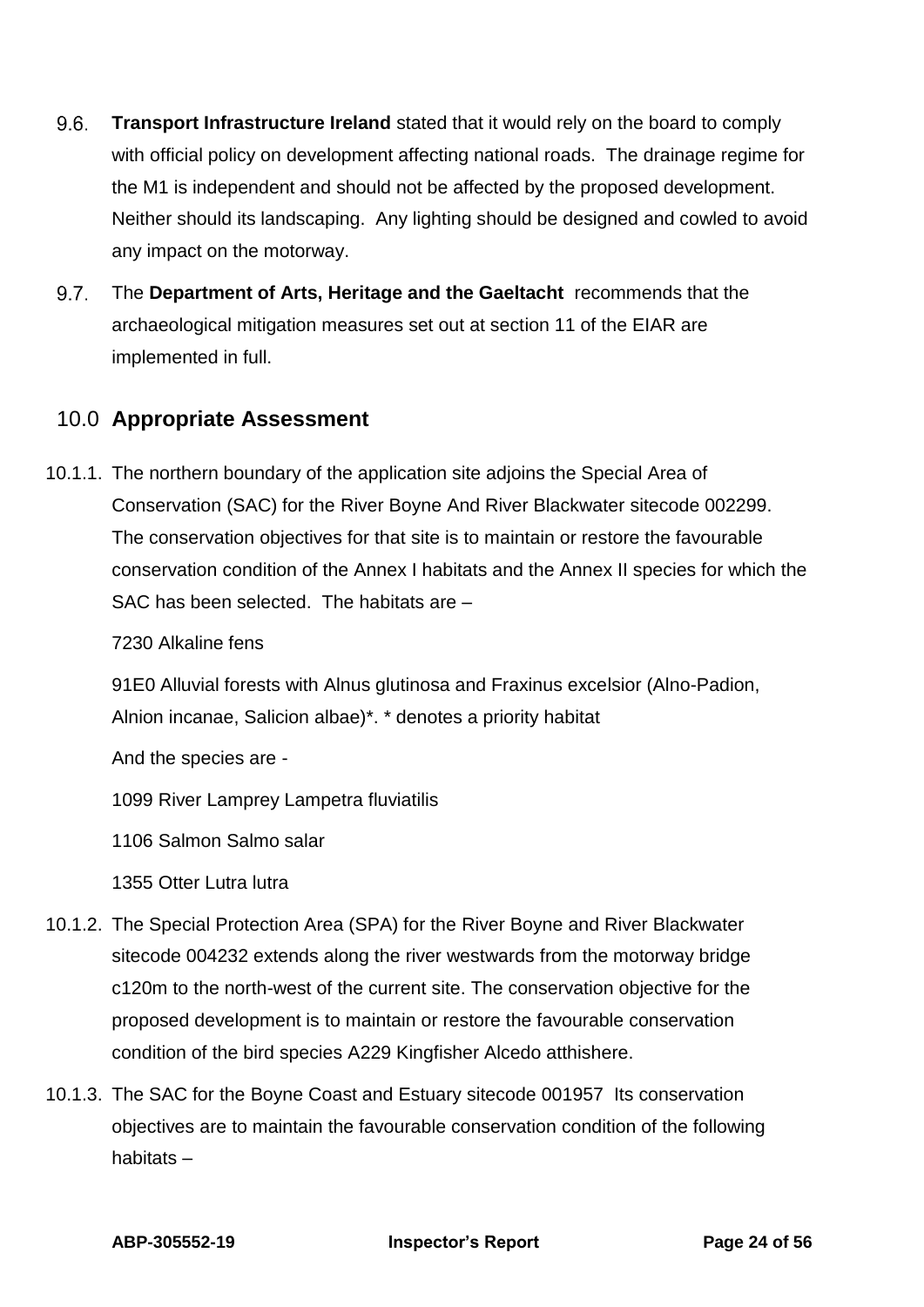- $9.6.$ **Transport Infrastructure Ireland** stated that it would rely on the board to comply with official policy on development affecting national roads. The drainage regime for the M1 is independent and should not be affected by the proposed development. Neither should its landscaping. Any lighting should be designed and cowled to avoid any impact on the motorway.
- $9.7$ The **Department of Arts, Heritage and the Gaeltacht** recommends that the archaeological mitigation measures set out at section 11 of the EIAR are implemented in full.

## <span id="page-23-0"></span>10.0 **Appropriate Assessment**

10.1.1. The northern boundary of the application site adjoins the Special Area of Conservation (SAC) for the River Boyne And River Blackwater sitecode 002299. The conservation objectives for that site is to maintain or restore the favourable conservation condition of the Annex I habitats and the Annex II species for which the SAC has been selected. The habitats are –

7230 Alkaline fens

91E0 Alluvial forests with Alnus glutinosa and Fraxinus excelsior (Alno-Padion, Alnion incanae, Salicion albae)\*. \* denotes a priority habitat

And the species are -

1099 River Lamprey Lampetra fluviatilis

1106 Salmon Salmo salar

1355 Otter Lutra lutra

- 10.1.2. The Special Protection Area (SPA) for the River Boyne and River Blackwater sitecode 004232 extends along the river westwards from the motorway bridge c120m to the north-west of the current site. The conservation objective for the proposed development is to maintain or restore the favourable conservation condition of the bird species A229 Kingfisher Alcedo atthishere.
- 10.1.3. The SAC for the Boyne Coast and Estuary sitecode 001957 Its conservation objectives are to maintain the favourable conservation condition of the following habitats –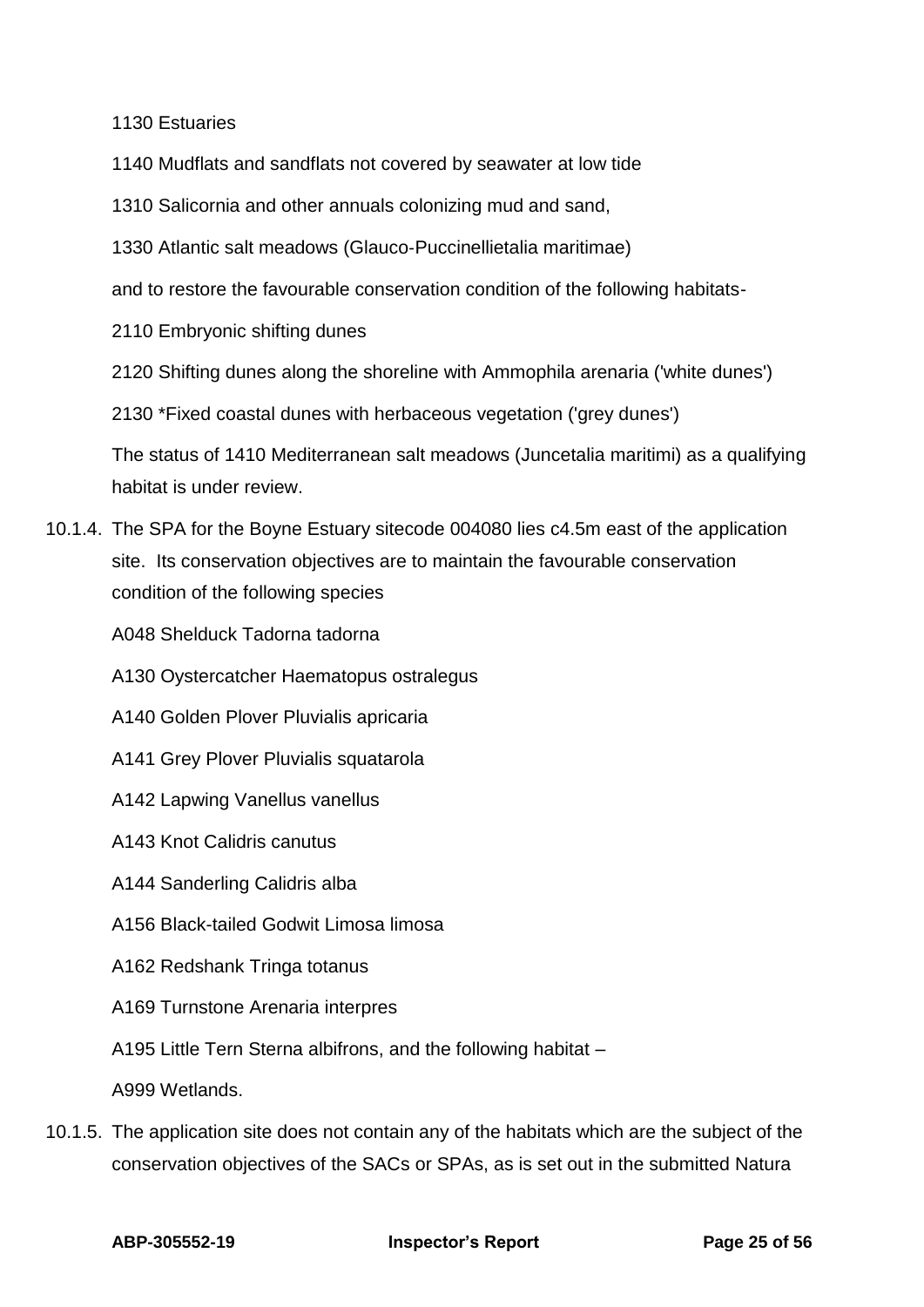1130 Estuaries

- 1140 Mudflats and sandflats not covered by seawater at low tide
- 1310 Salicornia and other annuals colonizing mud and sand,
- 1330 Atlantic salt meadows (Glauco‐Puccinellietalia maritimae)
- and to restore the favourable conservation condition of the following habitats-
- 2110 Embryonic shifting dunes
- 2120 Shifting dunes along the shoreline with Ammophila arenaria ('white dunes')
- 2130 \*Fixed coastal dunes with herbaceous vegetation ('grey dunes')

The status of 1410 Mediterranean salt meadows (Juncetalia maritimi) as a qualifying habitat is under review.

10.1.4. The SPA for the Boyne Estuary sitecode 004080 lies c4.5m east of the application site. Its conservation objectives are to maintain the favourable conservation condition of the following species

A048 Shelduck Tadorna tadorna

- A130 Oystercatcher Haematopus ostralegus
- A140 Golden Plover Pluvialis apricaria
- A141 Grey Plover Pluvialis squatarola
- A142 Lapwing Vanellus vanellus
- A143 Knot Calidris canutus
- A144 Sanderling Calidris alba
- A156 Black-tailed Godwit Limosa limosa
- A162 Redshank Tringa totanus
- A169 Turnstone Arenaria interpres
- A195 Little Tern Sterna albifrons, and the following habitat –

A999 Wetlands.

10.1.5. The application site does not contain any of the habitats which are the subject of the conservation objectives of the SACs or SPAs, as is set out in the submitted Natura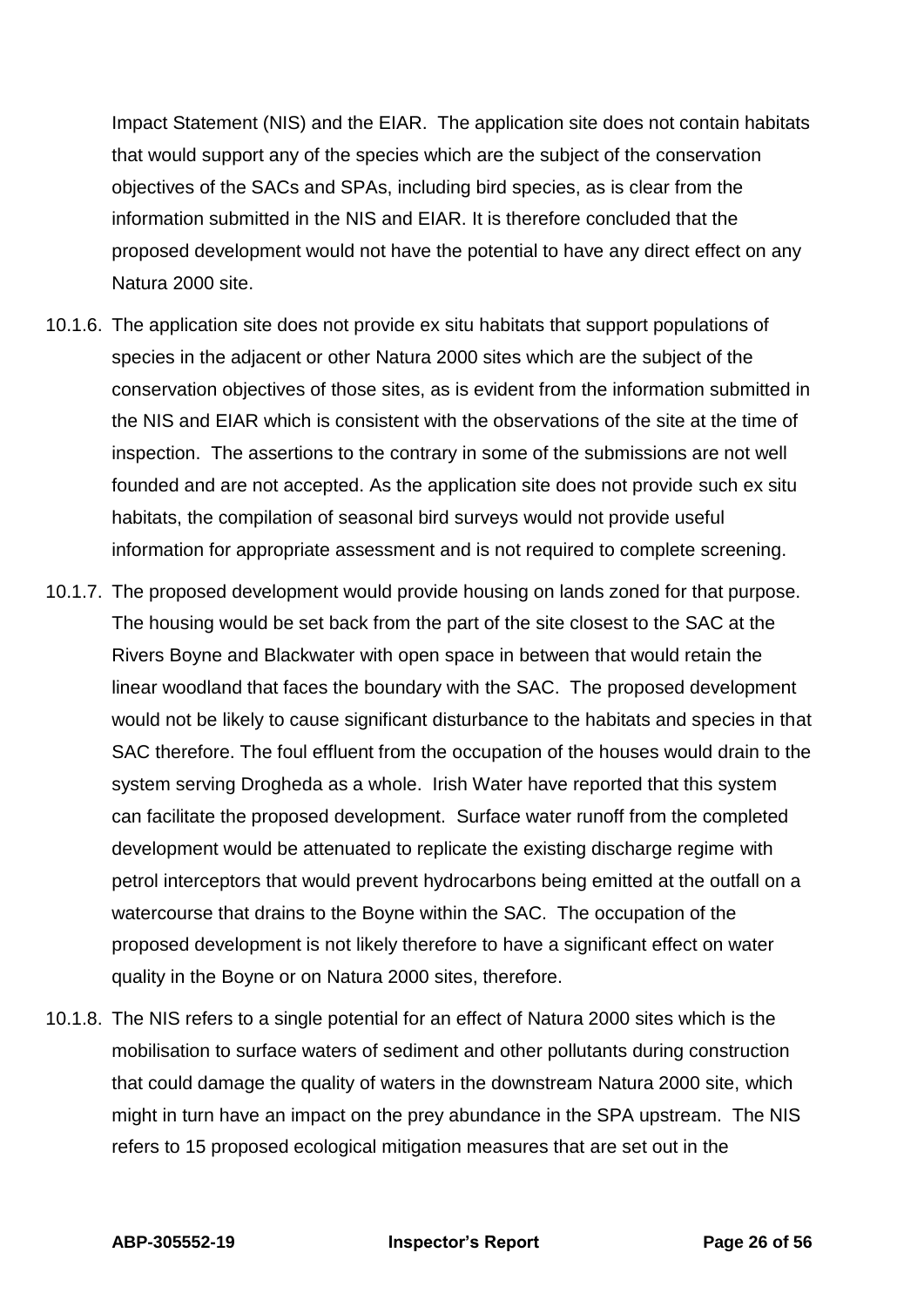Impact Statement (NIS) and the EIAR. The application site does not contain habitats that would support any of the species which are the subject of the conservation objectives of the SACs and SPAs, including bird species, as is clear from the information submitted in the NIS and EIAR. It is therefore concluded that the proposed development would not have the potential to have any direct effect on any Natura 2000 site.

- 10.1.6. The application site does not provide ex situ habitats that support populations of species in the adjacent or other Natura 2000 sites which are the subject of the conservation objectives of those sites, as is evident from the information submitted in the NIS and EIAR which is consistent with the observations of the site at the time of inspection. The assertions to the contrary in some of the submissions are not well founded and are not accepted. As the application site does not provide such ex situ habitats, the compilation of seasonal bird surveys would not provide useful information for appropriate assessment and is not required to complete screening.
- 10.1.7. The proposed development would provide housing on lands zoned for that purpose. The housing would be set back from the part of the site closest to the SAC at the Rivers Boyne and Blackwater with open space in between that would retain the linear woodland that faces the boundary with the SAC. The proposed development would not be likely to cause significant disturbance to the habitats and species in that SAC therefore. The foul effluent from the occupation of the houses would drain to the system serving Drogheda as a whole. Irish Water have reported that this system can facilitate the proposed development. Surface water runoff from the completed development would be attenuated to replicate the existing discharge regime with petrol interceptors that would prevent hydrocarbons being emitted at the outfall on a watercourse that drains to the Boyne within the SAC. The occupation of the proposed development is not likely therefore to have a significant effect on water quality in the Boyne or on Natura 2000 sites, therefore.
- 10.1.8. The NIS refers to a single potential for an effect of Natura 2000 sites which is the mobilisation to surface waters of sediment and other pollutants during construction that could damage the quality of waters in the downstream Natura 2000 site, which might in turn have an impact on the prey abundance in the SPA upstream. The NIS refers to 15 proposed ecological mitigation measures that are set out in the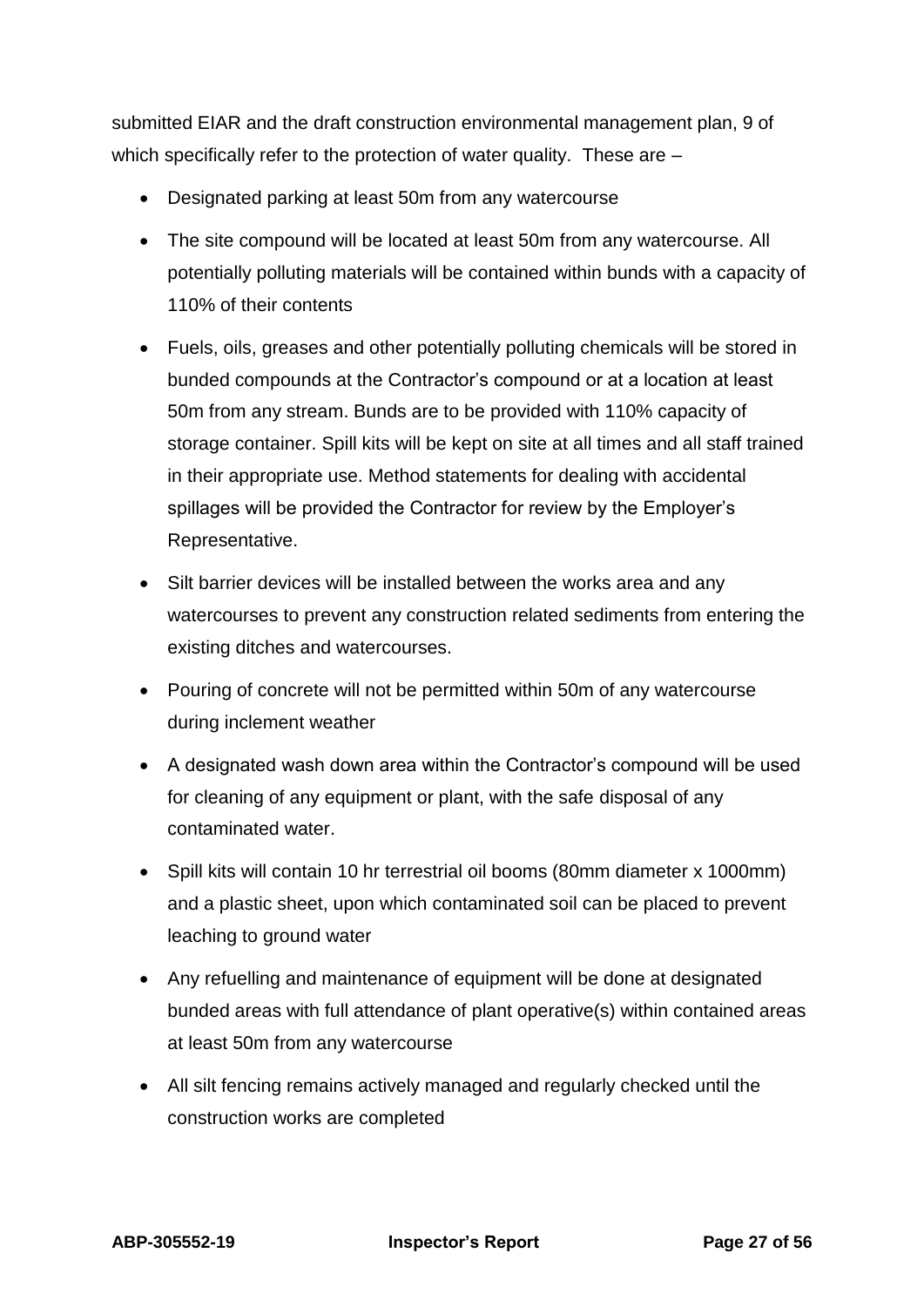submitted EIAR and the draft construction environmental management plan, 9 of which specifically refer to the protection of water quality. These are –

- Designated parking at least 50m from any watercourse
- The site compound will be located at least 50m from any watercourse. All potentially polluting materials will be contained within bunds with a capacity of 110% of their contents
- Fuels, oils, greases and other potentially polluting chemicals will be stored in bunded compounds at the Contractor's compound or at a location at least 50m from any stream. Bunds are to be provided with 110% capacity of storage container. Spill kits will be kept on site at all times and all staff trained in their appropriate use. Method statements for dealing with accidental spillages will be provided the Contractor for review by the Employer's Representative.
- Silt barrier devices will be installed between the works area and any watercourses to prevent any construction related sediments from entering the existing ditches and watercourses.
- Pouring of concrete will not be permitted within 50m of any watercourse during inclement weather
- A designated wash down area within the Contractor's compound will be used for cleaning of any equipment or plant, with the safe disposal of any contaminated water.
- Spill kits will contain 10 hr terrestrial oil booms (80mm diameter x 1000mm) and a plastic sheet, upon which contaminated soil can be placed to prevent leaching to ground water
- Any refuelling and maintenance of equipment will be done at designated bunded areas with full attendance of plant operative(s) within contained areas at least 50m from any watercourse
- All silt fencing remains actively managed and regularly checked until the construction works are completed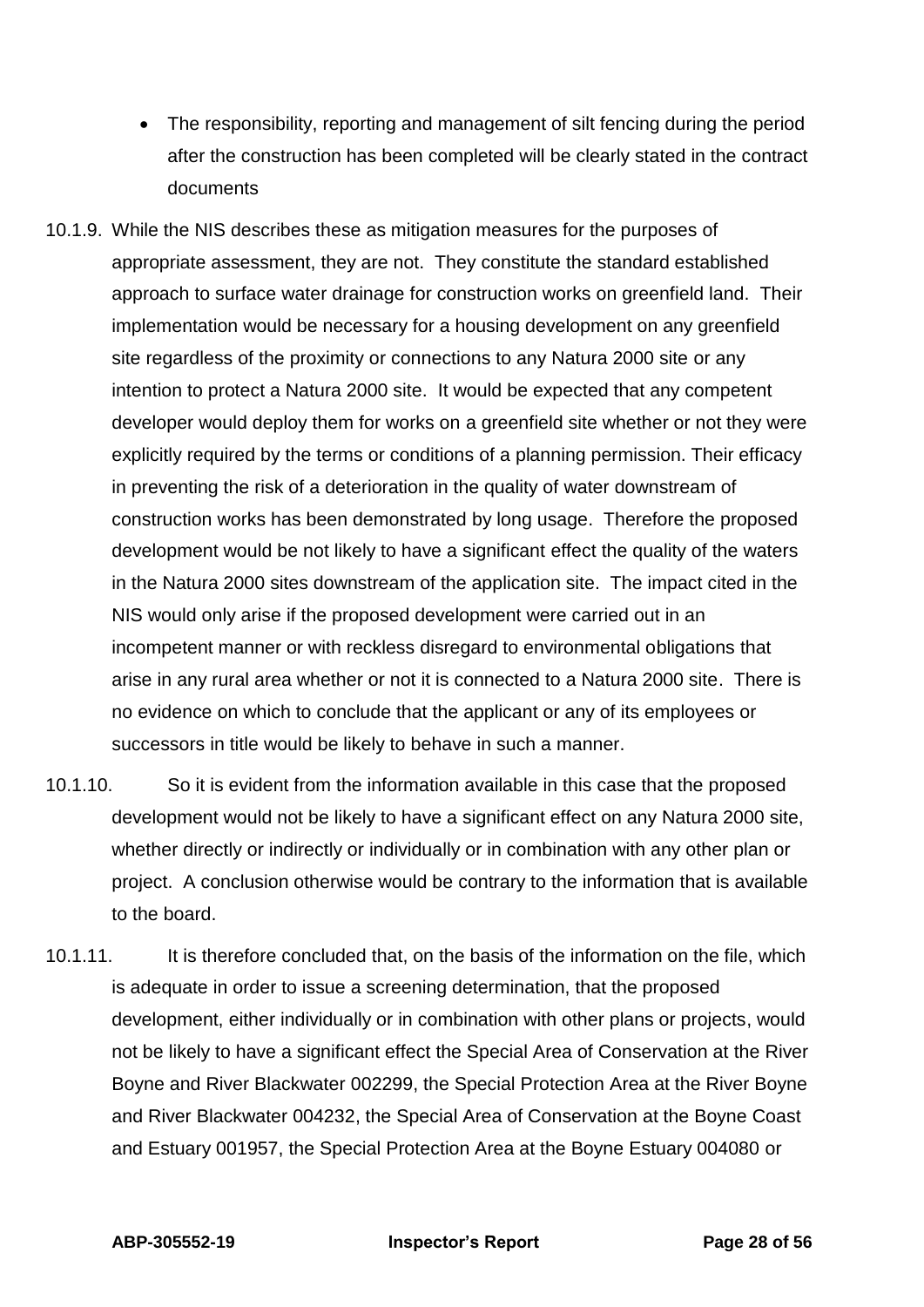- The responsibility, reporting and management of silt fencing during the period after the construction has been completed will be clearly stated in the contract documents
- 10.1.9. While the NIS describes these as mitigation measures for the purposes of appropriate assessment, they are not. They constitute the standard established approach to surface water drainage for construction works on greenfield land. Their implementation would be necessary for a housing development on any greenfield site regardless of the proximity or connections to any Natura 2000 site or any intention to protect a Natura 2000 site. It would be expected that any competent developer would deploy them for works on a greenfield site whether or not they were explicitly required by the terms or conditions of a planning permission. Their efficacy in preventing the risk of a deterioration in the quality of water downstream of construction works has been demonstrated by long usage. Therefore the proposed development would be not likely to have a significant effect the quality of the waters in the Natura 2000 sites downstream of the application site. The impact cited in the NIS would only arise if the proposed development were carried out in an incompetent manner or with reckless disregard to environmental obligations that arise in any rural area whether or not it is connected to a Natura 2000 site. There is no evidence on which to conclude that the applicant or any of its employees or successors in title would be likely to behave in such a manner.
- 10.1.10. So it is evident from the information available in this case that the proposed development would not be likely to have a significant effect on any Natura 2000 site, whether directly or indirectly or individually or in combination with any other plan or project. A conclusion otherwise would be contrary to the information that is available to the board.
- 10.1.11. It is therefore concluded that, on the basis of the information on the file, which is adequate in order to issue a screening determination, that the proposed development, either individually or in combination with other plans or projects, would not be likely to have a significant effect the Special Area of Conservation at the River Boyne and River Blackwater 002299, the Special Protection Area at the River Boyne and River Blackwater 004232, the Special Area of Conservation at the Boyne Coast and Estuary 001957, the Special Protection Area at the Boyne Estuary 004080 or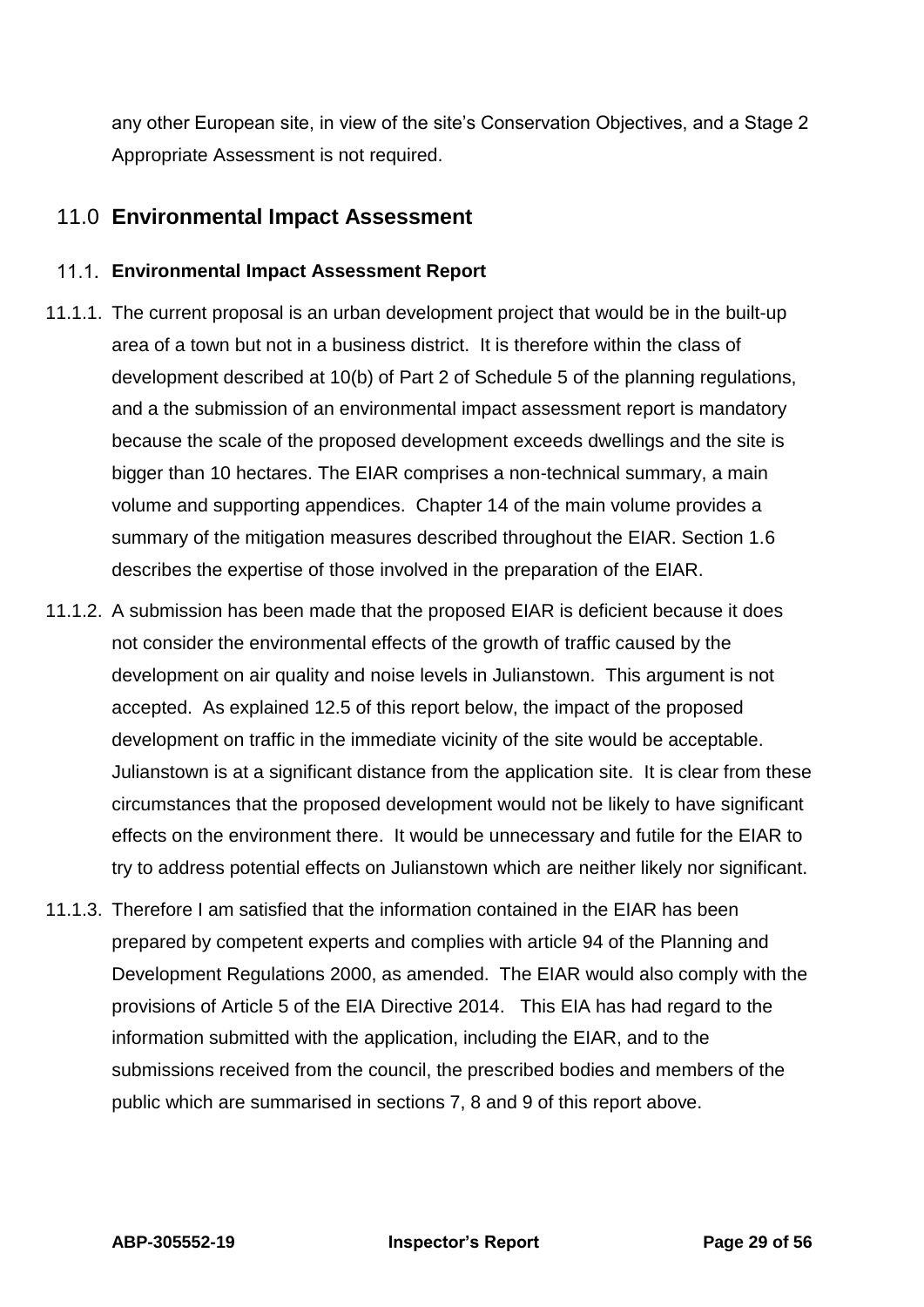any other European site, in view of the site's Conservation Objectives, and a Stage 2 Appropriate Assessment is not required.

## <span id="page-28-0"></span>11.0 **Environmental Impact Assessment**

### **Environmental Impact Assessment Report**

- 11.1.1. The current proposal is an urban development project that would be in the built-up area of a town but not in a business district. It is therefore within the class of development described at 10(b) of Part 2 of Schedule 5 of the planning regulations, and a the submission of an environmental impact assessment report is mandatory because the scale of the proposed development exceeds dwellings and the site is bigger than 10 hectares. The EIAR comprises a non-technical summary, a main volume and supporting appendices. Chapter 14 of the main volume provides a summary of the mitigation measures described throughout the EIAR. Section 1.6 describes the expertise of those involved in the preparation of the EIAR.
- 11.1.2. A submission has been made that the proposed EIAR is deficient because it does not consider the environmental effects of the growth of traffic caused by the development on air quality and noise levels in Julianstown. This argument is not accepted. As explained 12.5 of this report below, the impact of the proposed development on traffic in the immediate vicinity of the site would be acceptable. Julianstown is at a significant distance from the application site. It is clear from these circumstances that the proposed development would not be likely to have significant effects on the environment there. It would be unnecessary and futile for the EIAR to try to address potential effects on Julianstown which are neither likely nor significant.
- 11.1.3. Therefore I am satisfied that the information contained in the EIAR has been prepared by competent experts and complies with article 94 of the Planning and Development Regulations 2000, as amended. The EIAR would also comply with the provisions of Article 5 of the EIA Directive 2014. This EIA has had regard to the information submitted with the application, including the EIAR, and to the submissions received from the council, the prescribed bodies and members of the public which are summarised in sections 7, 8 and 9 of this report above.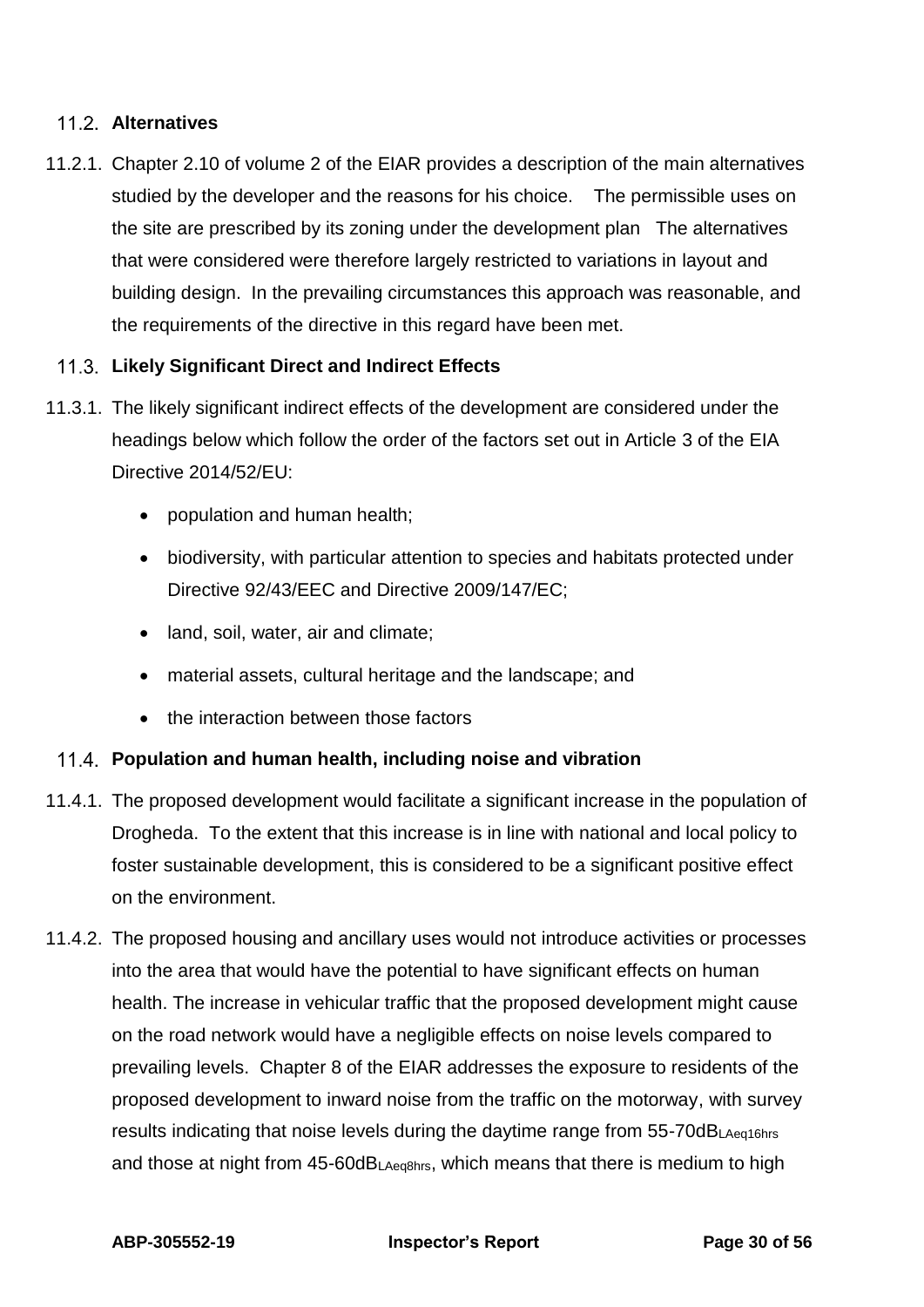### **Alternatives**

11.2.1. Chapter 2.10 of volume 2 of the EIAR provides a description of the main alternatives studied by the developer and the reasons for his choice. The permissible uses on the site are prescribed by its zoning under the development plan The alternatives that were considered were therefore largely restricted to variations in layout and building design. In the prevailing circumstances this approach was reasonable, and the requirements of the directive in this regard have been met.

### **Likely Significant Direct and Indirect Effects**

- 11.3.1. The likely significant indirect effects of the development are considered under the headings below which follow the order of the factors set out in Article 3 of the EIA Directive 2014/52/EU:
	- population and human health;
	- biodiversity, with particular attention to species and habitats protected under Directive 92/43/EEC and Directive 2009/147/EC;
	- land, soil, water, air and climate;
	- material assets, cultural heritage and the landscape; and
	- the interaction between those factors

#### **Population and human health, including noise and vibration**

- 11.4.1. The proposed development would facilitate a significant increase in the population of Drogheda. To the extent that this increase is in line with national and local policy to foster sustainable development, this is considered to be a significant positive effect on the environment.
- 11.4.2. The proposed housing and ancillary uses would not introduce activities or processes into the area that would have the potential to have significant effects on human health. The increase in vehicular traffic that the proposed development might cause on the road network would have a negligible effects on noise levels compared to prevailing levels. Chapter 8 of the EIAR addresses the exposure to residents of the proposed development to inward noise from the traffic on the motorway, with survey results indicating that noise levels during the daytime range from 55-70dBLAeq16hrs and those at night from 45-60dBLAeq8hrs, which means that there is medium to high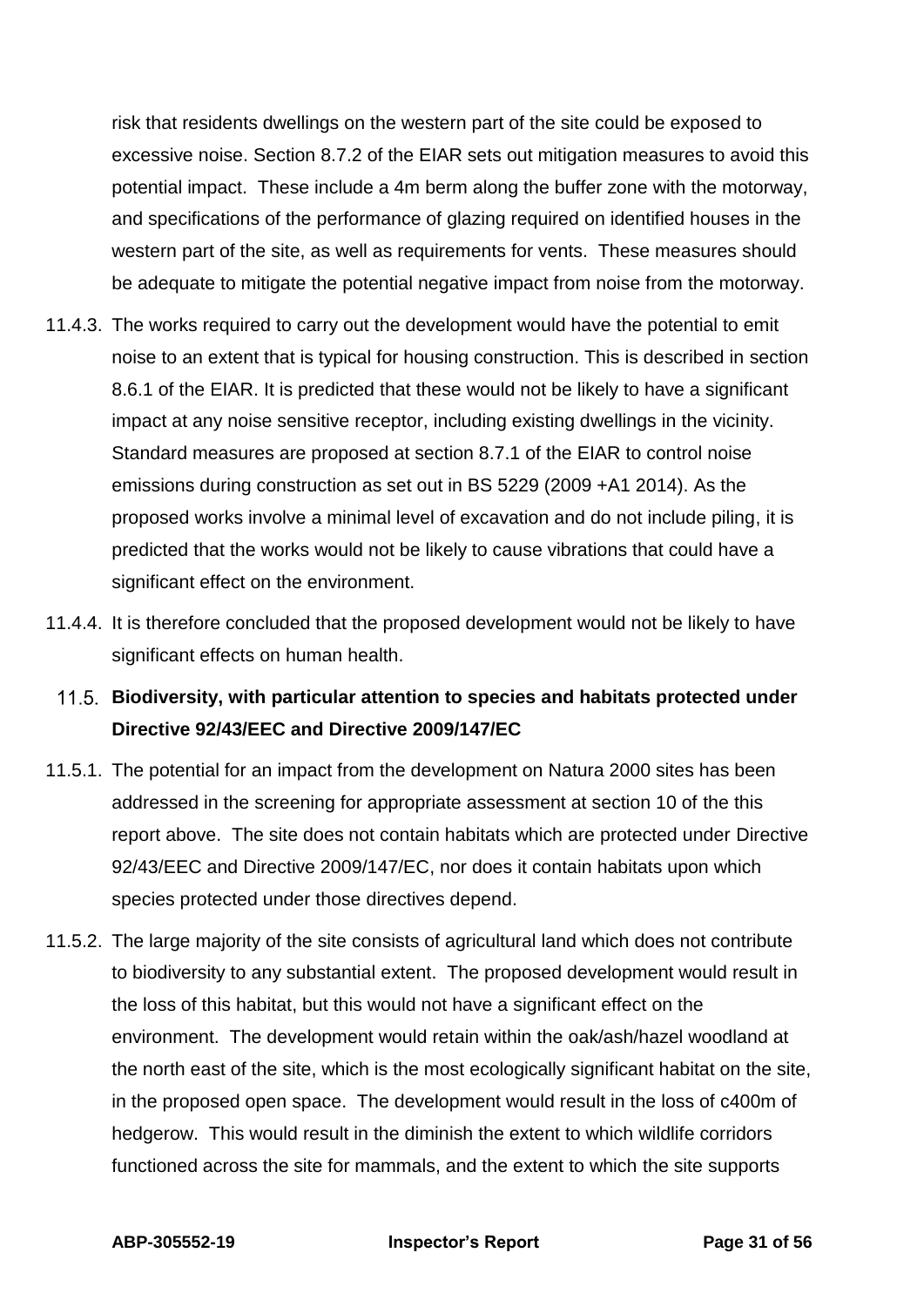risk that residents dwellings on the western part of the site could be exposed to excessive noise. Section 8.7.2 of the EIAR sets out mitigation measures to avoid this potential impact. These include a 4m berm along the buffer zone with the motorway, and specifications of the performance of glazing required on identified houses in the western part of the site, as well as requirements for vents. These measures should be adequate to mitigate the potential negative impact from noise from the motorway.

- 11.4.3. The works required to carry out the development would have the potential to emit noise to an extent that is typical for housing construction. This is described in section 8.6.1 of the EIAR. It is predicted that these would not be likely to have a significant impact at any noise sensitive receptor, including existing dwellings in the vicinity. Standard measures are proposed at section 8.7.1 of the EIAR to control noise emissions during construction as set out in BS 5229 (2009 +A1 2014). As the proposed works involve a minimal level of excavation and do not include piling, it is predicted that the works would not be likely to cause vibrations that could have a significant effect on the environment.
- 11.4.4. It is therefore concluded that the proposed development would not be likely to have significant effects on human health.

## **Biodiversity, with particular attention to species and habitats protected under Directive 92/43/EEC and Directive 2009/147/EC**

- 11.5.1. The potential for an impact from the development on Natura 2000 sites has been addressed in the screening for appropriate assessment at section 10 of the this report above. The site does not contain habitats which are protected under Directive 92/43/EEC and Directive 2009/147/EC, nor does it contain habitats upon which species protected under those directives depend.
- 11.5.2. The large majority of the site consists of agricultural land which does not contribute to biodiversity to any substantial extent. The proposed development would result in the loss of this habitat, but this would not have a significant effect on the environment. The development would retain within the oak/ash/hazel woodland at the north east of the site, which is the most ecologically significant habitat on the site, in the proposed open space. The development would result in the loss of c400m of hedgerow. This would result in the diminish the extent to which wildlife corridors functioned across the site for mammals, and the extent to which the site supports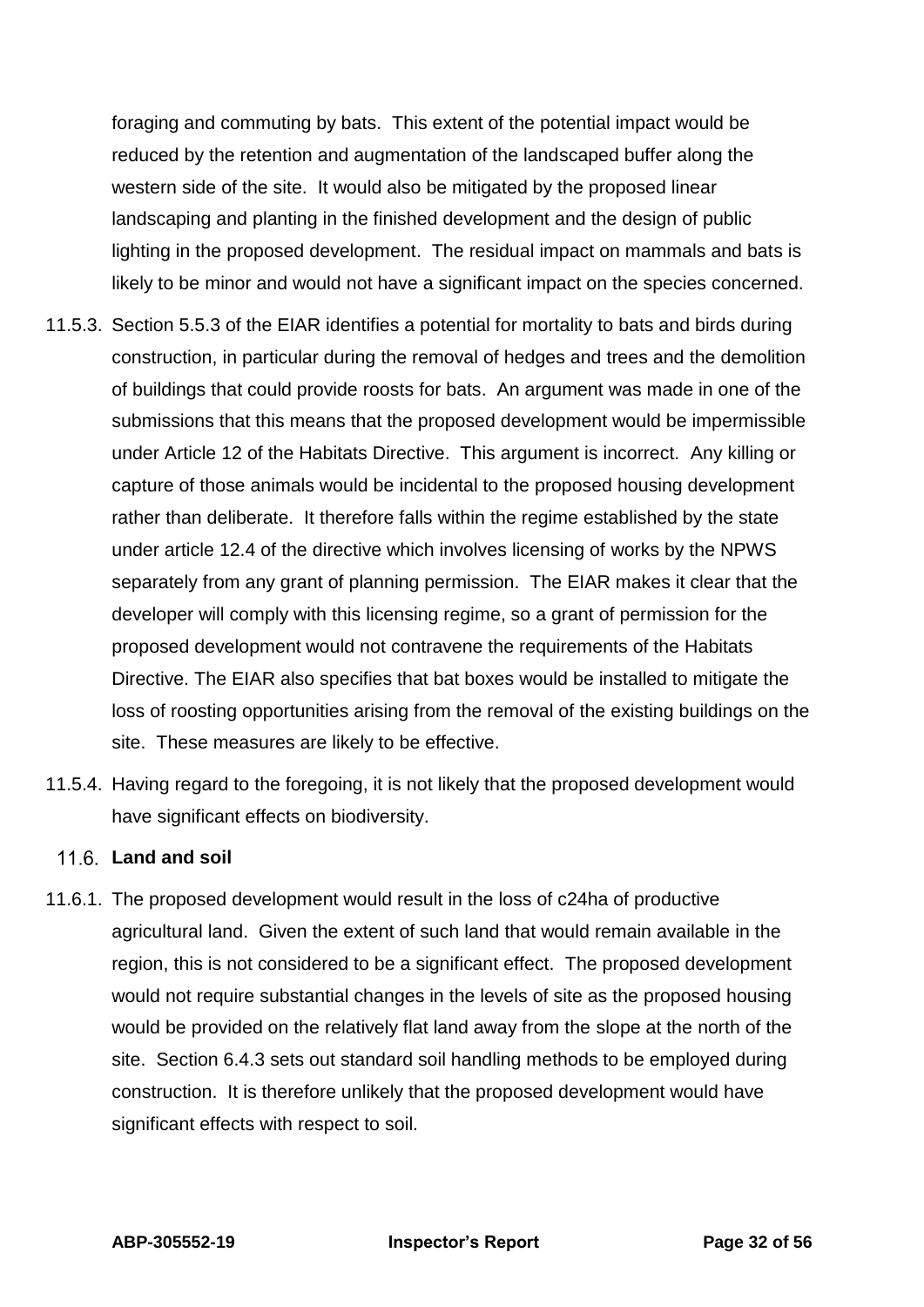foraging and commuting by bats. This extent of the potential impact would be reduced by the retention and augmentation of the landscaped buffer along the western side of the site. It would also be mitigated by the proposed linear landscaping and planting in the finished development and the design of public lighting in the proposed development. The residual impact on mammals and bats is likely to be minor and would not have a significant impact on the species concerned.

- 11.5.3. Section 5.5.3 of the EIAR identifies a potential for mortality to bats and birds during construction, in particular during the removal of hedges and trees and the demolition of buildings that could provide roosts for bats. An argument was made in one of the submissions that this means that the proposed development would be impermissible under Article 12 of the Habitats Directive. This argument is incorrect. Any killing or capture of those animals would be incidental to the proposed housing development rather than deliberate. It therefore falls within the regime established by the state under article 12.4 of the directive which involves licensing of works by the NPWS separately from any grant of planning permission. The EIAR makes it clear that the developer will comply with this licensing regime, so a grant of permission for the proposed development would not contravene the requirements of the Habitats Directive. The EIAR also specifies that bat boxes would be installed to mitigate the loss of roosting opportunities arising from the removal of the existing buildings on the site. These measures are likely to be effective.
- 11.5.4. Having regard to the foregoing, it is not likely that the proposed development would have significant effects on biodiversity.

#### **Land and soil**

11.6.1. The proposed development would result in the loss of c24ha of productive agricultural land. Given the extent of such land that would remain available in the region, this is not considered to be a significant effect. The proposed development would not require substantial changes in the levels of site as the proposed housing would be provided on the relatively flat land away from the slope at the north of the site. Section 6.4.3 sets out standard soil handling methods to be employed during construction. It is therefore unlikely that the proposed development would have significant effects with respect to soil.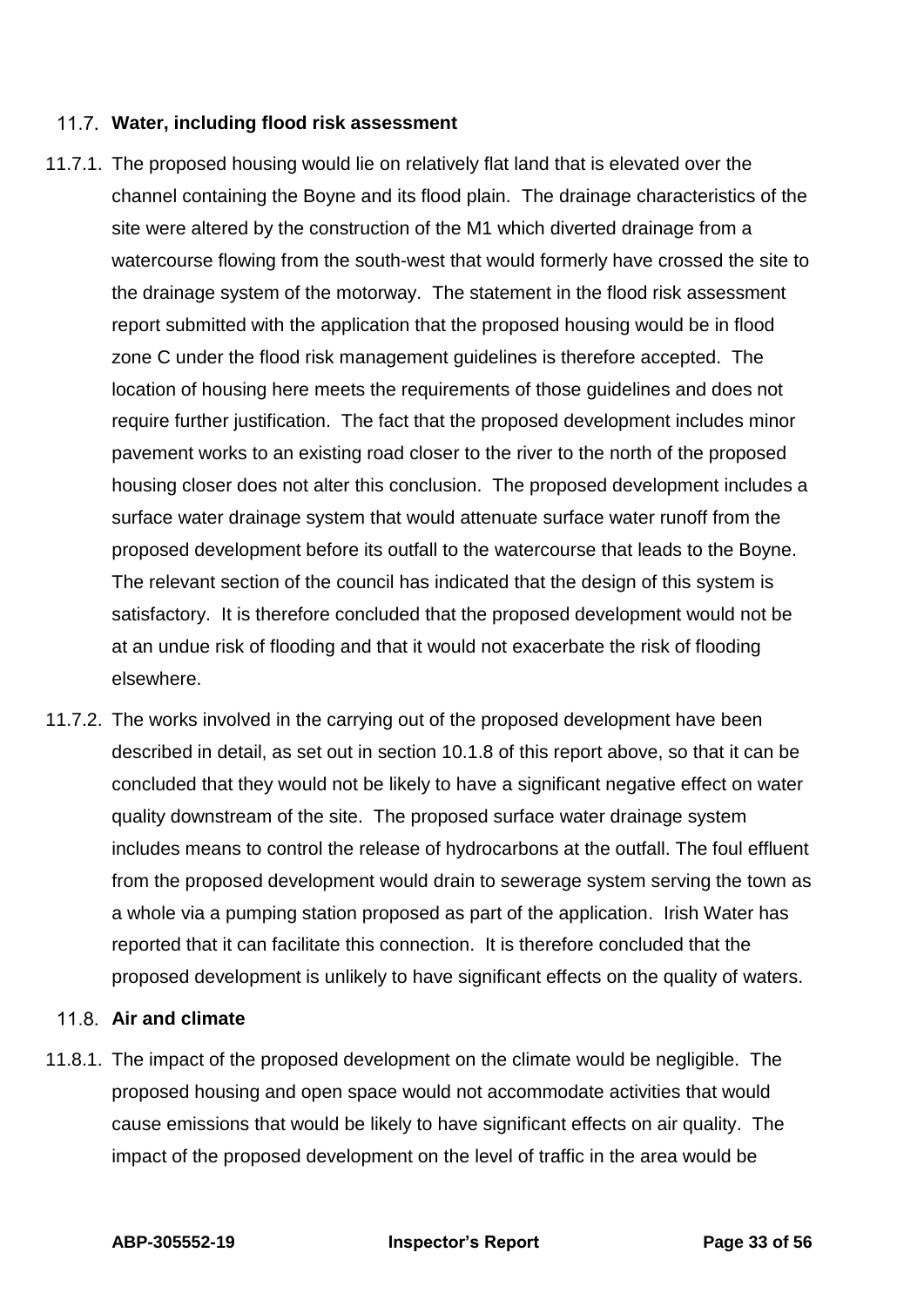#### **Water, including flood risk assessment**

- 11.7.1. The proposed housing would lie on relatively flat land that is elevated over the channel containing the Boyne and its flood plain. The drainage characteristics of the site were altered by the construction of the M1 which diverted drainage from a watercourse flowing from the south-west that would formerly have crossed the site to the drainage system of the motorway. The statement in the flood risk assessment report submitted with the application that the proposed housing would be in flood zone C under the flood risk management guidelines is therefore accepted. The location of housing here meets the requirements of those guidelines and does not require further justification. The fact that the proposed development includes minor pavement works to an existing road closer to the river to the north of the proposed housing closer does not alter this conclusion. The proposed development includes a surface water drainage system that would attenuate surface water runoff from the proposed development before its outfall to the watercourse that leads to the Boyne. The relevant section of the council has indicated that the design of this system is satisfactory. It is therefore concluded that the proposed development would not be at an undue risk of flooding and that it would not exacerbate the risk of flooding elsewhere.
- 11.7.2. The works involved in the carrying out of the proposed development have been described in detail, as set out in section 10.1.8 of this report above, so that it can be concluded that they would not be likely to have a significant negative effect on water quality downstream of the site. The proposed surface water drainage system includes means to control the release of hydrocarbons at the outfall. The foul effluent from the proposed development would drain to sewerage system serving the town as a whole via a pumping station proposed as part of the application. Irish Water has reported that it can facilitate this connection. It is therefore concluded that the proposed development is unlikely to have significant effects on the quality of waters.

### **Air and climate**

11.8.1. The impact of the proposed development on the climate would be negligible. The proposed housing and open space would not accommodate activities that would cause emissions that would be likely to have significant effects on air quality. The impact of the proposed development on the level of traffic in the area would be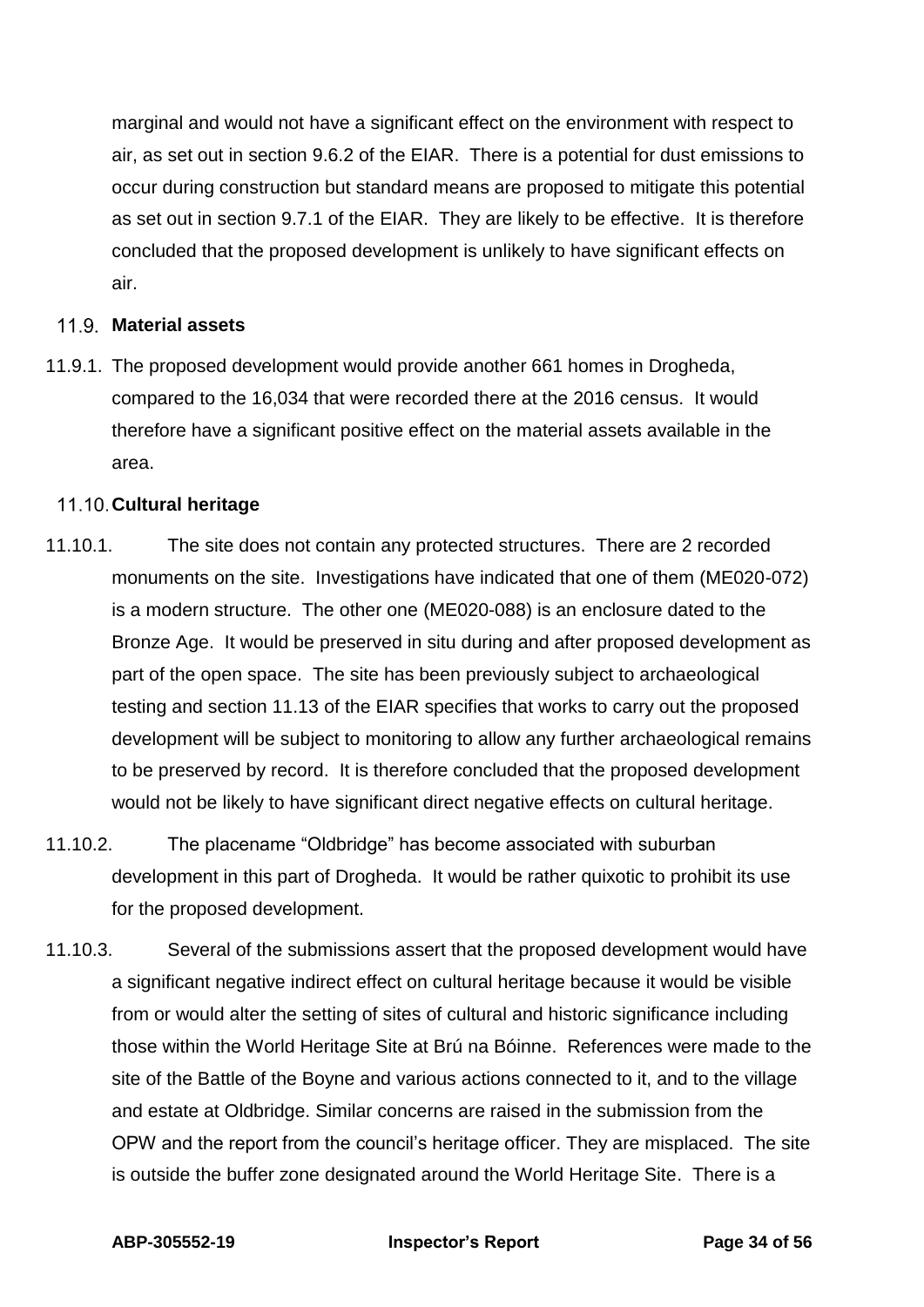marginal and would not have a significant effect on the environment with respect to air, as set out in section 9.6.2 of the EIAR. There is a potential for dust emissions to occur during construction but standard means are proposed to mitigate this potential as set out in section 9.7.1 of the EIAR. They are likely to be effective. It is therefore concluded that the proposed development is unlikely to have significant effects on air.

#### **Material assets**

11.9.1. The proposed development would provide another 661 homes in Drogheda, compared to the 16,034 that were recorded there at the 2016 census. It would therefore have a significant positive effect on the material assets available in the area.

#### **Cultural heritage**

- 11.10.1. The site does not contain any protected structures. There are 2 recorded monuments on the site. Investigations have indicated that one of them (ME020-072) is a modern structure. The other one (ME020-088) is an enclosure dated to the Bronze Age. It would be preserved in situ during and after proposed development as part of the open space. The site has been previously subject to archaeological testing and section 11.13 of the EIAR specifies that works to carry out the proposed development will be subject to monitoring to allow any further archaeological remains to be preserved by record. It is therefore concluded that the proposed development would not be likely to have significant direct negative effects on cultural heritage.
- 11.10.2. The placename "Oldbridge" has become associated with suburban development in this part of Drogheda. It would be rather quixotic to prohibit its use for the proposed development.
- 11.10.3. Several of the submissions assert that the proposed development would have a significant negative indirect effect on cultural heritage because it would be visible from or would alter the setting of sites of cultural and historic significance including those within the World Heritage Site at Brú na Bóinne. References were made to the site of the Battle of the Boyne and various actions connected to it, and to the village and estate at Oldbridge. Similar concerns are raised in the submission from the OPW and the report from the council's heritage officer. They are misplaced. The site is outside the buffer zone designated around the World Heritage Site. There is a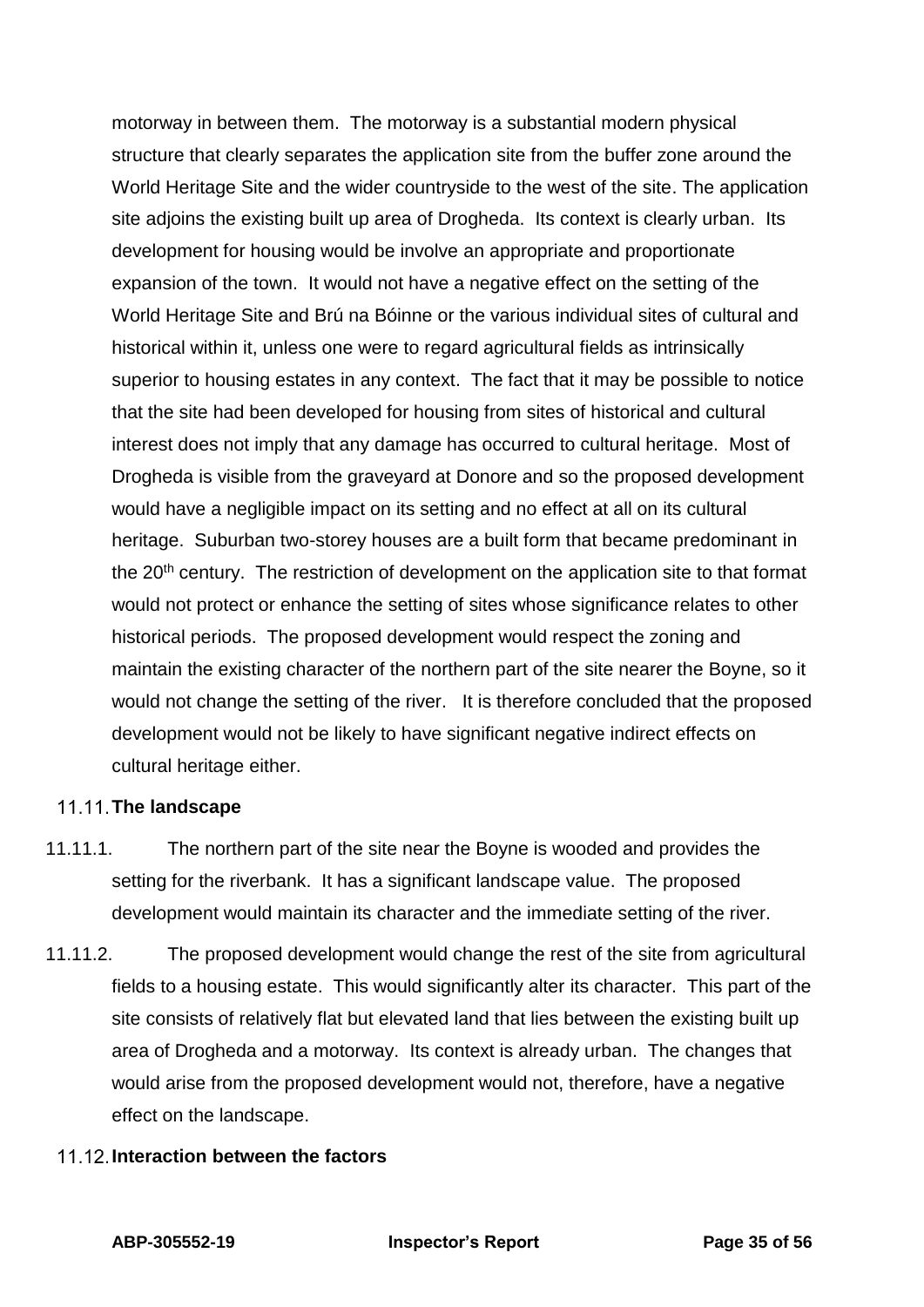motorway in between them. The motorway is a substantial modern physical structure that clearly separates the application site from the buffer zone around the World Heritage Site and the wider countryside to the west of the site. The application site adjoins the existing built up area of Drogheda. Its context is clearly urban. Its development for housing would be involve an appropriate and proportionate expansion of the town. It would not have a negative effect on the setting of the World Heritage Site and Brú na Bóinne or the various individual sites of cultural and historical within it, unless one were to regard agricultural fields as intrinsically superior to housing estates in any context. The fact that it may be possible to notice that the site had been developed for housing from sites of historical and cultural interest does not imply that any damage has occurred to cultural heritage. Most of Drogheda is visible from the graveyard at Donore and so the proposed development would have a negligible impact on its setting and no effect at all on its cultural heritage. Suburban two-storey houses are a built form that became predominant in the 20<sup>th</sup> century. The restriction of development on the application site to that format would not protect or enhance the setting of sites whose significance relates to other historical periods. The proposed development would respect the zoning and maintain the existing character of the northern part of the site nearer the Boyne, so it would not change the setting of the river. It is therefore concluded that the proposed development would not be likely to have significant negative indirect effects on cultural heritage either.

#### 11.11. The landscape

- 11.11.1. The northern part of the site near the Boyne is wooded and provides the setting for the riverbank. It has a significant landscape value. The proposed development would maintain its character and the immediate setting of the river.
- 11.11.2. The proposed development would change the rest of the site from agricultural fields to a housing estate. This would significantly alter its character. This part of the site consists of relatively flat but elevated land that lies between the existing built up area of Drogheda and a motorway. Its context is already urban. The changes that would arise from the proposed development would not, therefore, have a negative effect on the landscape.

#### **Interaction between the factors**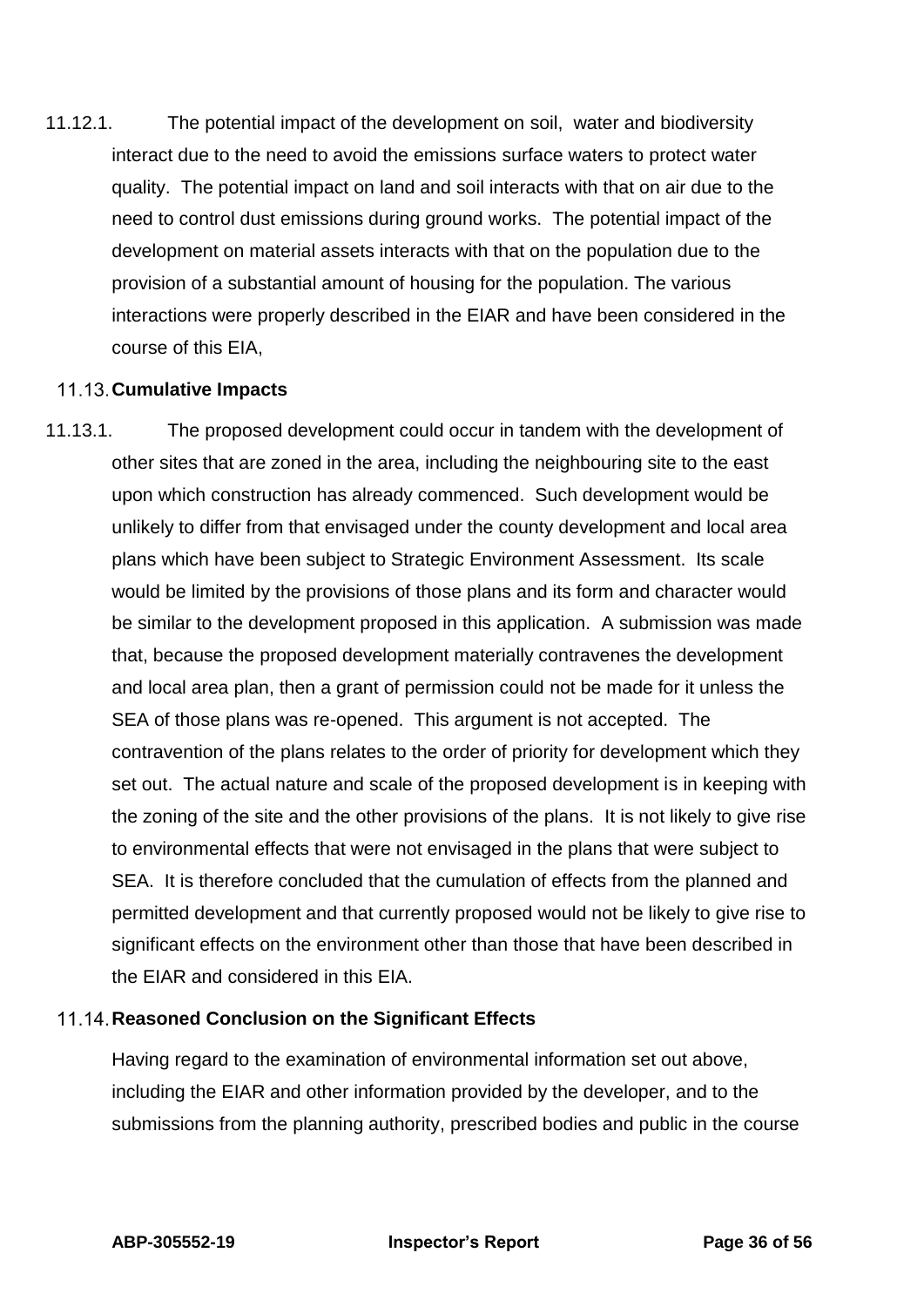11.12.1. The potential impact of the development on soil, water and biodiversity interact due to the need to avoid the emissions surface waters to protect water quality. The potential impact on land and soil interacts with that on air due to the need to control dust emissions during ground works. The potential impact of the development on material assets interacts with that on the population due to the provision of a substantial amount of housing for the population. The various interactions were properly described in the EIAR and have been considered in the course of this EIA,

#### **Cumulative Impacts**

11.13.1. The proposed development could occur in tandem with the development of other sites that are zoned in the area, including the neighbouring site to the east upon which construction has already commenced. Such development would be unlikely to differ from that envisaged under the county development and local area plans which have been subject to Strategic Environment Assessment. Its scale would be limited by the provisions of those plans and its form and character would be similar to the development proposed in this application. A submission was made that, because the proposed development materially contravenes the development and local area plan, then a grant of permission could not be made for it unless the SEA of those plans was re-opened. This argument is not accepted. The contravention of the plans relates to the order of priority for development which they set out. The actual nature and scale of the proposed development is in keeping with the zoning of the site and the other provisions of the plans. It is not likely to give rise to environmental effects that were not envisaged in the plans that were subject to SEA. It is therefore concluded that the cumulation of effects from the planned and permitted development and that currently proposed would not be likely to give rise to significant effects on the environment other than those that have been described in the EIAR and considered in this EIA.

#### **Reasoned Conclusion on the Significant Effects**

Having regard to the examination of environmental information set out above, including the EIAR and other information provided by the developer, and to the submissions from the planning authority, prescribed bodies and public in the course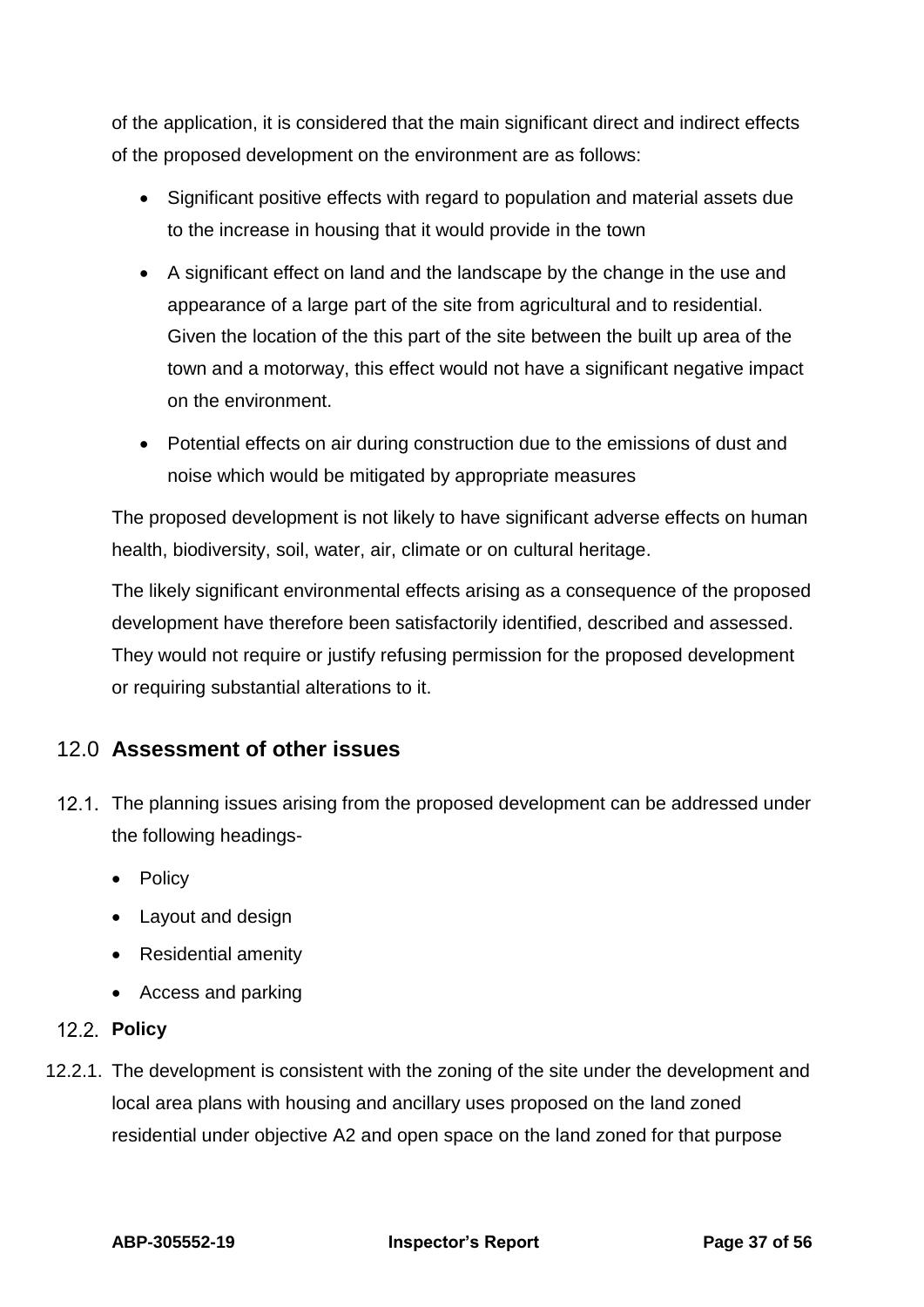of the application, it is considered that the main significant direct and indirect effects of the proposed development on the environment are as follows:

- Significant positive effects with regard to population and material assets due to the increase in housing that it would provide in the town
- A significant effect on land and the landscape by the change in the use and appearance of a large part of the site from agricultural and to residential. Given the location of the this part of the site between the built up area of the town and a motorway, this effect would not have a significant negative impact on the environment.
- Potential effects on air during construction due to the emissions of dust and noise which would be mitigated by appropriate measures

The proposed development is not likely to have significant adverse effects on human health, biodiversity, soil, water, air, climate or on cultural heritage.

The likely significant environmental effects arising as a consequence of the proposed development have therefore been satisfactorily identified, described and assessed. They would not require or justify refusing permission for the proposed development or requiring substantial alterations to it.

## <span id="page-36-0"></span>12.0 **Assessment of other issues**

- 12.1. The planning issues arising from the proposed development can be addressed under the following headings-
	- Policy
	- Layout and design
	- Residential amenity
	- Access and parking

## **Policy**

12.2.1. The development is consistent with the zoning of the site under the development and local area plans with housing and ancillary uses proposed on the land zoned residential under objective A2 and open space on the land zoned for that purpose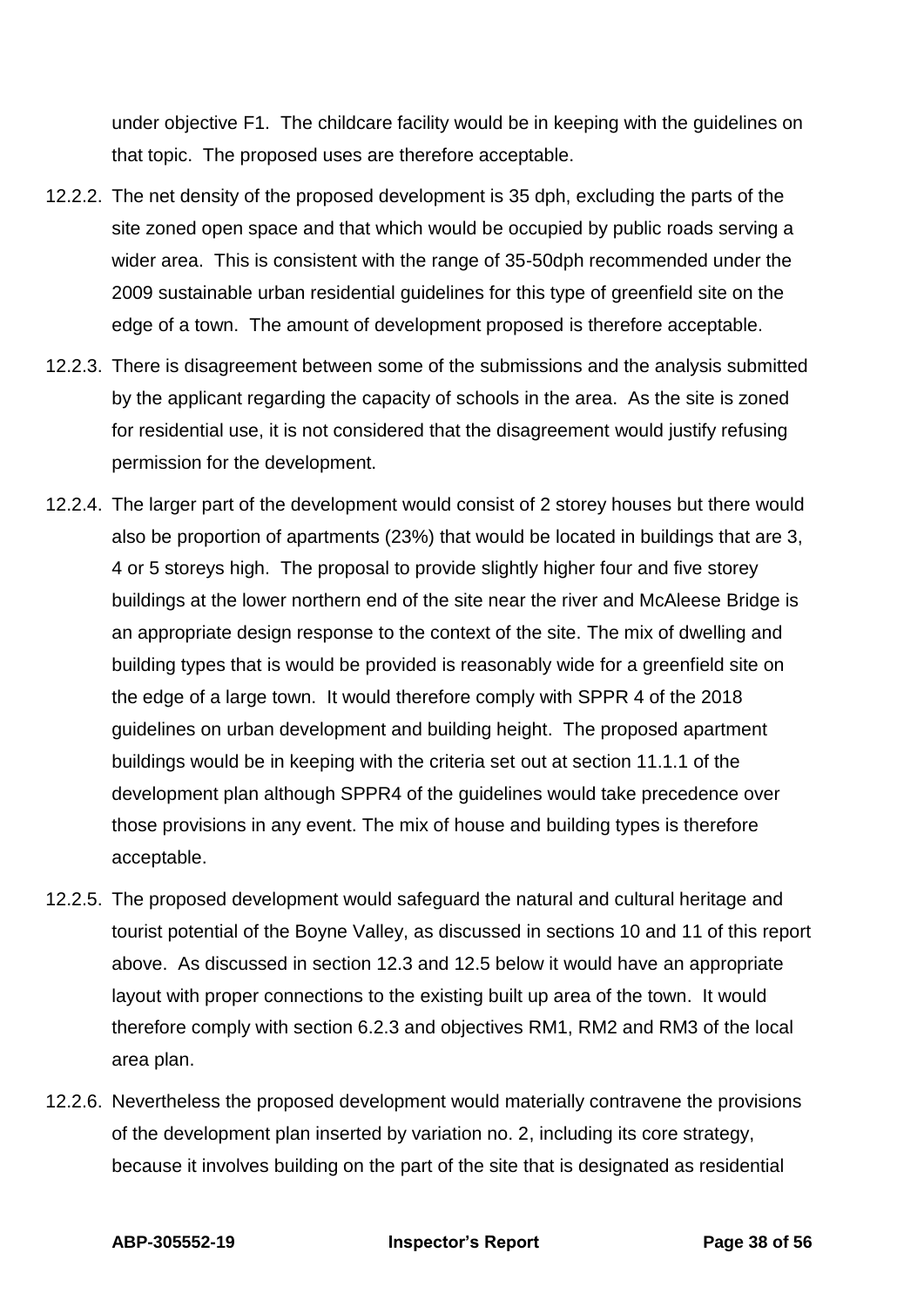under objective F1. The childcare facility would be in keeping with the guidelines on that topic. The proposed uses are therefore acceptable.

- 12.2.2. The net density of the proposed development is 35 dph, excluding the parts of the site zoned open space and that which would be occupied by public roads serving a wider area. This is consistent with the range of 35-50dph recommended under the 2009 sustainable urban residential guidelines for this type of greenfield site on the edge of a town. The amount of development proposed is therefore acceptable.
- 12.2.3. There is disagreement between some of the submissions and the analysis submitted by the applicant regarding the capacity of schools in the area. As the site is zoned for residential use, it is not considered that the disagreement would justify refusing permission for the development.
- 12.2.4. The larger part of the development would consist of 2 storey houses but there would also be proportion of apartments (23%) that would be located in buildings that are 3, 4 or 5 storeys high. The proposal to provide slightly higher four and five storey buildings at the lower northern end of the site near the river and McAleese Bridge is an appropriate design response to the context of the site. The mix of dwelling and building types that is would be provided is reasonably wide for a greenfield site on the edge of a large town. It would therefore comply with SPPR 4 of the 2018 guidelines on urban development and building height. The proposed apartment buildings would be in keeping with the criteria set out at section 11.1.1 of the development plan although SPPR4 of the guidelines would take precedence over those provisions in any event. The mix of house and building types is therefore acceptable.
- 12.2.5. The proposed development would safeguard the natural and cultural heritage and tourist potential of the Boyne Valley, as discussed in sections 10 and 11 of this report above. As discussed in section 12.3 and 12.5 below it would have an appropriate layout with proper connections to the existing built up area of the town. It would therefore comply with section 6.2.3 and objectives RM1, RM2 and RM3 of the local area plan.
- 12.2.6. Nevertheless the proposed development would materially contravene the provisions of the development plan inserted by variation no. 2, including its core strategy, because it involves building on the part of the site that is designated as residential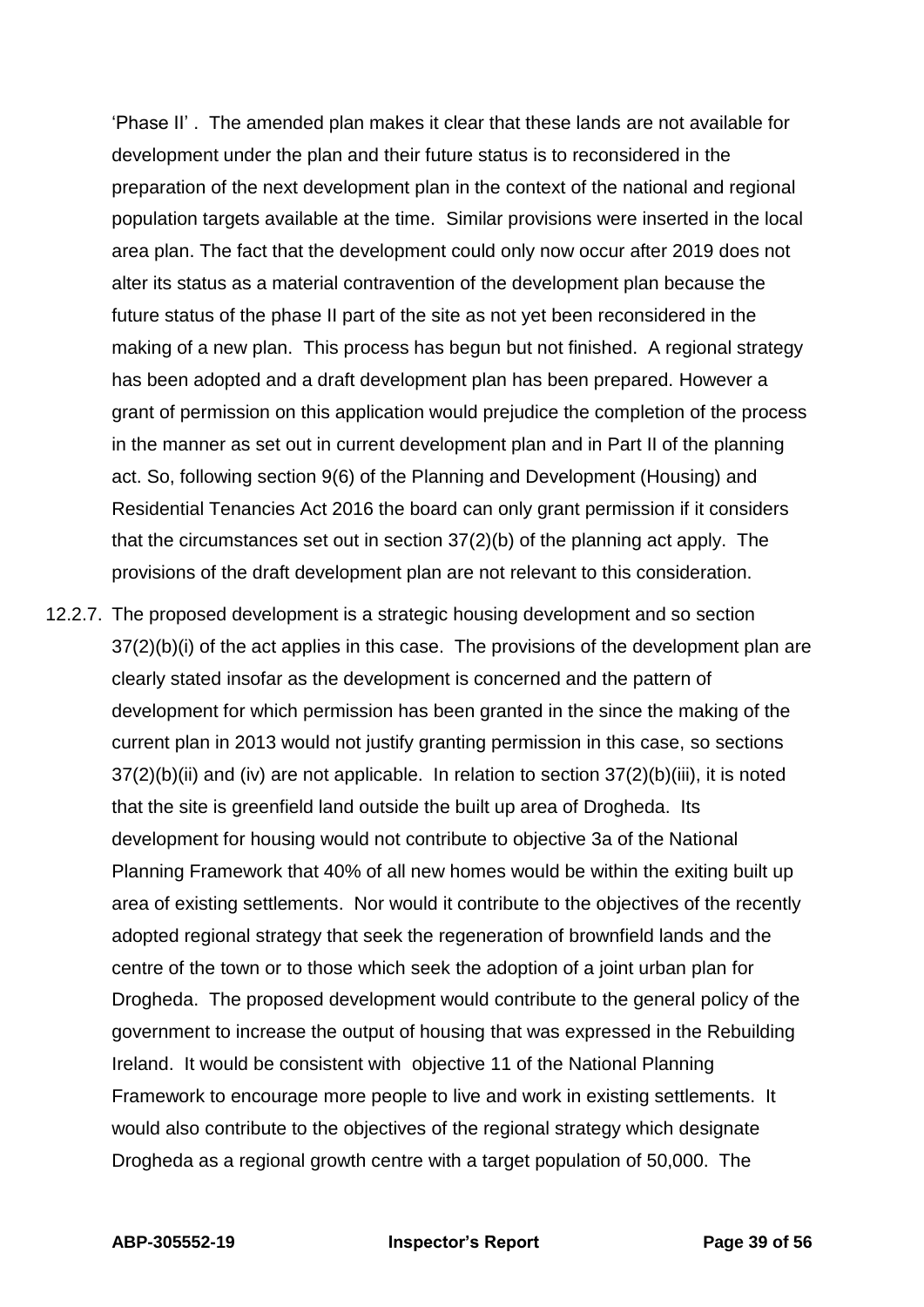'Phase II' . The amended plan makes it clear that these lands are not available for development under the plan and their future status is to reconsidered in the preparation of the next development plan in the context of the national and regional population targets available at the time. Similar provisions were inserted in the local area plan. The fact that the development could only now occur after 2019 does not alter its status as a material contravention of the development plan because the future status of the phase II part of the site as not yet been reconsidered in the making of a new plan. This process has begun but not finished. A regional strategy has been adopted and a draft development plan has been prepared. However a grant of permission on this application would prejudice the completion of the process in the manner as set out in current development plan and in Part II of the planning act. So, following section 9(6) of the Planning and Development (Housing) and Residential Tenancies Act 2016 the board can only grant permission if it considers that the circumstances set out in section 37(2)(b) of the planning act apply. The provisions of the draft development plan are not relevant to this consideration.

12.2.7. The proposed development is a strategic housing development and so section 37(2)(b)(i) of the act applies in this case. The provisions of the development plan are clearly stated insofar as the development is concerned and the pattern of development for which permission has been granted in the since the making of the current plan in 2013 would not justify granting permission in this case, so sections 37(2)(b)(ii) and (iv) are not applicable. In relation to section 37(2)(b)(iii), it is noted that the site is greenfield land outside the built up area of Drogheda. Its development for housing would not contribute to objective 3a of the National Planning Framework that 40% of all new homes would be within the exiting built up area of existing settlements. Nor would it contribute to the objectives of the recently adopted regional strategy that seek the regeneration of brownfield lands and the centre of the town or to those which seek the adoption of a joint urban plan for Drogheda. The proposed development would contribute to the general policy of the government to increase the output of housing that was expressed in the Rebuilding Ireland. It would be consistent with objective 11 of the National Planning Framework to encourage more people to live and work in existing settlements. It would also contribute to the objectives of the regional strategy which designate Drogheda as a regional growth centre with a target population of 50,000. The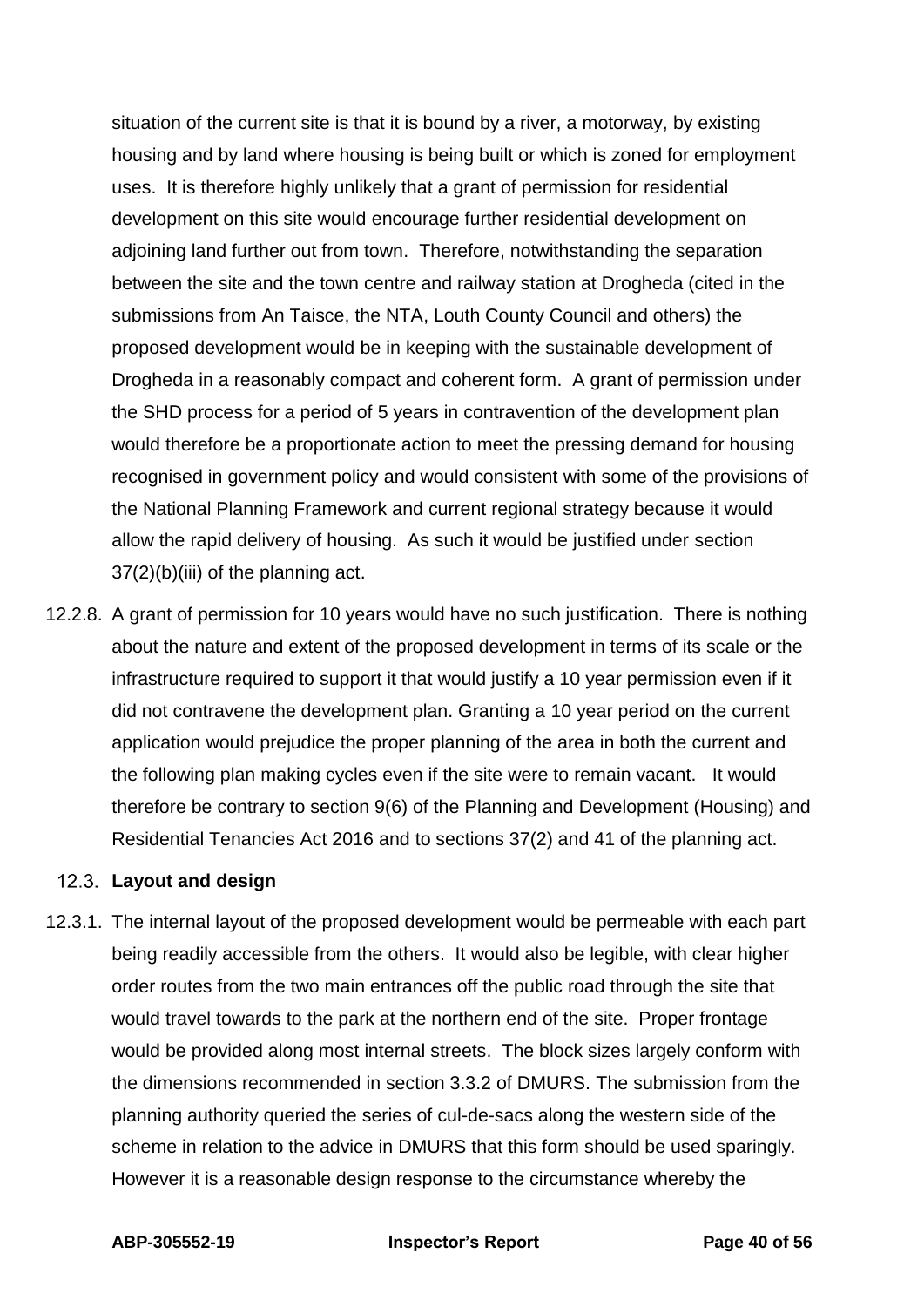situation of the current site is that it is bound by a river, a motorway, by existing housing and by land where housing is being built or which is zoned for employment uses. It is therefore highly unlikely that a grant of permission for residential development on this site would encourage further residential development on adjoining land further out from town. Therefore, notwithstanding the separation between the site and the town centre and railway station at Drogheda (cited in the submissions from An Taisce, the NTA, Louth County Council and others) the proposed development would be in keeping with the sustainable development of Drogheda in a reasonably compact and coherent form. A grant of permission under the SHD process for a period of 5 years in contravention of the development plan would therefore be a proportionate action to meet the pressing demand for housing recognised in government policy and would consistent with some of the provisions of the National Planning Framework and current regional strategy because it would allow the rapid delivery of housing. As such it would be justified under section 37(2)(b)(iii) of the planning act.

12.2.8. A grant of permission for 10 years would have no such justification. There is nothing about the nature and extent of the proposed development in terms of its scale or the infrastructure required to support it that would justify a 10 year permission even if it did not contravene the development plan. Granting a 10 year period on the current application would prejudice the proper planning of the area in both the current and the following plan making cycles even if the site were to remain vacant. It would therefore be contrary to section 9(6) of the Planning and Development (Housing) and Residential Tenancies Act 2016 and to sections 37(2) and 41 of the planning act.

#### **Layout and design**

12.3.1. The internal layout of the proposed development would be permeable with each part being readily accessible from the others. It would also be legible, with clear higher order routes from the two main entrances off the public road through the site that would travel towards to the park at the northern end of the site. Proper frontage would be provided along most internal streets. The block sizes largely conform with the dimensions recommended in section 3.3.2 of DMURS. The submission from the planning authority queried the series of cul-de-sacs along the western side of the scheme in relation to the advice in DMURS that this form should be used sparingly. However it is a reasonable design response to the circumstance whereby the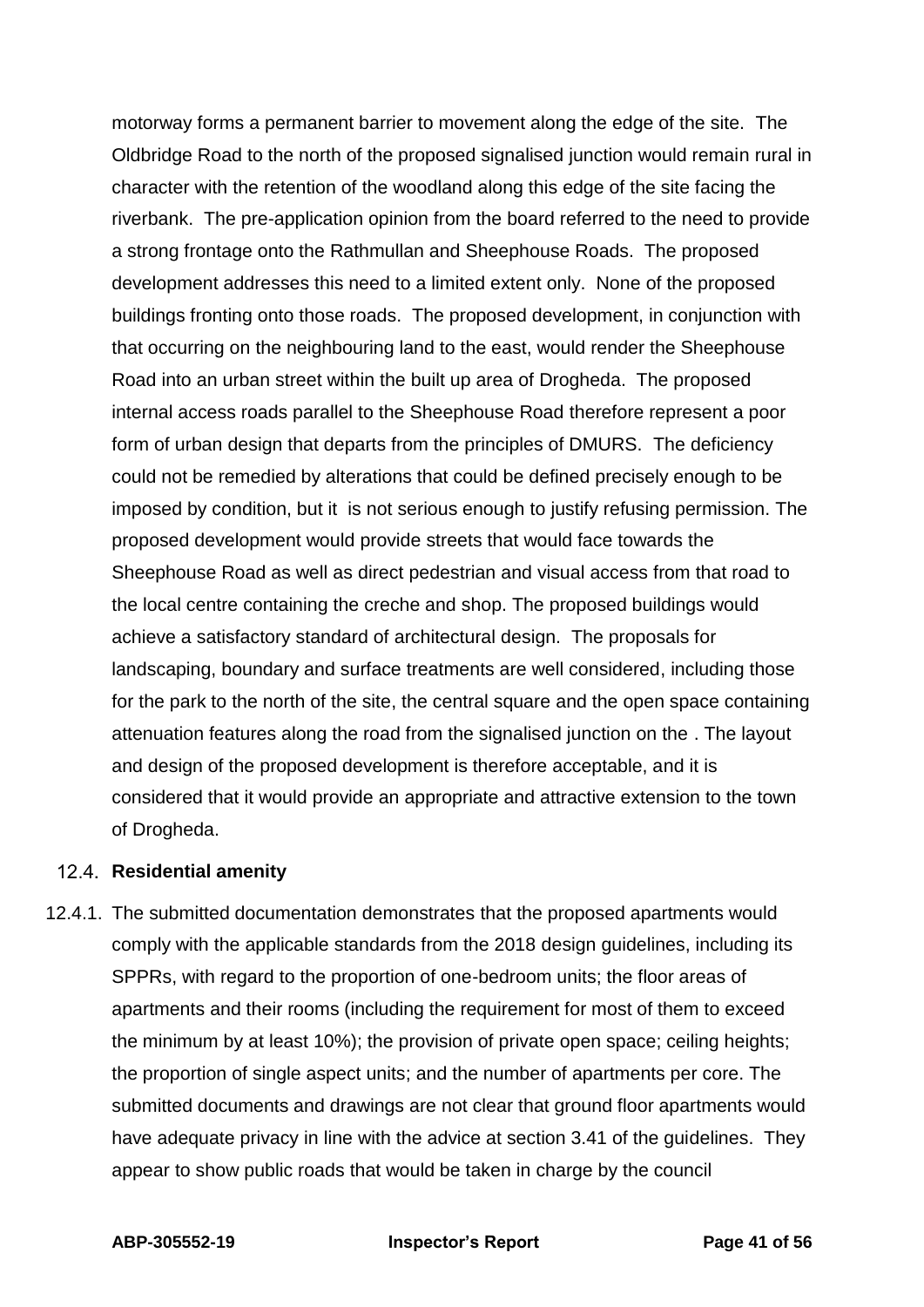motorway forms a permanent barrier to movement along the edge of the site. The Oldbridge Road to the north of the proposed signalised junction would remain rural in character with the retention of the woodland along this edge of the site facing the riverbank. The pre-application opinion from the board referred to the need to provide a strong frontage onto the Rathmullan and Sheephouse Roads. The proposed development addresses this need to a limited extent only. None of the proposed buildings fronting onto those roads. The proposed development, in conjunction with that occurring on the neighbouring land to the east, would render the Sheephouse Road into an urban street within the built up area of Drogheda. The proposed internal access roads parallel to the Sheephouse Road therefore represent a poor form of urban design that departs from the principles of DMURS. The deficiency could not be remedied by alterations that could be defined precisely enough to be imposed by condition, but it is not serious enough to justify refusing permission. The proposed development would provide streets that would face towards the Sheephouse Road as well as direct pedestrian and visual access from that road to the local centre containing the creche and shop. The proposed buildings would achieve a satisfactory standard of architectural design. The proposals for landscaping, boundary and surface treatments are well considered, including those for the park to the north of the site, the central square and the open space containing attenuation features along the road from the signalised junction on the . The layout and design of the proposed development is therefore acceptable, and it is considered that it would provide an appropriate and attractive extension to the town of Drogheda.

#### **Residential amenity**

12.4.1. The submitted documentation demonstrates that the proposed apartments would comply with the applicable standards from the 2018 design guidelines, including its SPPRs, with regard to the proportion of one-bedroom units; the floor areas of apartments and their rooms (including the requirement for most of them to exceed the minimum by at least 10%); the provision of private open space; ceiling heights; the proportion of single aspect units; and the number of apartments per core. The submitted documents and drawings are not clear that ground floor apartments would have adequate privacy in line with the advice at section 3.41 of the guidelines. They appear to show public roads that would be taken in charge by the council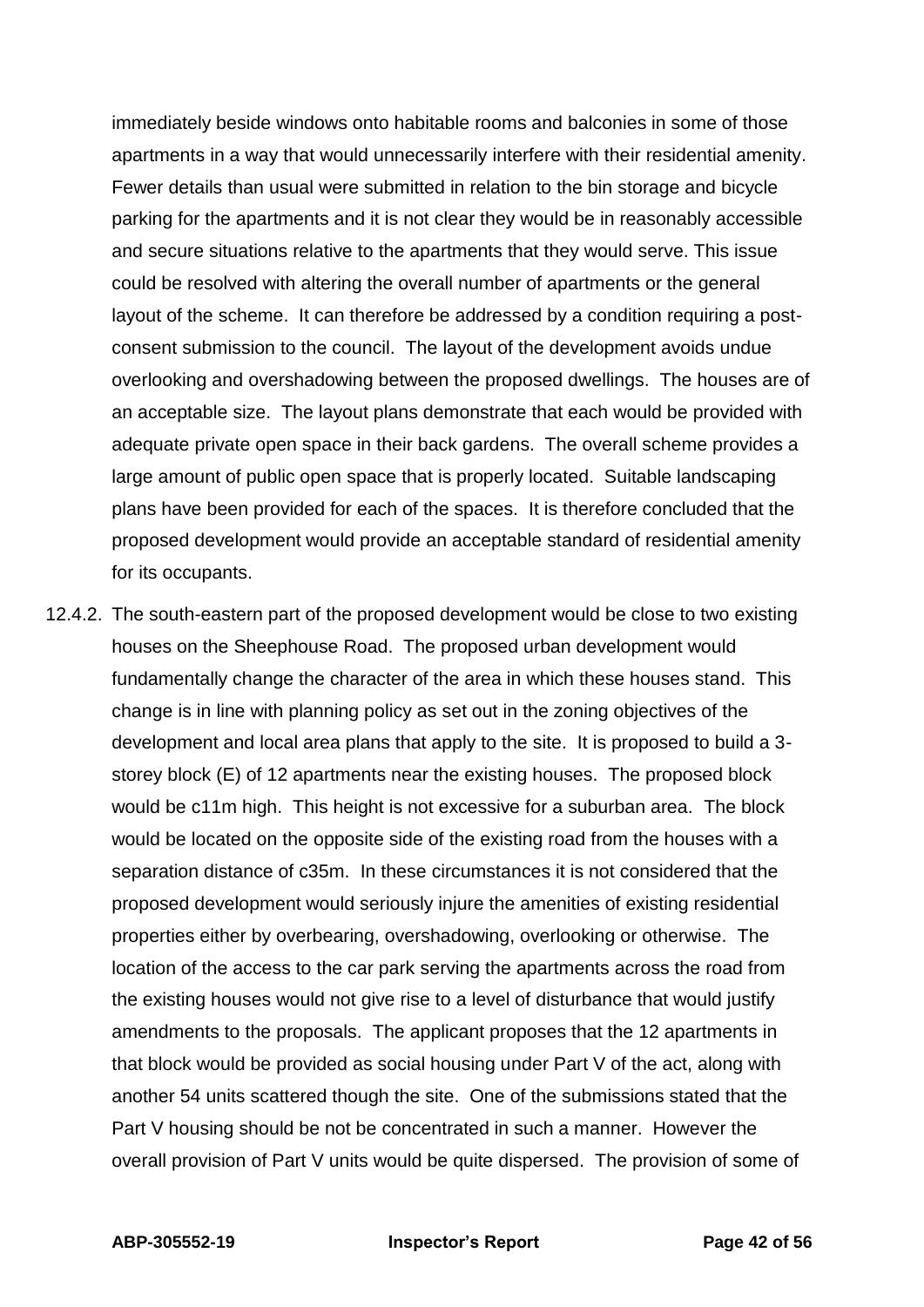immediately beside windows onto habitable rooms and balconies in some of those apartments in a way that would unnecessarily interfere with their residential amenity. Fewer details than usual were submitted in relation to the bin storage and bicycle parking for the apartments and it is not clear they would be in reasonably accessible and secure situations relative to the apartments that they would serve. This issue could be resolved with altering the overall number of apartments or the general layout of the scheme. It can therefore be addressed by a condition requiring a postconsent submission to the council. The layout of the development avoids undue overlooking and overshadowing between the proposed dwellings. The houses are of an acceptable size. The layout plans demonstrate that each would be provided with adequate private open space in their back gardens. The overall scheme provides a large amount of public open space that is properly located. Suitable landscaping plans have been provided for each of the spaces. It is therefore concluded that the proposed development would provide an acceptable standard of residential amenity for its occupants.

12.4.2. The south-eastern part of the proposed development would be close to two existing houses on the Sheephouse Road. The proposed urban development would fundamentally change the character of the area in which these houses stand. This change is in line with planning policy as set out in the zoning objectives of the development and local area plans that apply to the site. It is proposed to build a 3 storey block (E) of 12 apartments near the existing houses. The proposed block would be c11m high. This height is not excessive for a suburban area. The block would be located on the opposite side of the existing road from the houses with a separation distance of c35m. In these circumstances it is not considered that the proposed development would seriously injure the amenities of existing residential properties either by overbearing, overshadowing, overlooking or otherwise. The location of the access to the car park serving the apartments across the road from the existing houses would not give rise to a level of disturbance that would justify amendments to the proposals. The applicant proposes that the 12 apartments in that block would be provided as social housing under Part V of the act, along with another 54 units scattered though the site. One of the submissions stated that the Part V housing should be not be concentrated in such a manner. However the overall provision of Part V units would be quite dispersed. The provision of some of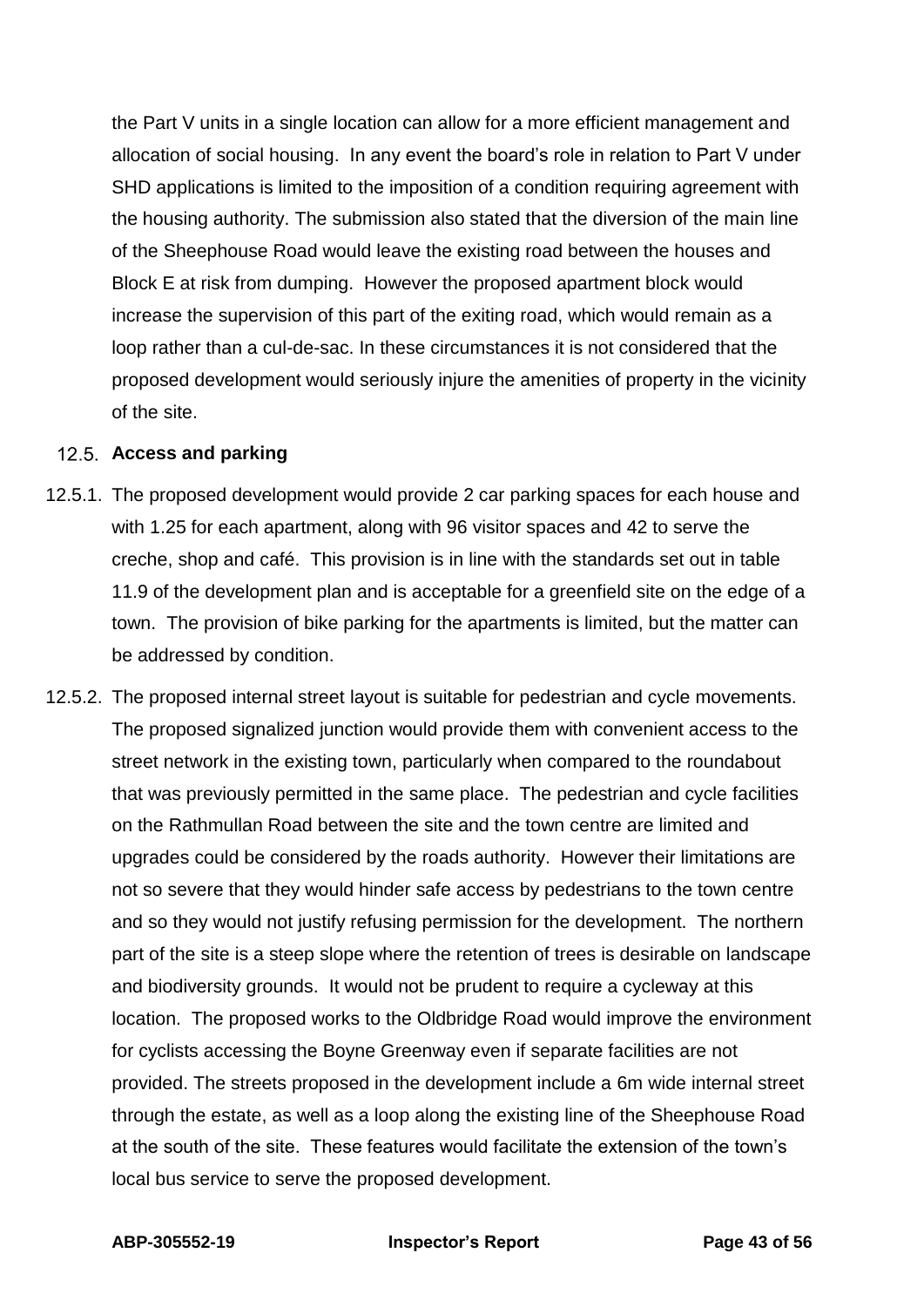the Part V units in a single location can allow for a more efficient management and allocation of social housing. In any event the board's role in relation to Part V under SHD applications is limited to the imposition of a condition requiring agreement with the housing authority. The submission also stated that the diversion of the main line of the Sheephouse Road would leave the existing road between the houses and Block E at risk from dumping. However the proposed apartment block would increase the supervision of this part of the exiting road, which would remain as a loop rather than a cul-de-sac. In these circumstances it is not considered that the proposed development would seriously injure the amenities of property in the vicinity of the site.

#### **Access and parking**

- 12.5.1. The proposed development would provide 2 car parking spaces for each house and with 1.25 for each apartment, along with 96 visitor spaces and 42 to serve the creche, shop and café. This provision is in line with the standards set out in table 11.9 of the development plan and is acceptable for a greenfield site on the edge of a town. The provision of bike parking for the apartments is limited, but the matter can be addressed by condition.
- 12.5.2. The proposed internal street layout is suitable for pedestrian and cycle movements. The proposed signalized junction would provide them with convenient access to the street network in the existing town, particularly when compared to the roundabout that was previously permitted in the same place. The pedestrian and cycle facilities on the Rathmullan Road between the site and the town centre are limited and upgrades could be considered by the roads authority. However their limitations are not so severe that they would hinder safe access by pedestrians to the town centre and so they would not justify refusing permission for the development. The northern part of the site is a steep slope where the retention of trees is desirable on landscape and biodiversity grounds. It would not be prudent to require a cycleway at this location. The proposed works to the Oldbridge Road would improve the environment for cyclists accessing the Boyne Greenway even if separate facilities are not provided. The streets proposed in the development include a 6m wide internal street through the estate, as well as a loop along the existing line of the Sheephouse Road at the south of the site. These features would facilitate the extension of the town's local bus service to serve the proposed development.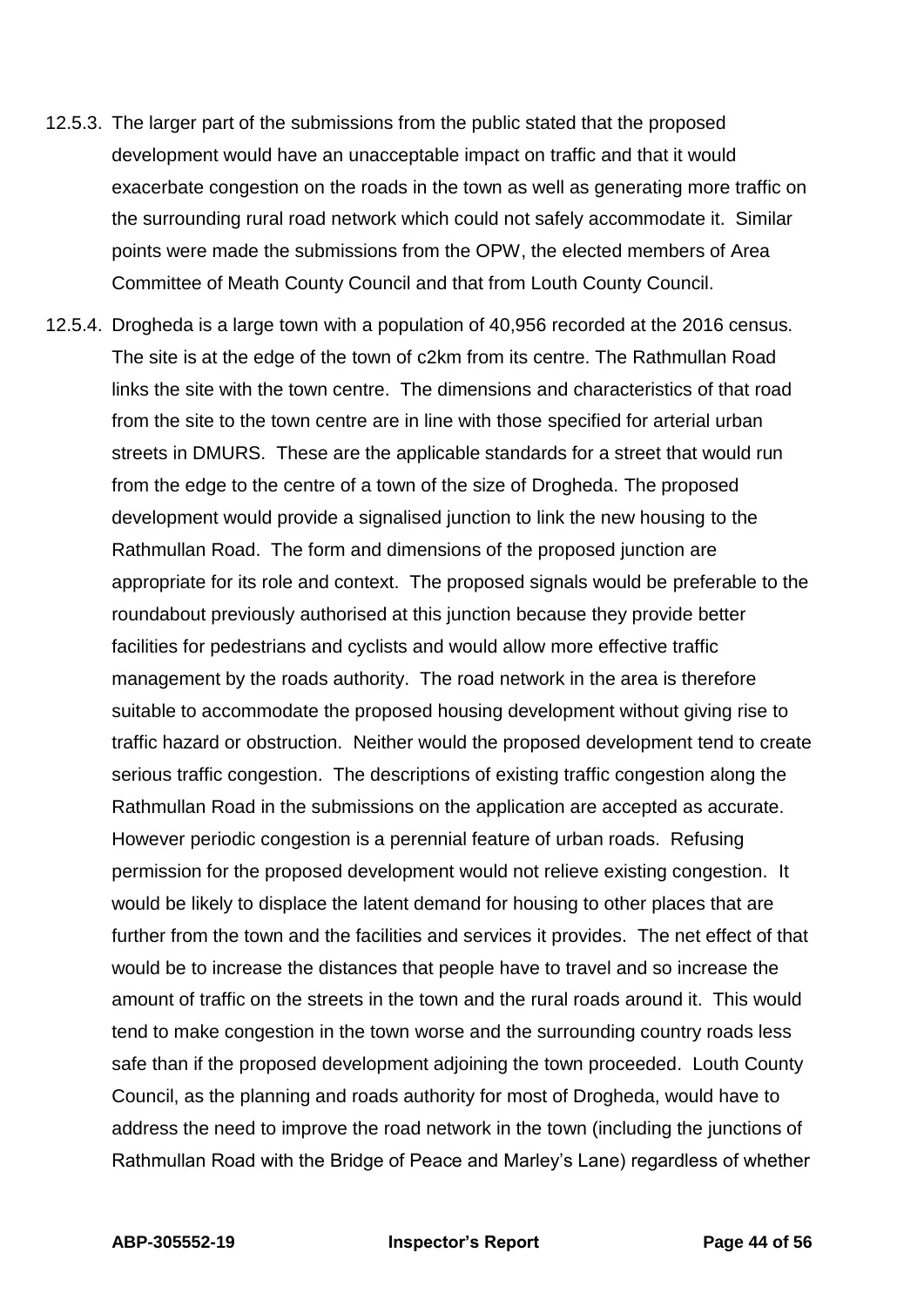- 12.5.3. The larger part of the submissions from the public stated that the proposed development would have an unacceptable impact on traffic and that it would exacerbate congestion on the roads in the town as well as generating more traffic on the surrounding rural road network which could not safely accommodate it. Similar points were made the submissions from the OPW, the elected members of Area Committee of Meath County Council and that from Louth County Council.
- 12.5.4. Drogheda is a large town with a population of 40,956 recorded at the 2016 census. The site is at the edge of the town of c2km from its centre. The Rathmullan Road links the site with the town centre. The dimensions and characteristics of that road from the site to the town centre are in line with those specified for arterial urban streets in DMURS. These are the applicable standards for a street that would run from the edge to the centre of a town of the size of Drogheda. The proposed development would provide a signalised junction to link the new housing to the Rathmullan Road. The form and dimensions of the proposed junction are appropriate for its role and context. The proposed signals would be preferable to the roundabout previously authorised at this junction because they provide better facilities for pedestrians and cyclists and would allow more effective traffic management by the roads authority. The road network in the area is therefore suitable to accommodate the proposed housing development without giving rise to traffic hazard or obstruction. Neither would the proposed development tend to create serious traffic congestion. The descriptions of existing traffic congestion along the Rathmullan Road in the submissions on the application are accepted as accurate. However periodic congestion is a perennial feature of urban roads. Refusing permission for the proposed development would not relieve existing congestion. It would be likely to displace the latent demand for housing to other places that are further from the town and the facilities and services it provides. The net effect of that would be to increase the distances that people have to travel and so increase the amount of traffic on the streets in the town and the rural roads around it. This would tend to make congestion in the town worse and the surrounding country roads less safe than if the proposed development adjoining the town proceeded. Louth County Council, as the planning and roads authority for most of Drogheda, would have to address the need to improve the road network in the town (including the junctions of Rathmullan Road with the Bridge of Peace and Marley's Lane) regardless of whether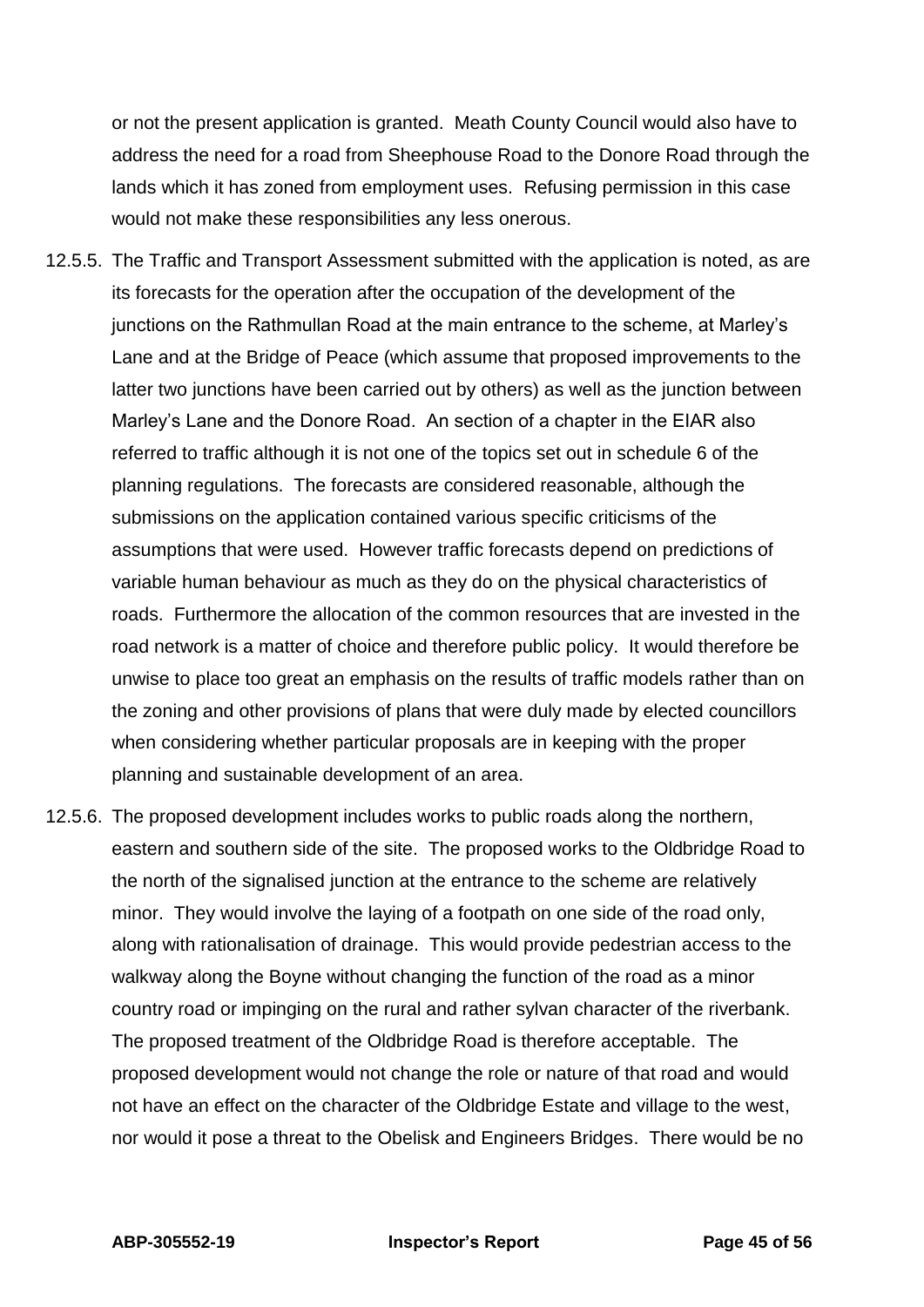or not the present application is granted. Meath County Council would also have to address the need for a road from Sheephouse Road to the Donore Road through the lands which it has zoned from employment uses. Refusing permission in this case would not make these responsibilities any less onerous.

- 12.5.5. The Traffic and Transport Assessment submitted with the application is noted, as are its forecasts for the operation after the occupation of the development of the junctions on the Rathmullan Road at the main entrance to the scheme, at Marley's Lane and at the Bridge of Peace (which assume that proposed improvements to the latter two junctions have been carried out by others) as well as the junction between Marley's Lane and the Donore Road. An section of a chapter in the EIAR also referred to traffic although it is not one of the topics set out in schedule 6 of the planning regulations. The forecasts are considered reasonable, although the submissions on the application contained various specific criticisms of the assumptions that were used. However traffic forecasts depend on predictions of variable human behaviour as much as they do on the physical characteristics of roads. Furthermore the allocation of the common resources that are invested in the road network is a matter of choice and therefore public policy. It would therefore be unwise to place too great an emphasis on the results of traffic models rather than on the zoning and other provisions of plans that were duly made by elected councillors when considering whether particular proposals are in keeping with the proper planning and sustainable development of an area.
- 12.5.6. The proposed development includes works to public roads along the northern, eastern and southern side of the site. The proposed works to the Oldbridge Road to the north of the signalised junction at the entrance to the scheme are relatively minor. They would involve the laying of a footpath on one side of the road only, along with rationalisation of drainage. This would provide pedestrian access to the walkway along the Boyne without changing the function of the road as a minor country road or impinging on the rural and rather sylvan character of the riverbank. The proposed treatment of the Oldbridge Road is therefore acceptable. The proposed development would not change the role or nature of that road and would not have an effect on the character of the Oldbridge Estate and village to the west, nor would it pose a threat to the Obelisk and Engineers Bridges. There would be no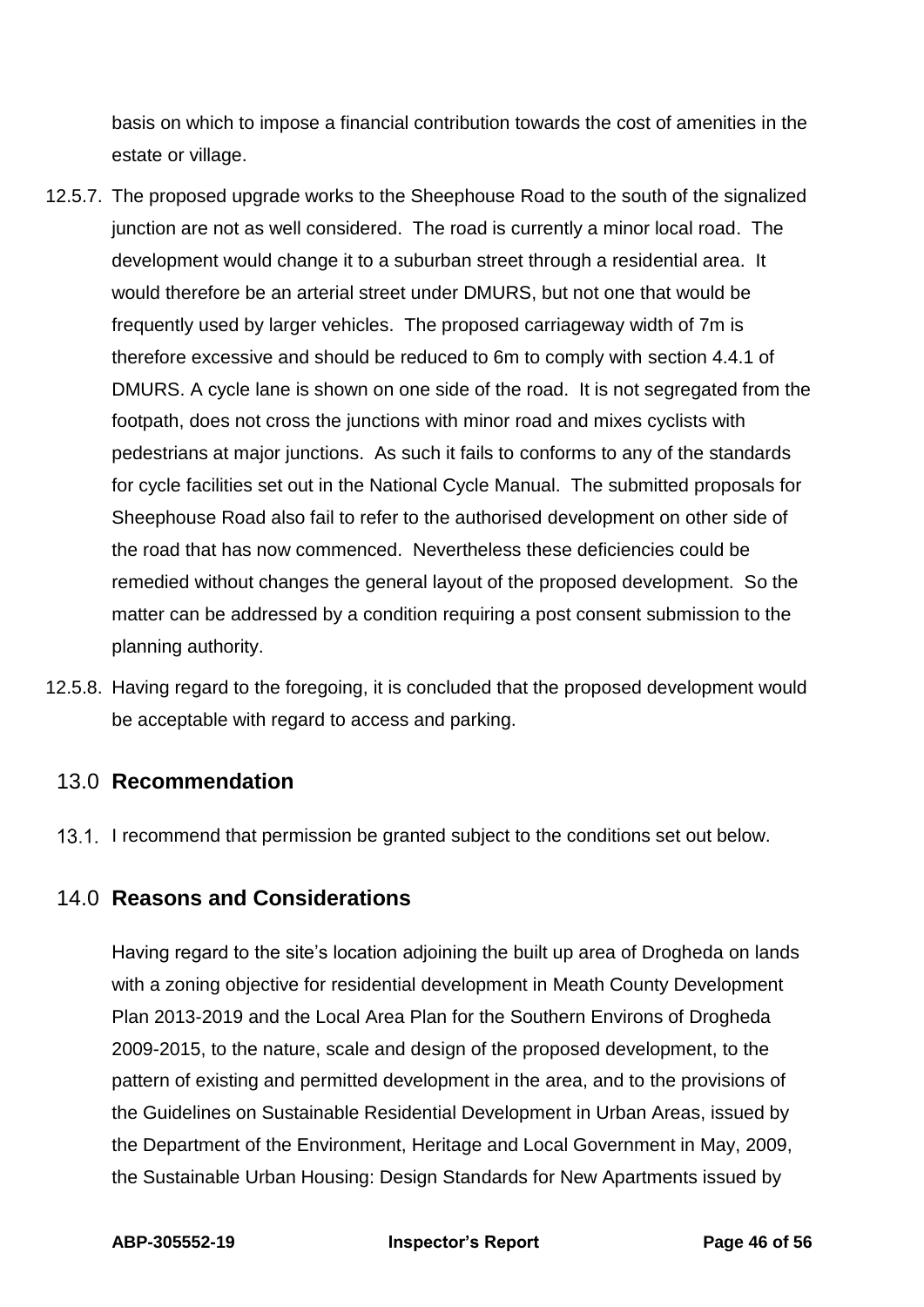basis on which to impose a financial contribution towards the cost of amenities in the estate or village.

- 12.5.7. The proposed upgrade works to the Sheephouse Road to the south of the signalized junction are not as well considered. The road is currently a minor local road. The development would change it to a suburban street through a residential area. It would therefore be an arterial street under DMURS, but not one that would be frequently used by larger vehicles. The proposed carriageway width of 7m is therefore excessive and should be reduced to 6m to comply with section 4.4.1 of DMURS. A cycle lane is shown on one side of the road. It is not segregated from the footpath, does not cross the junctions with minor road and mixes cyclists with pedestrians at major junctions. As such it fails to conforms to any of the standards for cycle facilities set out in the National Cycle Manual. The submitted proposals for Sheephouse Road also fail to refer to the authorised development on other side of the road that has now commenced. Nevertheless these deficiencies could be remedied without changes the general layout of the proposed development. So the matter can be addressed by a condition requiring a post consent submission to the planning authority.
- 12.5.8. Having regard to the foregoing, it is concluded that the proposed development would be acceptable with regard to access and parking.

## <span id="page-45-0"></span>13.0 **Recommendation**

13.1. I recommend that permission be granted subject to the conditions set out below.

## <span id="page-45-1"></span>14.0 **Reasons and Considerations**

Having regard to the site's location adjoining the built up area of Drogheda on lands with a zoning objective for residential development in Meath County Development Plan 2013-2019 and the Local Area Plan for the Southern Environs of Drogheda 2009-2015, to the nature, scale and design of the proposed development, to the pattern of existing and permitted development in the area, and to the provisions of the Guidelines on Sustainable Residential Development in Urban Areas, issued by the Department of the Environment, Heritage and Local Government in May, 2009, the Sustainable Urban Housing: Design Standards for New Apartments issued by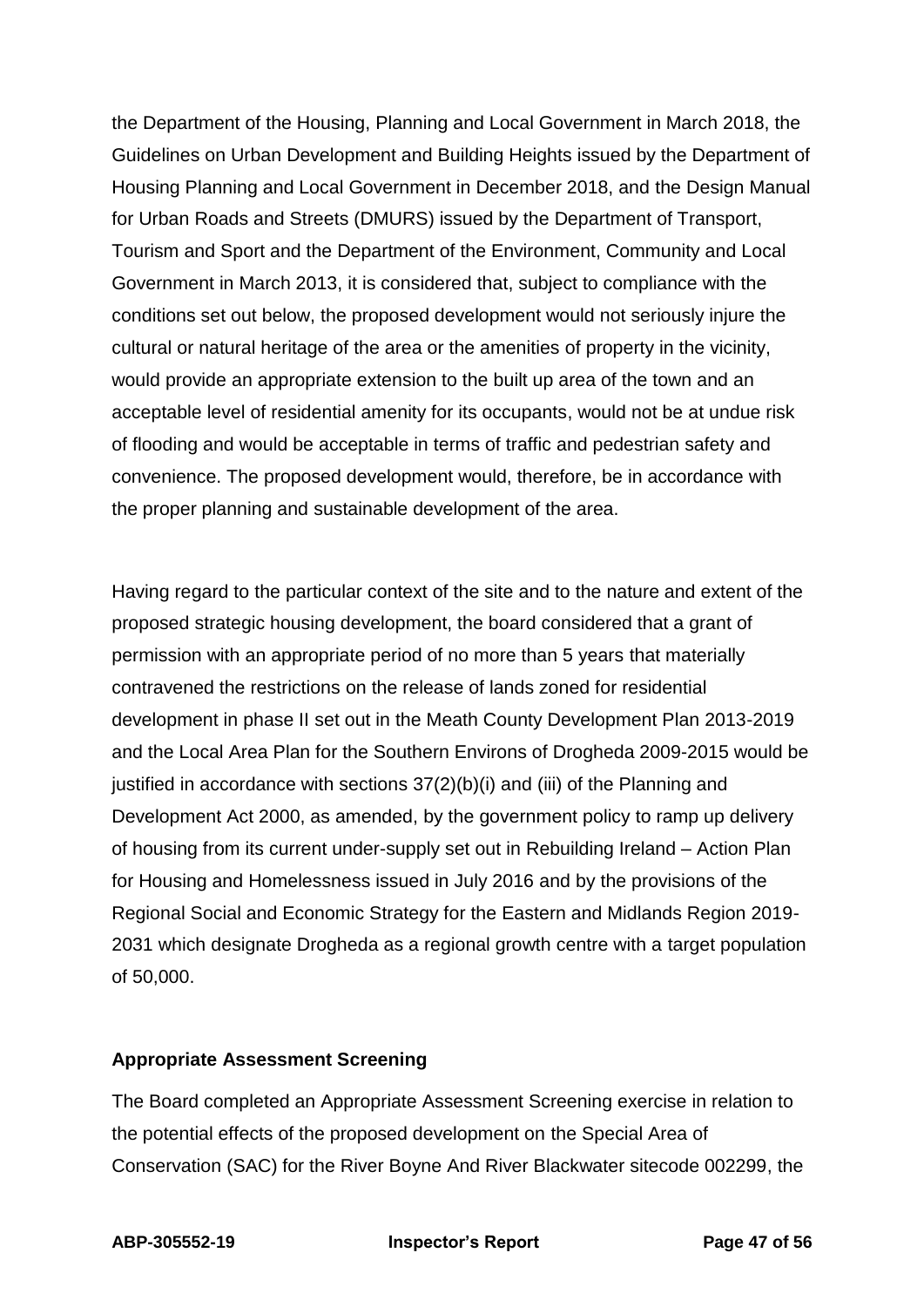the Department of the Housing, Planning and Local Government in March 2018, the Guidelines on Urban Development and Building Heights issued by the Department of Housing Planning and Local Government in December 2018, and the Design Manual for Urban Roads and Streets (DMURS) issued by the Department of Transport, Tourism and Sport and the Department of the Environment, Community and Local Government in March 2013, it is considered that, subject to compliance with the conditions set out below, the proposed development would not seriously injure the cultural or natural heritage of the area or the amenities of property in the vicinity, would provide an appropriate extension to the built up area of the town and an acceptable level of residential amenity for its occupants, would not be at undue risk of flooding and would be acceptable in terms of traffic and pedestrian safety and convenience. The proposed development would, therefore, be in accordance with the proper planning and sustainable development of the area.

Having regard to the particular context of the site and to the nature and extent of the proposed strategic housing development, the board considered that a grant of permission with an appropriate period of no more than 5 years that materially contravened the restrictions on the release of lands zoned for residential development in phase II set out in the Meath County Development Plan 2013-2019 and the Local Area Plan for the Southern Environs of Drogheda 2009-2015 would be justified in accordance with sections  $37(2)(b)(i)$  and (iii) of the Planning and Development Act 2000, as amended, by the government policy to ramp up delivery of housing from its current under-supply set out in Rebuilding Ireland – Action Plan for Housing and Homelessness issued in July 2016 and by the provisions of the Regional Social and Economic Strategy for the Eastern and Midlands Region 2019- 2031 which designate Drogheda as a regional growth centre with a target population of 50,000.

### **Appropriate Assessment Screening**

The Board completed an Appropriate Assessment Screening exercise in relation to the potential effects of the proposed development on the Special Area of Conservation (SAC) for the River Boyne And River Blackwater sitecode 002299, the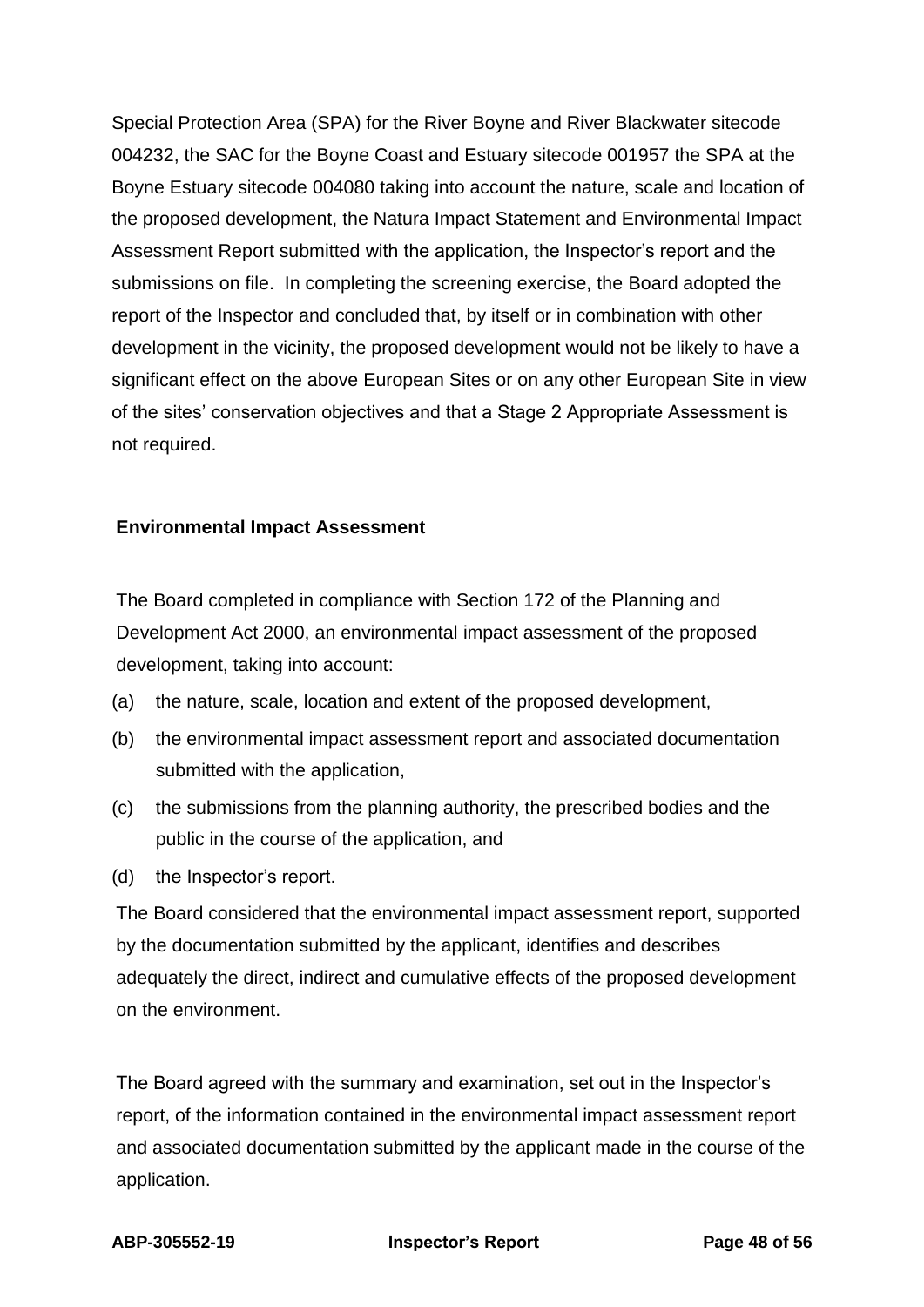Special Protection Area (SPA) for the River Boyne and River Blackwater sitecode 004232, the SAC for the Boyne Coast and Estuary sitecode 001957 the SPA at the Boyne Estuary sitecode 004080 taking into account the nature, scale and location of the proposed development, the Natura Impact Statement and Environmental Impact Assessment Report submitted with the application, the Inspector's report and the submissions on file. In completing the screening exercise, the Board adopted the report of the Inspector and concluded that, by itself or in combination with other development in the vicinity, the proposed development would not be likely to have a significant effect on the above European Sites or on any other European Site in view of the sites' conservation objectives and that a Stage 2 Appropriate Assessment is not required.

#### **Environmental Impact Assessment**

The Board completed in compliance with Section 172 of the Planning and Development Act 2000, an environmental impact assessment of the proposed development, taking into account:

- (a) the nature, scale, location and extent of the proposed development,
- (b) the environmental impact assessment report and associated documentation submitted with the application,
- (c) the submissions from the planning authority, the prescribed bodies and the public in the course of the application, and
- (d) the Inspector's report.

The Board considered that the environmental impact assessment report, supported by the documentation submitted by the applicant, identifies and describes adequately the direct, indirect and cumulative effects of the proposed development on the environment.

The Board agreed with the summary and examination, set out in the Inspector's report, of the information contained in the environmental impact assessment report and associated documentation submitted by the applicant made in the course of the application.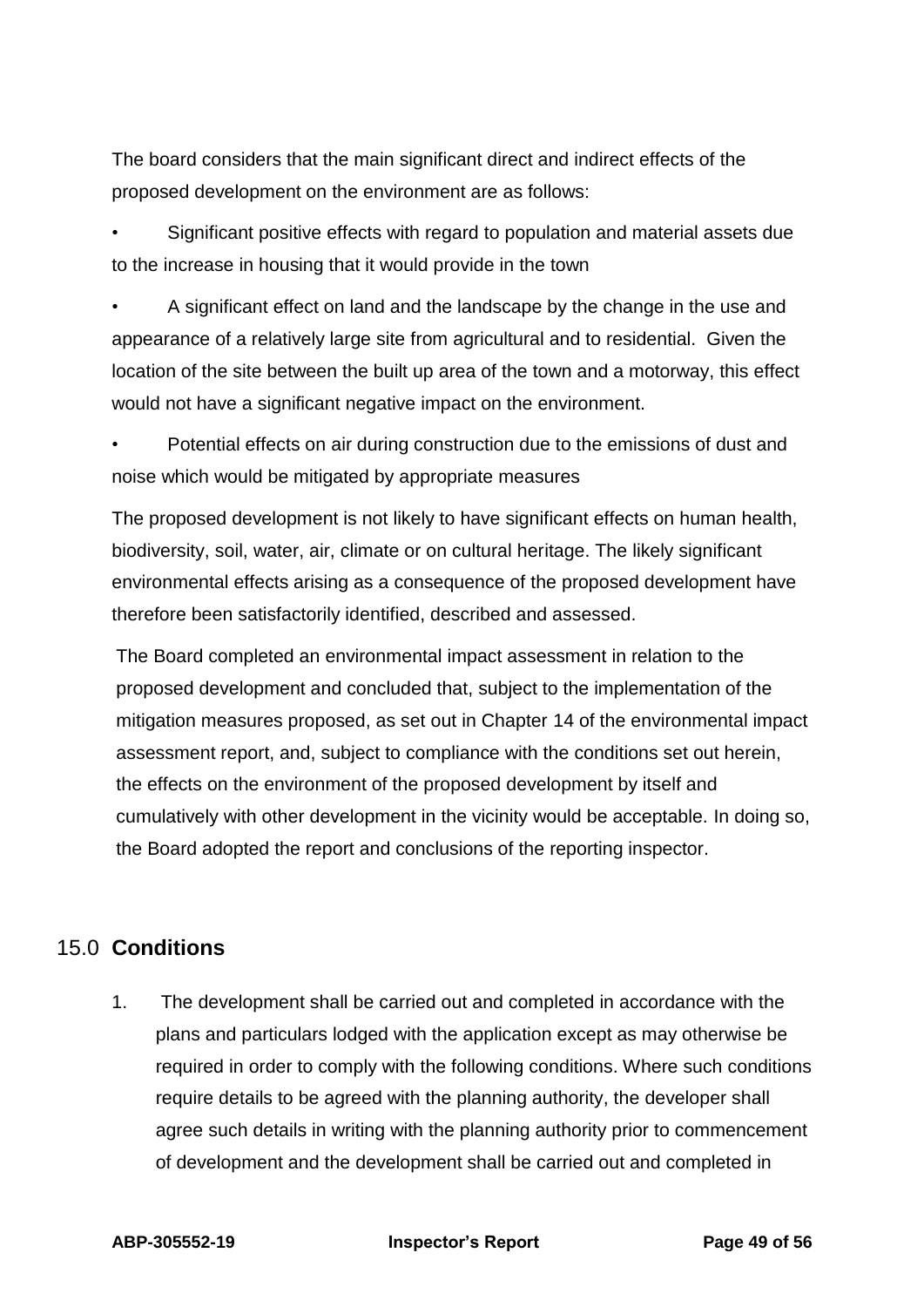The board considers that the main significant direct and indirect effects of the proposed development on the environment are as follows:

• Significant positive effects with regard to population and material assets due to the increase in housing that it would provide in the town

• A significant effect on land and the landscape by the change in the use and appearance of a relatively large site from agricultural and to residential. Given the location of the site between the built up area of the town and a motorway, this effect would not have a significant negative impact on the environment.

Potential effects on air during construction due to the emissions of dust and noise which would be mitigated by appropriate measures

The proposed development is not likely to have significant effects on human health, biodiversity, soil, water, air, climate or on cultural heritage. The likely significant environmental effects arising as a consequence of the proposed development have therefore been satisfactorily identified, described and assessed.

The Board completed an environmental impact assessment in relation to the proposed development and concluded that, subject to the implementation of the mitigation measures proposed, as set out in Chapter 14 of the environmental impact assessment report, and, subject to compliance with the conditions set out herein, the effects on the environment of the proposed development by itself and cumulatively with other development in the vicinity would be acceptable. In doing so, the Board adopted the report and conclusions of the reporting inspector.

## <span id="page-48-0"></span>15.0 **Conditions**

1. The development shall be carried out and completed in accordance with the plans and particulars lodged with the application except as may otherwise be required in order to comply with the following conditions. Where such conditions require details to be agreed with the planning authority, the developer shall agree such details in writing with the planning authority prior to commencement of development and the development shall be carried out and completed in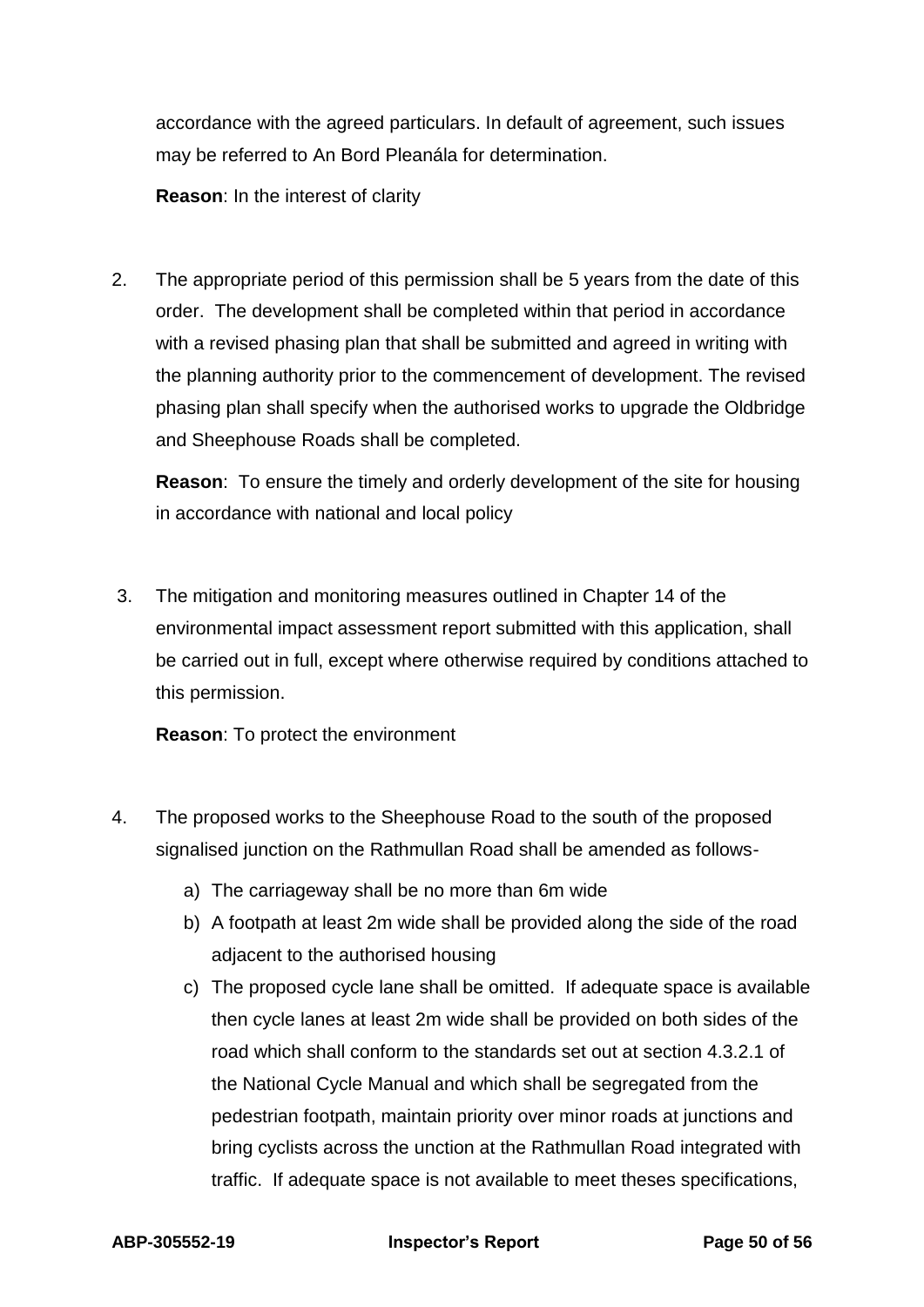accordance with the agreed particulars. In default of agreement, such issues may be referred to An Bord Pleanála for determination.

**Reason**: In the interest of clarity

2. The appropriate period of this permission shall be 5 years from the date of this order. The development shall be completed within that period in accordance with a revised phasing plan that shall be submitted and agreed in writing with the planning authority prior to the commencement of development. The revised phasing plan shall specify when the authorised works to upgrade the Oldbridge and Sheephouse Roads shall be completed.

**Reason**: To ensure the timely and orderly development of the site for housing in accordance with national and local policy

3. The mitigation and monitoring measures outlined in Chapter 14 of the environmental impact assessment report submitted with this application, shall be carried out in full, except where otherwise required by conditions attached to this permission.

**Reason**: To protect the environment

- 4. The proposed works to the Sheephouse Road to the south of the proposed signalised junction on the Rathmullan Road shall be amended as follows
	- a) The carriageway shall be no more than 6m wide
	- b) A footpath at least 2m wide shall be provided along the side of the road adjacent to the authorised housing
	- c) The proposed cycle lane shall be omitted. If adequate space is available then cycle lanes at least 2m wide shall be provided on both sides of the road which shall conform to the standards set out at section 4.3.2.1 of the National Cycle Manual and which shall be segregated from the pedestrian footpath, maintain priority over minor roads at junctions and bring cyclists across the unction at the Rathmullan Road integrated with traffic. If adequate space is not available to meet theses specifications,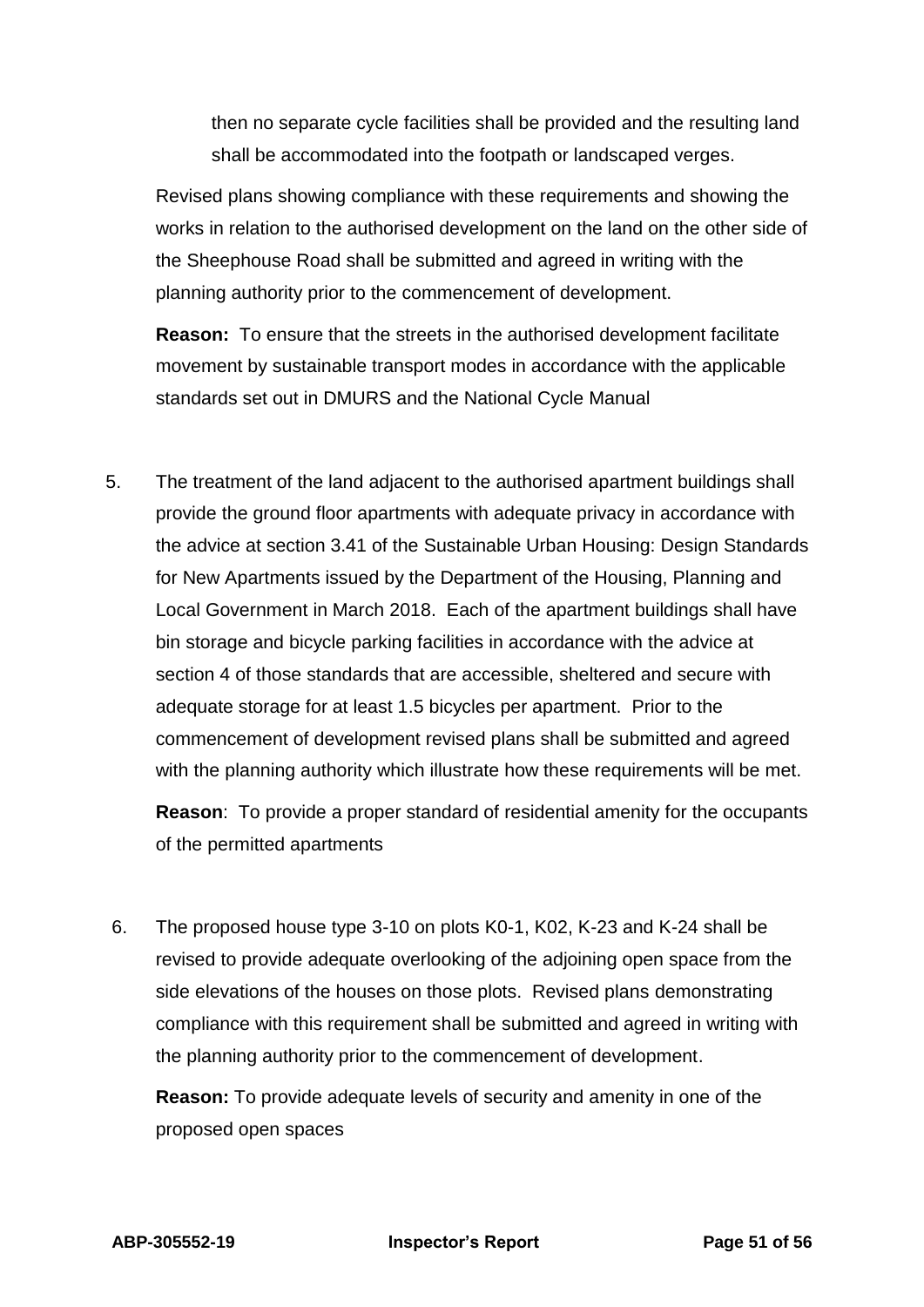then no separate cycle facilities shall be provided and the resulting land shall be accommodated into the footpath or landscaped verges.

Revised plans showing compliance with these requirements and showing the works in relation to the authorised development on the land on the other side of the Sheephouse Road shall be submitted and agreed in writing with the planning authority prior to the commencement of development.

**Reason:** To ensure that the streets in the authorised development facilitate movement by sustainable transport modes in accordance with the applicable standards set out in DMURS and the National Cycle Manual

5. The treatment of the land adjacent to the authorised apartment buildings shall provide the ground floor apartments with adequate privacy in accordance with the advice at section 3.41 of the Sustainable Urban Housing: Design Standards for New Apartments issued by the Department of the Housing, Planning and Local Government in March 2018. Each of the apartment buildings shall have bin storage and bicycle parking facilities in accordance with the advice at section 4 of those standards that are accessible, sheltered and secure with adequate storage for at least 1.5 bicycles per apartment. Prior to the commencement of development revised plans shall be submitted and agreed with the planning authority which illustrate how these requirements will be met.

**Reason**: To provide a proper standard of residential amenity for the occupants of the permitted apartments

6. The proposed house type 3-10 on plots K0-1, K02, K-23 and K-24 shall be revised to provide adequate overlooking of the adjoining open space from the side elevations of the houses on those plots. Revised plans demonstrating compliance with this requirement shall be submitted and agreed in writing with the planning authority prior to the commencement of development.

**Reason:** To provide adequate levels of security and amenity in one of the proposed open spaces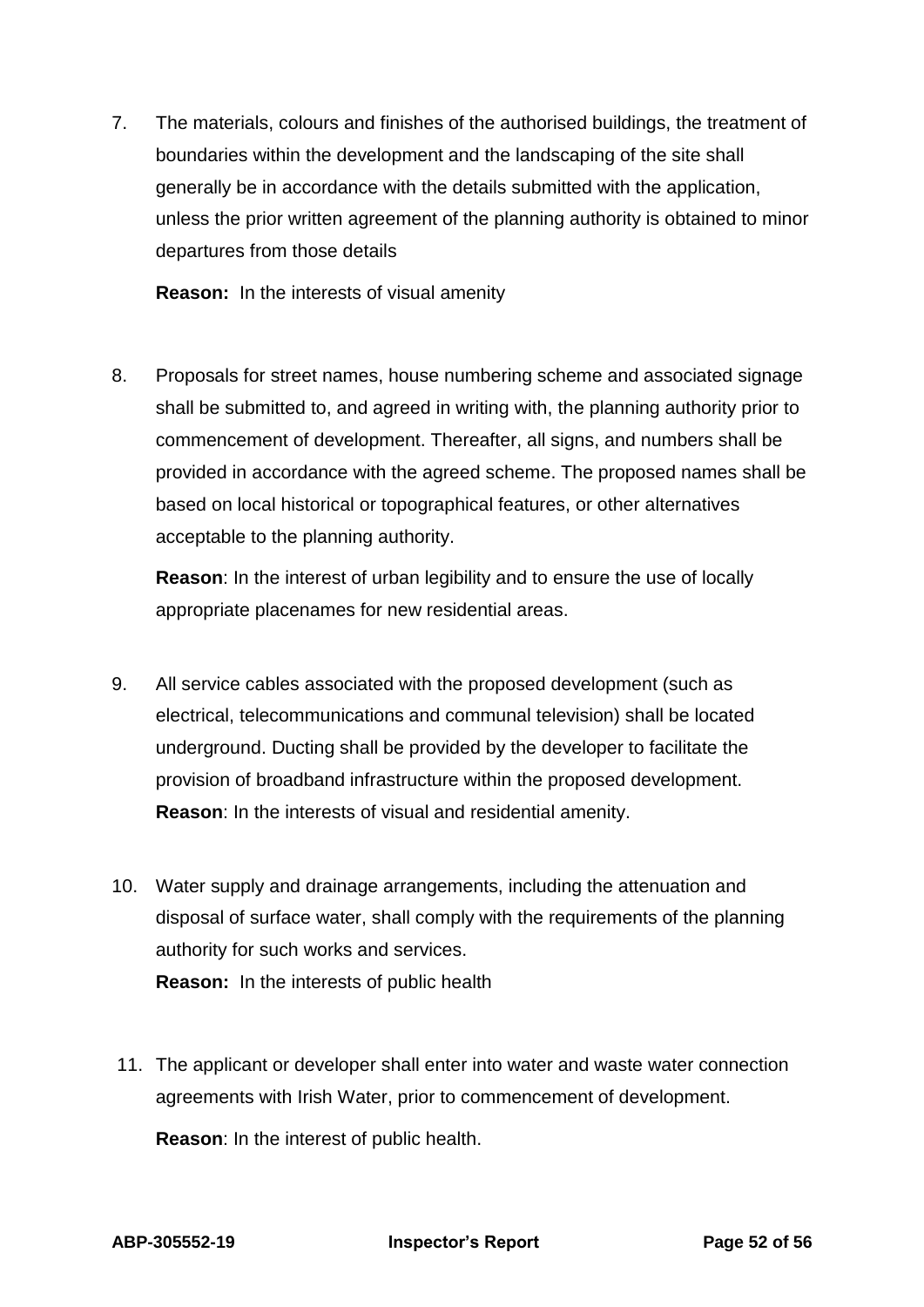7. The materials, colours and finishes of the authorised buildings, the treatment of boundaries within the development and the landscaping of the site shall generally be in accordance with the details submitted with the application, unless the prior written agreement of the planning authority is obtained to minor departures from those details

**Reason:** In the interests of visual amenity

8. Proposals for street names, house numbering scheme and associated signage shall be submitted to, and agreed in writing with, the planning authority prior to commencement of development. Thereafter, all signs, and numbers shall be provided in accordance with the agreed scheme. The proposed names shall be based on local historical or topographical features, or other alternatives acceptable to the planning authority.

**Reason**: In the interest of urban legibility and to ensure the use of locally appropriate placenames for new residential areas.

- 9. All service cables associated with the proposed development (such as electrical, telecommunications and communal television) shall be located underground. Ducting shall be provided by the developer to facilitate the provision of broadband infrastructure within the proposed development. **Reason**: In the interests of visual and residential amenity.
- 10. Water supply and drainage arrangements, including the attenuation and disposal of surface water, shall comply with the requirements of the planning authority for such works and services. **Reason:** In the interests of public health
- 11. The applicant or developer shall enter into water and waste water connection agreements with Irish Water, prior to commencement of development.

**Reason**: In the interest of public health.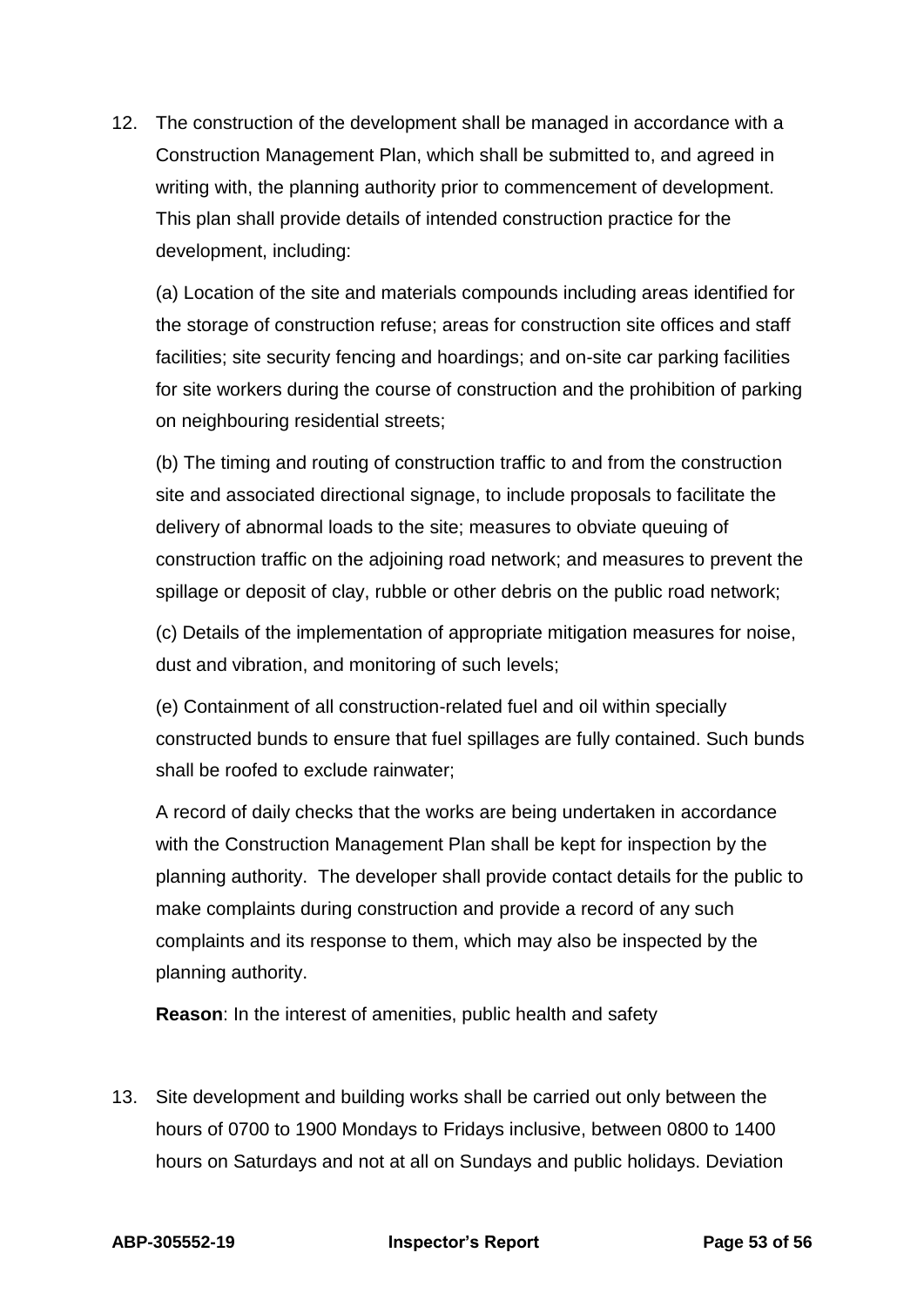12. The construction of the development shall be managed in accordance with a Construction Management Plan, which shall be submitted to, and agreed in writing with, the planning authority prior to commencement of development. This plan shall provide details of intended construction practice for the development, including:

(a) Location of the site and materials compounds including areas identified for the storage of construction refuse; areas for construction site offices and staff facilities; site security fencing and hoardings; and on-site car parking facilities for site workers during the course of construction and the prohibition of parking on neighbouring residential streets;

(b) The timing and routing of construction traffic to and from the construction site and associated directional signage, to include proposals to facilitate the delivery of abnormal loads to the site; measures to obviate queuing of construction traffic on the adjoining road network; and measures to prevent the spillage or deposit of clay, rubble or other debris on the public road network;

(c) Details of the implementation of appropriate mitigation measures for noise, dust and vibration, and monitoring of such levels;

(e) Containment of all construction-related fuel and oil within specially constructed bunds to ensure that fuel spillages are fully contained. Such bunds shall be roofed to exclude rainwater;

A record of daily checks that the works are being undertaken in accordance with the Construction Management Plan shall be kept for inspection by the planning authority. The developer shall provide contact details for the public to make complaints during construction and provide a record of any such complaints and its response to them, which may also be inspected by the planning authority.

**Reason**: In the interest of amenities, public health and safety

13. Site development and building works shall be carried out only between the hours of 0700 to 1900 Mondays to Fridays inclusive, between 0800 to 1400 hours on Saturdays and not at all on Sundays and public holidays. Deviation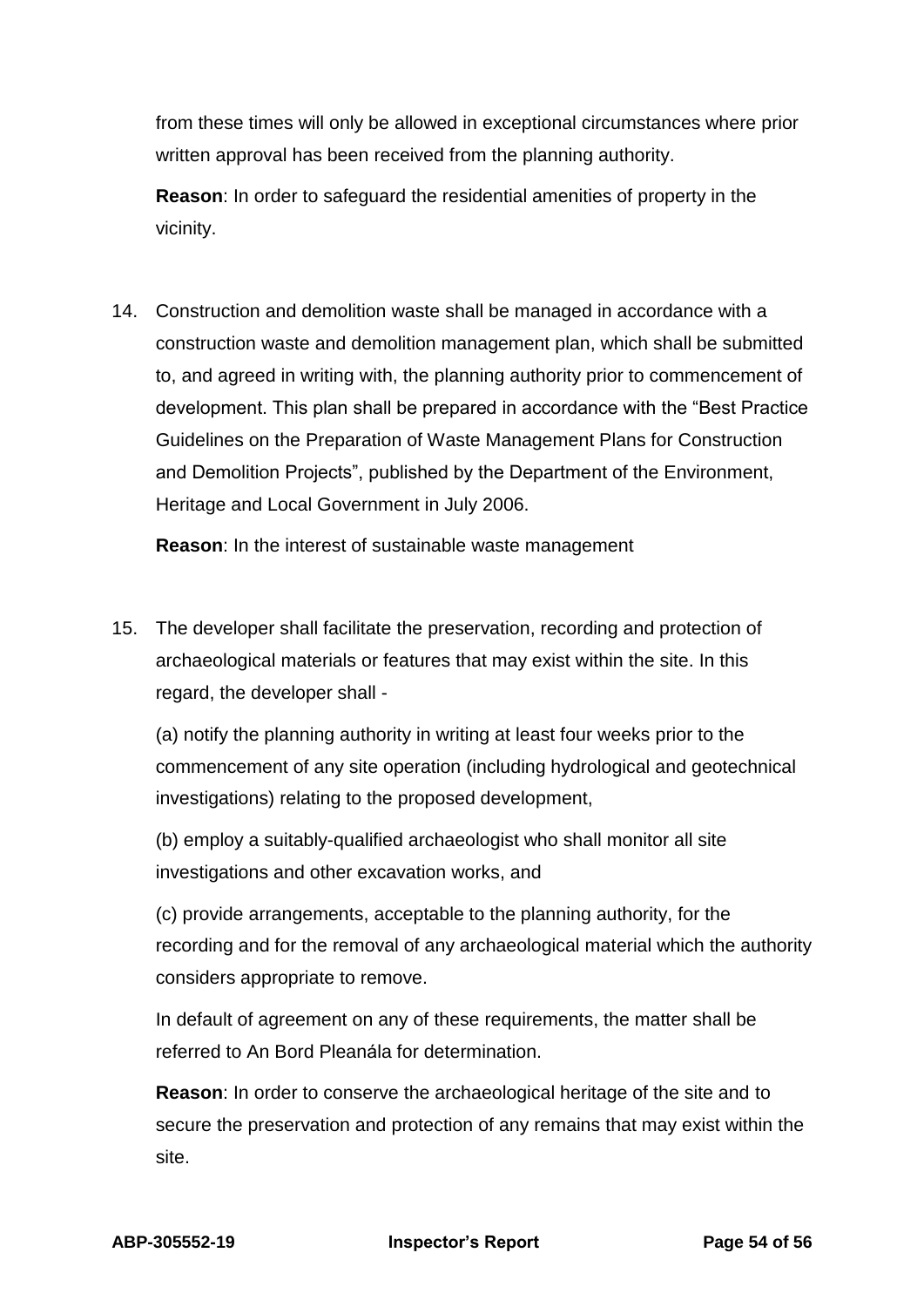from these times will only be allowed in exceptional circumstances where prior written approval has been received from the planning authority.

**Reason**: In order to safeguard the residential amenities of property in the vicinity.

14. Construction and demolition waste shall be managed in accordance with a construction waste and demolition management plan, which shall be submitted to, and agreed in writing with, the planning authority prior to commencement of development. This plan shall be prepared in accordance with the "Best Practice Guidelines on the Preparation of Waste Management Plans for Construction and Demolition Projects", published by the Department of the Environment, Heritage and Local Government in July 2006.

**Reason**: In the interest of sustainable waste management

15. The developer shall facilitate the preservation, recording and protection of archaeological materials or features that may exist within the site. In this regard, the developer shall -

(a) notify the planning authority in writing at least four weeks prior to the commencement of any site operation (including hydrological and geotechnical investigations) relating to the proposed development,

(b) employ a suitably-qualified archaeologist who shall monitor all site investigations and other excavation works, and

(c) provide arrangements, acceptable to the planning authority, for the recording and for the removal of any archaeological material which the authority considers appropriate to remove.

In default of agreement on any of these requirements, the matter shall be referred to An Bord Pleanála for determination.

**Reason**: In order to conserve the archaeological heritage of the site and to secure the preservation and protection of any remains that may exist within the site.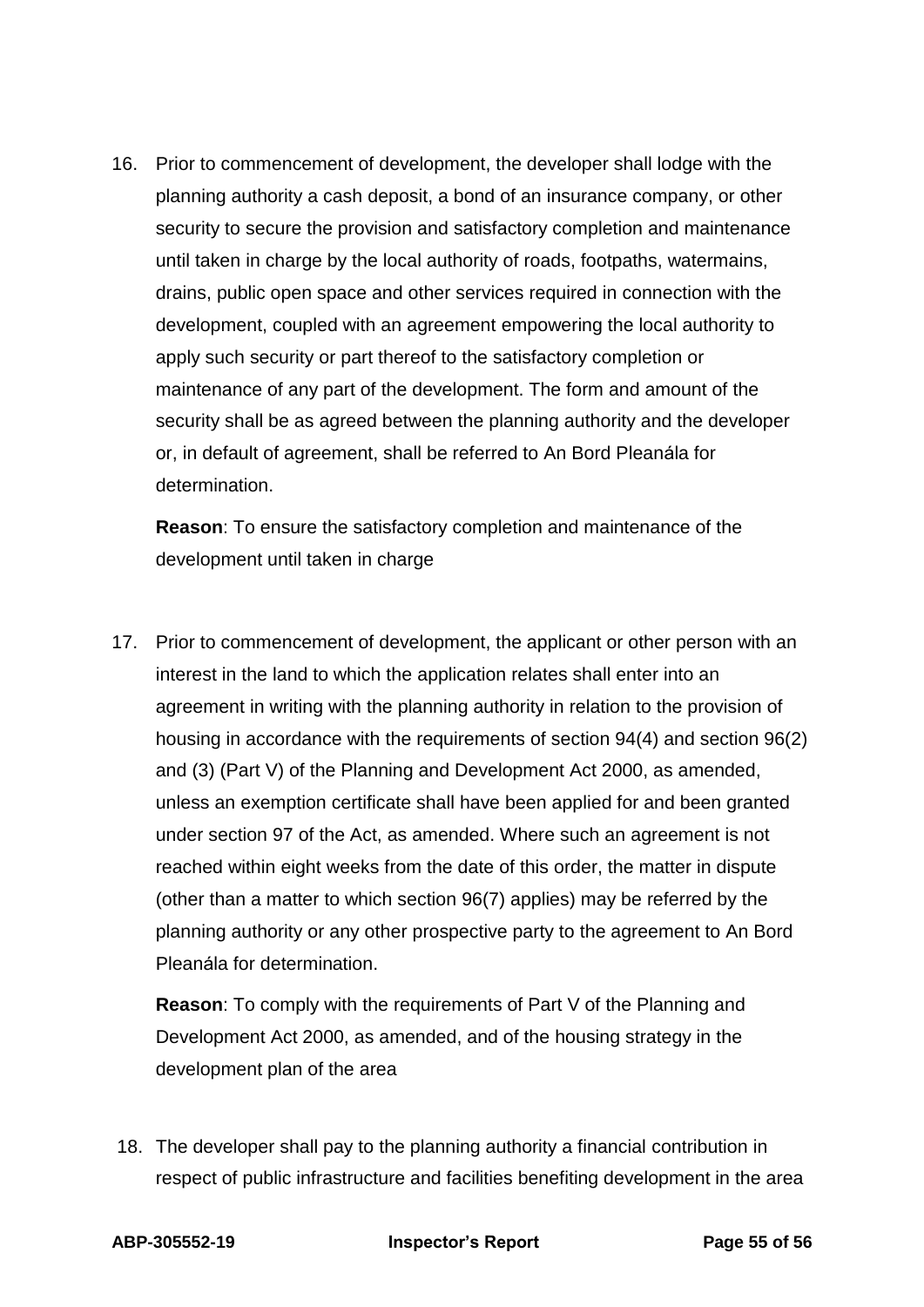16. Prior to commencement of development, the developer shall lodge with the planning authority a cash deposit, a bond of an insurance company, or other security to secure the provision and satisfactory completion and maintenance until taken in charge by the local authority of roads, footpaths, watermains, drains, public open space and other services required in connection with the development, coupled with an agreement empowering the local authority to apply such security or part thereof to the satisfactory completion or maintenance of any part of the development. The form and amount of the security shall be as agreed between the planning authority and the developer or, in default of agreement, shall be referred to An Bord Pleanála for determination.

**Reason**: To ensure the satisfactory completion and maintenance of the development until taken in charge

17. Prior to commencement of development, the applicant or other person with an interest in the land to which the application relates shall enter into an agreement in writing with the planning authority in relation to the provision of housing in accordance with the requirements of section 94(4) and section 96(2) and (3) (Part V) of the Planning and Development Act 2000, as amended, unless an exemption certificate shall have been applied for and been granted under section 97 of the Act, as amended. Where such an agreement is not reached within eight weeks from the date of this order, the matter in dispute (other than a matter to which section 96(7) applies) may be referred by the planning authority or any other prospective party to the agreement to An Bord Pleanála for determination.

**Reason**: To comply with the requirements of Part V of the Planning and Development Act 2000, as amended, and of the housing strategy in the development plan of the area

18. The developer shall pay to the planning authority a financial contribution in respect of public infrastructure and facilities benefiting development in the area